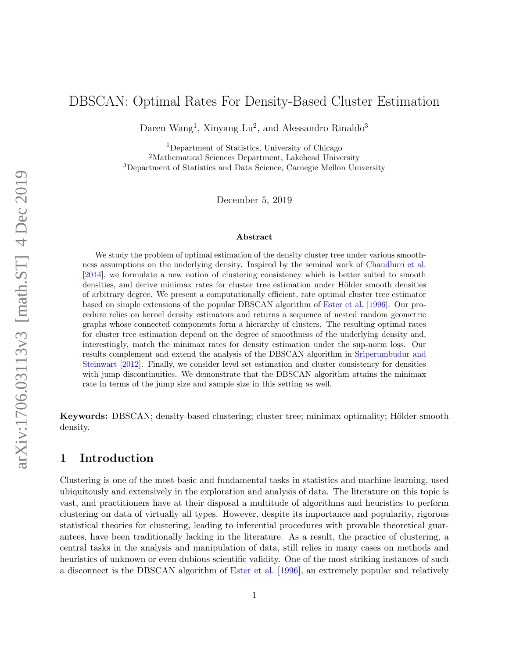# DBSCAN: Optimal Rates For Density-Based Cluster Estimation

Daren Wang<sup>1</sup>, Xinyang Lu<sup>2</sup>, and Alessandro Rinaldo<sup>3</sup>

<sup>1</sup>Department of Statistics, University of Chicago <sup>2</sup>Mathematical Sciences Department, Lakehead University <sup>3</sup>Department of Statistics and Data Science, Carnegie Mellon University

December 5, 2019

#### Abstract

We study the problem of optimal estimation of the density cluster tree under various smoothness assumptions on the underlying density. Inspired by the seminal work of [Chaudhuri et al.](#page-24-0) [\[2014\]](#page-24-0), we formulate a new notion of clustering consistency which is better suited to smooth densities, and derive minimax rates for cluster tree estimation under Hölder smooth densities of arbitrary degree. We present a computationally efficient, rate optimal cluster tree estimator based on simple extensions of the popular DBSCAN algorithm of [Ester et al.](#page-25-0) [\[1996\]](#page-25-0). Our procedure relies on kernel density estimators and returns a sequence of nested random geometric graphs whose connected components form a hierarchy of clusters. The resulting optimal rates for cluster tree estimation depend on the degree of smoothness of the underlying density and, interestingly, match the minimax rates for density estimation under the sup-norm loss. Our results complement and extend the analysis of the DBSCAN algorithm in [Sriperumbudur and](#page-26-0) [Steinwart](#page-26-0) [\[2012\]](#page-26-0). Finally, we consider level set estimation and cluster consistency for densities with jump discontinuities. We demonstrate that the DBSCAN algorithm attains the minimax rate in terms of the jump size and sample size in this setting as well.

Keywords: DBSCAN; density-based clustering; cluster tree; minimax optimality; Hölder smooth density.

## 1 Introduction

Clustering is one of the most basic and fundamental tasks in statistics and machine learning, used ubiquitously and extensively in the exploration and analysis of data. The literature on this topic is vast, and practitioners have at their disposal a multitude of algorithms and heuristics to perform clustering on data of virtually all types. However, despite its importance and popularity, rigorous statistical theories for clustering, leading to inferential procedures with provable theoretical guarantees, have been traditionally lacking in the literature. As a result, the practice of clustering, a central tasks in the analysis and manipulation of data, still relies in many cases on methods and heuristics of unknown or even dubious scientific validity. One of the most striking instances of such a disconnect is the DBSCAN algorithm of [Ester et al.](#page-25-0) [\[1996\]](#page-25-0), an extremely popular and relatively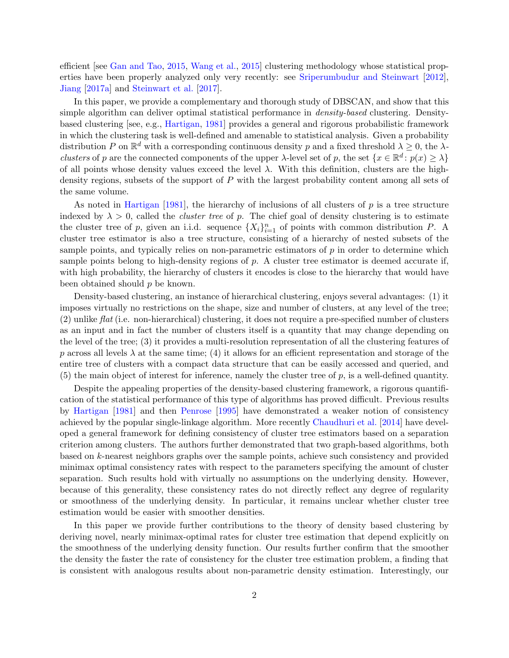efficient [see [Gan and Tao,](#page-25-1) [2015,](#page-25-1) [Wang et al.,](#page-27-0) [2015\]](#page-27-0) clustering methodology whose statistical properties have been properly analyzed only very recently: see [Sriperumbudur and Steinwart](#page-26-0) [\[2012\]](#page-26-0), [Jiang](#page-25-2) [\[2017a\]](#page-25-2) and [Steinwart et al.](#page-26-1) [\[2017\]](#page-26-1).

In this paper, we provide a complementary and thorough study of DBSCAN, and show that this simple algorithm can deliver optimal statistical performance in *density-based* clustering. Densitybased clustering [see, e.g., [Hartigan,](#page-25-3) [1981\]](#page-25-3) provides a general and rigorous probabilistic framework in which the clustering task is well-defined and amenable to statistical analysis. Given a probability distribution P on  $\mathbb{R}^d$  with a corresponding continuous density p and a fixed threshold  $\lambda \geq 0$ , the  $\lambda$ clusters of p are the connected components of the upper  $\lambda$ -level set of p, the set  $\{x \in \mathbb{R}^d : p(x) \geq \lambda\}$ of all points whose density values exceed the level  $\lambda$ . With this definition, clusters are the highdensity regions, subsets of the support of P with the largest probability content among all sets of the same volume.

As noted in [Hartigan](#page-25-3)  $[1981]$ , the hierarchy of inclusions of all clusters of p is a tree structure indexed by  $\lambda > 0$ , called the *cluster tree* of p. The chief goal of density clustering is to estimate the cluster tree of p, given an i.i.d. sequence  $\{X_i\}_{i=1}^n$  of points with common distribution P. A cluster tree estimator is also a tree structure, consisting of a hierarchy of nested subsets of the sample points, and typically relies on non-parametric estimators of  $p$  in order to determine which sample points belong to high-density regions of  $p$ . A cluster tree estimator is deemed accurate if, with high probability, the hierarchy of clusters it encodes is close to the hierarchy that would have been obtained should  $p$  be known.

Density-based clustering, an instance of hierarchical clustering, enjoys several advantages: (1) it imposes virtually no restrictions on the shape, size and number of clusters, at any level of the tree; (2) unlike flat (i.e. non-hierarchical) clustering, it does not require a pre-specified number of clusters as an input and in fact the number of clusters itself is a quantity that may change depending on the level of the tree; (3) it provides a multi-resolution representation of all the clustering features of p across all levels  $\lambda$  at the same time; (4) it allows for an efficient representation and storage of the entire tree of clusters with a compact data structure that can be easily accessed and queried, and  $(5)$  the main object of interest for inference, namely the cluster tree of p, is a well-defined quantity.

Despite the appealing properties of the density-based clustering framework, a rigorous quantification of the statistical performance of this type of algorithms has proved difficult. Previous results by [Hartigan](#page-25-3) [\[1981\]](#page-25-3) and then [Penrose](#page-26-2) [\[1995\]](#page-26-2) have demonstrated a weaker notion of consistency achieved by the popular single-linkage algorithm. More recently [Chaudhuri et al.](#page-24-0) [\[2014\]](#page-24-0) have developed a general framework for defining consistency of cluster tree estimators based on a separation criterion among clusters. The authors further demonstrated that two graph-based algorithms, both based on k-nearest neighbors graphs over the sample points, achieve such consistency and provided minimax optimal consistency rates with respect to the parameters specifying the amount of cluster separation. Such results hold with virtually no assumptions on the underlying density. However, because of this generality, these consistency rates do not directly reflect any degree of regularity or smoothness of the underlying density. In particular, it remains unclear whether cluster tree estimation would be easier with smoother densities.

In this paper we provide further contributions to the theory of density based clustering by deriving novel, nearly minimax-optimal rates for cluster tree estimation that depend explicitly on the smoothness of the underlying density function. Our results further confirm that the smoother the density the faster the rate of consistency for the cluster tree estimation problem, a finding that is consistent with analogous results about non-parametric density estimation. Interestingly, our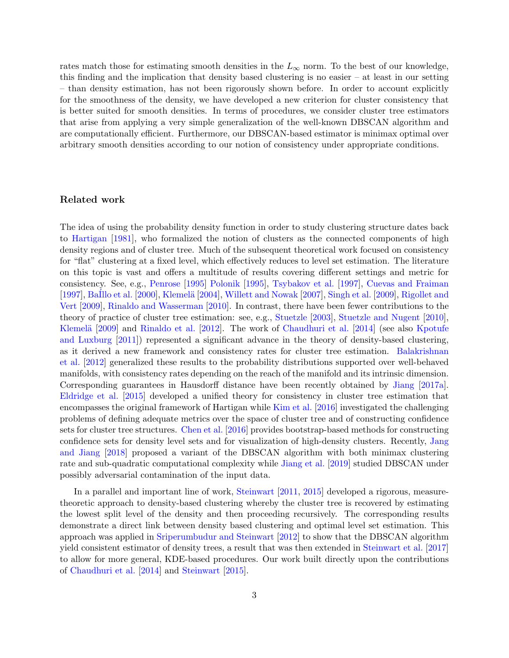rates match those for estimating smooth densities in the  $L_{\infty}$  norm. To the best of our knowledge, this finding and the implication that density based clustering is no easier – at least in our setting – than density estimation, has not been rigorously shown before. In order to account explicitly for the smoothness of the density, we have developed a new criterion for cluster consistency that is better suited for smooth densities. In terms of procedures, we consider cluster tree estimators that arise from applying a very simple generalization of the well-known DBSCAN algorithm and are computationally efficient. Furthermore, our DBSCAN-based estimator is minimax optimal over arbitrary smooth densities according to our notion of consistency under appropriate conditions.

### Related work

The idea of using the probability density function in order to study clustering structure dates back to [Hartigan](#page-25-3) [\[1981\]](#page-25-3), who formalized the notion of clusters as the connected components of high density regions and of cluster tree. Much of the subsequent theoretical work focused on consistency for "flat" clustering at a fixed level, which effectively reduces to level set estimation. The literature on this topic is vast and offers a multitude of results covering different settings and metric for consistency. See, e.g., [Penrose](#page-26-2) [\[1995\]](#page-26-2) [Polonik](#page-26-3) [\[1995\]](#page-26-3), [Tsybakov et al.](#page-27-1) [\[1997\]](#page-27-1), [Cuevas and Fraiman](#page-24-1) [\[1997\]](#page-24-1), BaIllo et al. [\[2000\]](#page-24-2), Klemelä [\[2004\]](#page-25-4), [Willett and Nowak](#page-27-2) [\[2007\]](#page-27-2), [Singh et al.](#page-26-4) [\[2009\]](#page-26-4), [Rigollet and](#page-26-5) [Vert](#page-26-5) [\[2009\]](#page-26-5), [Rinaldo and Wasserman](#page-26-6) [\[2010\]](#page-26-6). In contrast, there have been fewer contributions to the theory of practice of cluster tree estimation: see, e.g., [Stuetzle](#page-26-7) [\[2003\]](#page-26-7), [Stuetzle and Nugent](#page-26-8) [\[2010\]](#page-26-8), Klemelä [\[2009\]](#page-26-9) and [Rinaldo et al.](#page-26-10) [\[2012\]](#page-26-10). The work of [Chaudhuri et al.](#page-24-0) [\[2014\]](#page-24-0) (see also [Kpotufe](#page-26-11) [and Luxburg](#page-26-11) [\[2011\]](#page-26-11)) represented a significant advance in the theory of density-based clustering, as it derived a new framework and consistency rates for cluster tree estimation. [Balakrishnan](#page-24-3) [et al.](#page-24-3) [\[2012\]](#page-24-3) generalized these results to the probability distributions supported over well-behaved manifolds, with consistency rates depending on the reach of the manifold and its intrinsic dimension. Corresponding guarantees in Hausdorff distance have been recently obtained by [Jiang](#page-25-2) [\[2017a\]](#page-25-2). [Eldridge et al.](#page-25-5) [\[2015\]](#page-25-5) developed a unified theory for consistency in cluster tree estimation that encompasses the original framework of Hartigan while [Kim et al.](#page-25-6) [\[2016\]](#page-25-6) investigated the challenging problems of defining adequate metrics over the space of cluster tree and of constructing confidence sets for cluster tree structures. [Chen et al.](#page-24-4) [\[2016\]](#page-24-4) provides bootstrap-based methods for constructing confidence sets for density level sets and for visualization of high-density clusters. Recently, [Jang](#page-25-7) [and Jiang](#page-25-7) [\[2018\]](#page-25-7) proposed a variant of the DBSCAN algorithm with both minimax clustering rate and sub-quadratic computational complexity while [Jiang et al.](#page-25-8) [\[2019\]](#page-25-8) studied DBSCAN under possibly adversarial contamination of the input data.

In a parallel and important line of work, [Steinwart](#page-26-12) [\[2011,](#page-26-12) [2015\]](#page-26-13) developed a rigorous, measuretheoretic approach to density-based clustering whereby the cluster tree is recovered by estimating the lowest split level of the density and then proceeding recursively. The corresponding results demonstrate a direct link between density based clustering and optimal level set estimation. This approach was applied in [Sriperumbudur and Steinwart](#page-26-0) [\[2012\]](#page-26-0) to show that the DBSCAN algorithm yield consistent estimator of density trees, a result that was then extended in [Steinwart et al.](#page-26-1) [\[2017\]](#page-26-1) to allow for more general, KDE-based procedures. Our work built directly upon the contributions of [Chaudhuri et al.](#page-24-0) [\[2014\]](#page-24-0) and [Steinwart](#page-26-13) [\[2015\]](#page-26-13).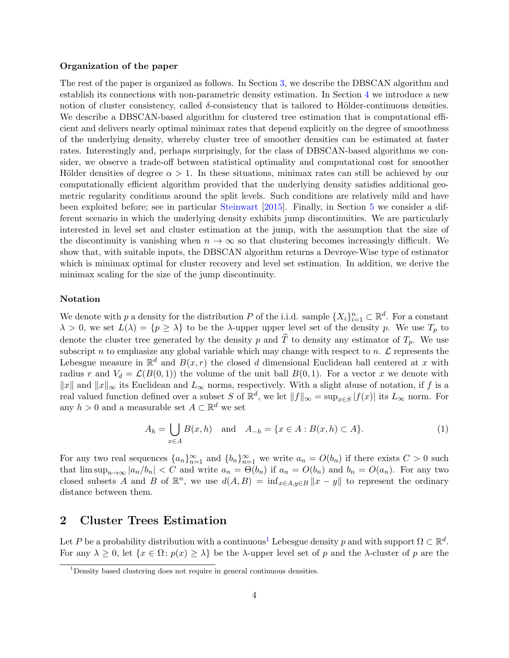#### Organization of the paper

The rest of the paper is organized as follows. In Section [3,](#page-5-0) we describe the DBSCAN algorithm and establish its connections with non-parametric density estimation. In Section [4](#page-7-0) we introduce a new notion of cluster consistency, called  $\delta$ -consistency that is tailored to Hölder-continuous densities. We describe a DBSCAN-based algorithm for clustered tree estimation that is computational efficient and delivers nearly optimal minimax rates that depend explicitly on the degree of smoothness of the underlying density, whereby cluster tree of smoother densities can be estimated at faster rates. Interestingly and, perhaps surprisingly, for the class of DBSCAN-based algorithms we consider, we observe a trade-off between statistical optimality and computational cost for smoother Hölder densities of degree  $\alpha > 1$ . In these situations, minimax rates can still be achieved by our computationally efficient algorithm provided that the underlying density satisfies additional geometric regularity conditions around the split levels. Such conditions are relatively mild and have been exploited before; see in particular [Steinwart](#page-26-13) [\[2015\]](#page-26-13). Finally, in Section [5](#page-17-0) we consider a different scenario in which the underlying density exhibits jump discontinuities. We are particularly interested in level set and cluster estimation at the jump, with the assumption that the size of the discontinuity is vanishing when  $n \to \infty$  so that clustering becomes increasingly difficult. We show that, with suitable inputs, the DBSCAN algorithm returns a Devroye-Wise type of estimator which is minimax optimal for cluster recovery and level set estimation. In addition, we derive the minimax scaling for the size of the jump discontinuity.

#### Notation

We denote with p a density for the distribution P of the i.i.d. sample  $\{X_i\}_{i=1}^n \subset \mathbb{R}^d$ . For a constant  $\lambda > 0$ , we set  $L(\lambda) = \{p \geq \lambda\}$  to be the  $\lambda$ -upper upper level set of the density p. We use  $T_p$  to denote the cluster tree generated by the density p and  $\hat{T}$  to density any estimator of  $T_p$ . We use subscript n to emphasize any global variable which may change with respect to n.  $\mathcal L$  represents the Lebesgue measure in  $\mathbb{R}^d$  and  $B(x,r)$  the closed d dimensional Euclidean ball centered at x with radius r and  $V_d = \mathcal{L}(B(0, 1))$  the volume of the unit ball  $B(0, 1)$ . For a vector x we denote with  $||x||$  and  $||x||_{\infty}$  its Euclidean and  $L_{\infty}$  norms, respectively. With a slight abuse of notation, if f is a real valued function defined over a subset S of  $\mathbb{R}^d$ , we let  $||f||_{\infty} = \sup_{x \in S} |f(x)|$  its  $L_{\infty}$  norm. For any  $h > 0$  and a measurable set  $A \subset \mathbb{R}^d$  we set

<span id="page-3-1"></span>
$$
A_h = \bigcup_{x \in A} B(x, h) \text{ and } A_{-h} = \{x \in A : B(x, h) \subset A\}. \tag{1}
$$

For any two real sequences  ${a_n}_{n=1}^{\infty}$  and  ${b_n}_{n=1}^{\infty}$  we write  $a_n = O(b_n)$  if there exists  $C > 0$  such that  $\limsup_{n\to\infty} |a_n/b_n| < C$  and write  $a_n = \Theta(b_n)$  if  $a_n = O(b_n)$  and  $b_n = O(a_n)$ . For any two closed subsets A and B of  $\mathbb{R}^n$ , we use  $d(A, B) = \inf_{x \in A, y \in B} ||x - y||$  to represent the ordinary distance between them.

## 2 Cluster Trees Estimation

Let P be a probability distribution with a continuous<sup>[1](#page-3-0)</sup> Lebesgue density p and with support  $\Omega \subset \mathbb{R}^d$ . For any  $\lambda \geq 0$ , let  $\{x \in \Omega : p(x) \geq \lambda\}$  be the  $\lambda$ -upper level set of p and the  $\lambda$ -cluster of p are the

<span id="page-3-0"></span><sup>&</sup>lt;sup>1</sup>Density based clustering does not require in general continuous densities.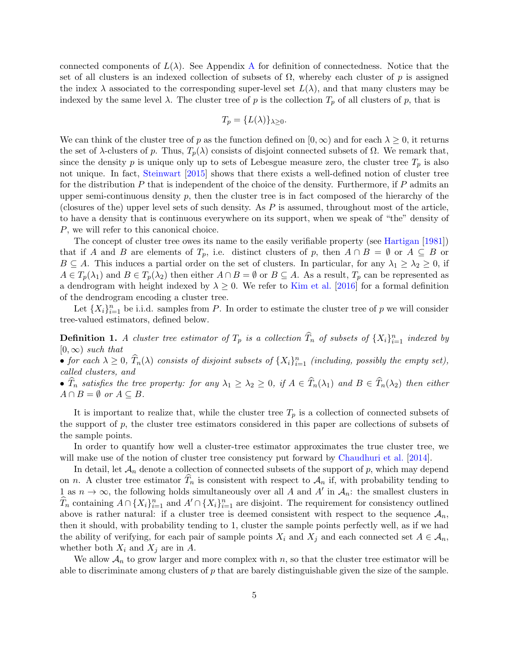connected components of  $L(\lambda)$ . See [A](#page-27-3)ppendix A for definition of connectedness. Notice that the set of all clusters is an indexed collection of subsets of  $\Omega$ , whereby each cluster of p is assigned the index  $\lambda$  associated to the corresponding super-level set  $L(\lambda)$ , and that many clusters may be indexed by the same level  $\lambda$ . The cluster tree of p is the collection  $T_p$  of all clusters of p, that is

$$
T_p = \{L(\lambda)\}_{\lambda \ge 0}.
$$

We can think of the cluster tree of p as the function defined on  $(0, \infty)$  and for each  $\lambda \geq 0$ , it returns the set of  $\lambda$ -clusters of p. Thus,  $T_p(\lambda)$  consists of disjoint connected subsets of  $\Omega$ . We remark that, since the density p is unique only up to sets of Lebesgue measure zero, the cluster tree  $T_p$  is also not unique. In fact, [Steinwart](#page-26-13) [\[2015\]](#page-26-13) shows that there exists a well-defined notion of cluster tree for the distribution  $P$  that is independent of the choice of the density. Furthermore, if  $P$  admits an upper semi-continuous density  $p$ , then the cluster tree is in fact composed of the hierarchy of the (closures of the) upper level sets of such density. As  $P$  is assumed, throughout most of the article, to have a density that is continuous everywhere on its support, when we speak of "the" density of P, we will refer to this canonical choice.

The concept of cluster tree owes its name to the easily verifiable property (see [Hartigan](#page-25-3) [\[1981\]](#page-25-3)) that if A and B are elements of  $T_p$ , i.e. distinct clusters of p, then  $A \cap B = \emptyset$  or  $A \subseteq B$  or  $B \subseteq A$ . This induces a partial order on the set of clusters. In particular, for any  $\lambda_1 \geq \lambda_2 \geq 0$ , if  $A \in T_p(\lambda_1)$  and  $B \in T_p(\lambda_2)$  then either  $A \cap B = \emptyset$  or  $B \subseteq A$ . As a result,  $T_p$  can be represented as a dendrogram with height indexed by  $\lambda \geq 0$ . We refer to [Kim et al.](#page-25-6) [\[2016\]](#page-25-6) for a formal definition of the dendrogram encoding a cluster tree.

Let  $\{X_i\}_{i=1}^n$  be i.i.d. samples from P. In order to estimate the cluster tree of p we will consider tree-valued estimators, defined below.

<span id="page-4-0"></span>**Definition 1.** A cluster tree estimator of  $T_p$  is a collection  $\widehat{T}_n$  of subsets of  $\{X_i\}_{i=1}^n$  indexed by  $[0, \infty)$  such that

• for each  $\lambda \geq 0$ ,  $\widehat{T}_n(\lambda)$  consists of disjoint subsets of  $\{X_i\}_{i=1}^n$  (including, possibly the empty set), called clusters, and

•  $\hat{T}_n$  satisfies the tree property: for any  $\lambda_1 \geq \lambda_2 \geq 0$ , if  $A \in \hat{T}_n(\lambda_1)$  and  $B \in \hat{T}_n(\lambda_2)$  then either  $A \cap B = \emptyset$  or  $A \subseteq B$ .

It is important to realize that, while the cluster tree  $T_p$  is a collection of connected subsets of the support of p, the cluster tree estimators considered in this paper are collections of subsets of the sample points.

In order to quantify how well a cluster-tree estimator approximates the true cluster tree, we will make use of the notion of cluster tree consistency put forward by [Chaudhuri et al.](#page-24-0) [\[2014\]](#page-24-0).

In detail, let  $\mathcal{A}_n$  denote a collection of connected subsets of the support of p, which may depend on n. A cluster tree estimator  $T_n$  is consistent with respect to  $\mathcal{A}_n$  if, with probability tending to 1 as  $n \to \infty$ , the following holds simultaneously over all A and A' in  $\mathcal{A}_n$ : the smallest clusters in  $\widehat{T}_n$  containing  $A \cap \{X_i\}_{i=1}^n$  and  $A' \cap \{X_i\}_{i=1}^n$  are disjoint. The requirement for consistency outlined above is rather natural: if a cluster tree is deemed consistent with respect to the sequence  $\mathcal{A}_n$ , then it should, with probability tending to 1, cluster the sample points perfectly well, as if we had the ability of verifying, for each pair of sample points  $X_i$  and  $X_j$  and each connected set  $A \in \mathcal{A}_n$ , whether both  $X_i$  and  $X_j$  are in A.

We allow  $\mathcal{A}_n$  to grow larger and more complex with n, so that the cluster tree estimator will be able to discriminate among clusters of  $p$  that are barely distinguishable given the size of the sample.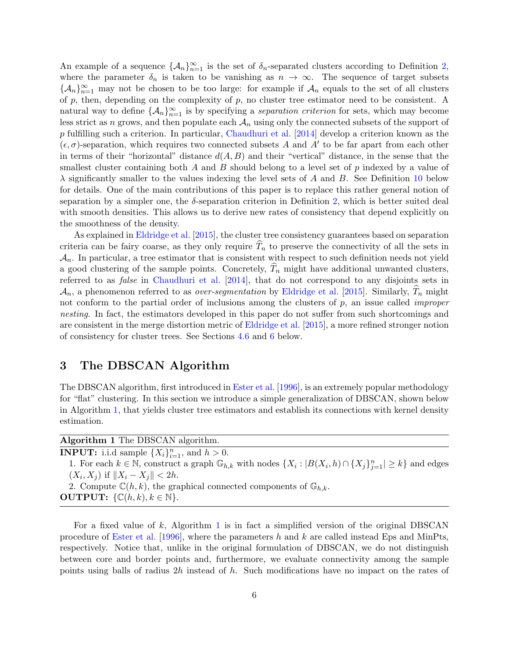An example of a sequence  $\{\mathcal{A}_n\}_{n=1}^{\infty}$  is the set of  $\delta_n$ -separated clusters according to Definition [2,](#page-8-0) where the parameter  $\delta_n$  is taken to be vanishing as  $n \to \infty$ . The sequence of target subsets  ${\{\mathcal{A}_n\}}_{n=1}^{\infty}$  may not be chosen to be too large: for example if  $\mathcal{A}_n$  equals to the set of all clusters of  $p$ , then, depending on the complexity of  $p$ , no cluster tree estimator need to be consistent. A natural way to define  $\{\mathcal{A}_n\}_{n=1}^{\infty}$  is by specifying a separation criterion for sets, which may become less strict as n grows, and then populate each  $A_n$  using only the connected subsets of the support of p fulfilling such a criterion. In particular, [Chaudhuri et al.](#page-24-0) [\[2014\]](#page-24-0) develop a criterion known as the  $(\epsilon, \sigma)$ -separation, which requires two connected subsets A and A' to be far apart from each other in terms of their "horizontal" distance  $d(A, B)$  and their "vertical" distance, in the sense that the smallest cluster containing both A and B should belong to a level set of  $p$  indexed by a value of  $\lambda$  significantly smaller to the values indexing the level sets of A and B. See Definition [10](#page-23-0) below for details. One of the main contributions of this paper is to replace this rather general notion of separation by a simpler one, the  $\delta$ -separation criterion in Definition [2,](#page-8-0) which is better suited deal with smooth densities. This allows us to derive new rates of consistency that depend explicitly on the smoothness of the density.

As explained in [Eldridge et al.](#page-25-5) [\[2015\]](#page-25-5), the cluster tree consistency guarantees based on separation criteria can be fairy coarse, as they only require  $T_n$  to preserve the connectivity of all the sets in  $\mathcal{A}_n$ . In particular, a tree estimator that is consistent with respect to such definition needs not yield a good clustering of the sample points. Concretely,  $\hat{T}_n$  might have additional unwanted clusters, referred to as *false* in [Chaudhuri et al.](#page-24-0) [\[2014\]](#page-24-0), that do not correspond to any disjoints sets in  $\mathcal{A}_n$ , a phenomenon referred to as *over-segmentation* by [Eldridge et al.](#page-25-5) [\[2015\]](#page-25-5). Similarly,  $T_n$  might not conform to the partial order of inclusions among the clusters of  $p$ , an issue called *improper* nesting. In fact, the estimators developed in this paper do not suffer from such shortcomings and are consistent in the merge distortion metric of [Eldridge et al.](#page-25-5) [\[2015\]](#page-25-5), a more refined stronger notion of consistency for cluster trees. See Sections [4.6](#page-16-0) and [6](#page-21-0) below.

## <span id="page-5-0"></span>3 The DBSCAN Algorithm

The DBSCAN algorithm, first introduced in [Ester et al.](#page-25-0) [\[1996\]](#page-25-0), is an extremely popular methodology for "flat" clustering. In this section we introduce a simple generalization of DBSCAN, shown below in Algorithm [1,](#page-5-1) that yields cluster tree estimators and establish its connections with kernel density estimation.

| Algorithm 1 The DBSCAN algorithm.                                                                                                              |
|------------------------------------------------------------------------------------------------------------------------------------------------|
| <b>INPUT:</b> i.i.d sample $\{X_i\}_{i=1}^n$ , and $h > 0$ .                                                                                   |
| 1. For each $k \in \mathbb{N}$ , construct a graph $\mathbb{G}_{h,k}$ with nodes $\{X_i :  B(X_i, h) \cap \{X_j\}_{i=1}^n  \geq k\}$ and edges |
| $(X_i, X_j)$ if $  X_i - X_j   < 2h$ .                                                                                                         |
| 2. Compute $\mathbb{C}(h,k)$ , the graphical connected components of $\mathbb{G}_{h,k}$ .                                                      |
| <b>OUTPUT:</b> $\{ \mathbb{C}(h,k), k \in \mathbb{N} \}.$                                                                                      |
|                                                                                                                                                |

<span id="page-5-1"></span>For a fixed value of k, Algorithm [1](#page-5-1) is in fact a simplified version of the original DBSCAN procedure of [Ester et al.](#page-25-0) [\[1996\]](#page-25-0), where the parameters h and k are called instead Eps and MinPts, respectively. Notice that, unlike in the original formulation of DBSCAN, we do not distinguish between core and border points and, furthermore, we evaluate connectivity among the sample points using balls of radius 2h instead of h. Such modifications have no impact on the rates of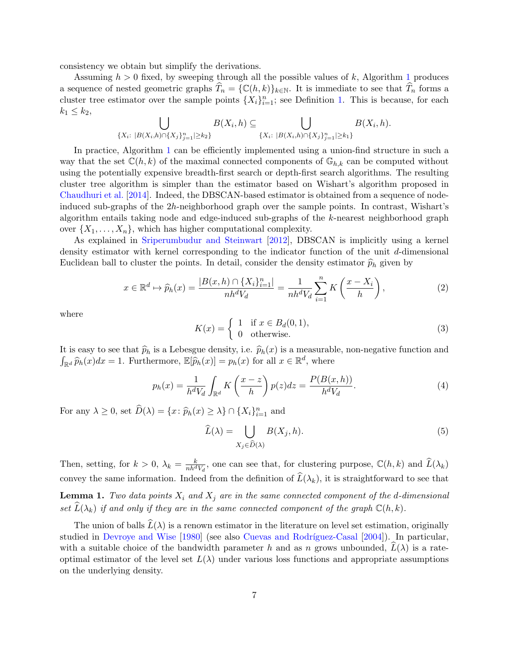consistency we obtain but simplify the derivations.

Assuming  $h > 0$  fixed, by sweeping through all the possible values of k, Algorithm [1](#page-5-1) produces a sequence of nested geometric graphs  $T_n = \{C(h, k)\}_{k \in \mathbb{N}}$ . It is immediate to see that  $T_n$  forms a cluster tree estimator over the sample points  $\{X_i\}_{i=1}^n$ ; see Definition [1.](#page-4-0) This is because, for each  $k_1 \leq k_2$ 

$$
\bigcup_{\{X_i: \ |B(X_i,h)\cap\{X_j\}_{j=1}^n|\geq k_2\}} B(X_i,h) \subseteq \bigcup_{\{X_i: \ |B(X_i,h)\cap\{X_j\}_{j=1}^n|\geq k_1\}} B(X_i,h).
$$

In practice, Algorithm [1](#page-5-1) can be efficiently implemented using a union-find structure in such a way that the set  $\mathbb{C}(h,k)$  of the maximal connected components of  $\mathbb{G}_{h,k}$  can be computed without using the potentially expensive breadth-first search or depth-first search algorithms. The resulting cluster tree algorithm is simpler than the estimator based on Wishart's algorithm proposed in [Chaudhuri et al.](#page-24-0) [\[2014\]](#page-24-0). Indeed, the DBSCAN-based estimator is obtained from a sequence of nodeinduced sub-graphs of the 2h-neighborhood graph over the sample points. In contrast, Wishart's algorithm entails taking node and edge-induced sub-graphs of the k-nearest neighborhood graph over  $\{X_1, \ldots, X_n\}$ , which has higher computational complexity.

As explained in [Sriperumbudur and Steinwart](#page-26-0) [\[2012\]](#page-26-0), DBSCAN is implicitly using a kernel density estimator with kernel corresponding to the indicator function of the unit d-dimensional Euclidean ball to cluster the points. In detail, consider the density estimator  $\hat{p}_h$  given by

$$
x \in \mathbb{R}^d \mapsto \widehat{p}_h(x) = \frac{|B(x, h) \cap \{X_i\}_{i=1}^n|}{nh^d V_d} = \frac{1}{nh^d V_d} \sum_{i=1}^n K\left(\frac{x - X_i}{h}\right),\tag{2}
$$

where

$$
K(x) = \begin{cases} 1 & \text{if } x \in B_d(0,1), \\ 0 & \text{otherwise.} \end{cases}
$$
 (3)

It is easy to see that  $\hat{p}_h$  is a Lebesgue density, i.e.  $\hat{p}_h(x)$  is a measurable, non-negative function and  $\int_{\mathbb{R}^d} \widehat{p}_h(x) dx = 1$ . Furthermore,  $\mathbb{E}[\widehat{p}_h(x)] = p_h(x)$  for all  $x \in \mathbb{R}^d$ , where

$$
p_h(x) = \frac{1}{h^d V_d} \int_{\mathbb{R}^d} K\left(\frac{x-z}{h}\right) p(z) dz = \frac{P(B(x,h))}{h^d V_d}.
$$
 (4)

For any  $\lambda \geq 0$ , set  $\widehat{D}(\lambda) = \{x : \widehat{p}_h(x) \geq \lambda\} \cap \{X_i\}_{i=1}^n$  and

$$
\widehat{L}(\lambda) = \bigcup_{X_j \in \widehat{D}(\lambda)} B(X_j, h). \tag{5}
$$

Then, setting, for  $k > 0$ ,  $\lambda_k = \frac{k}{nh^dV_d}$ , one can see that, for clustering purpose,  $\mathbb{C}(h, k)$  and  $\widehat{L}(\lambda_k)$ convey the same information. Indeed from the definition of  $\widehat{L}(\lambda_k)$ , it is straightforward to see that **Lemma 1.** Two data points  $X_i$  and  $X_j$  are in the same connected component of the d-dimensional

<span id="page-6-0"></span>set  $\widehat{L}(\lambda_k)$  if and only if they are in the same connected component of the graph  $\mathbb{C}(h, k)$ .

The union of balls  $\widehat{L}(\lambda)$  is a renown estimator in the literature on level set estimation, originally studied in [Devroye and Wise](#page-25-9) [\[1980\]](#page-25-9) (see also Cuevas and Rodríguez-Casal [\[2004\]](#page-24-5)). In particular, with a suitable choice of the bandwidth parameter h and as n grows unbounded,  $\hat{L}(\lambda)$  is a rateoptimal estimator of the level set  $L(\lambda)$  under various loss functions and appropriate assumptions on the underlying density.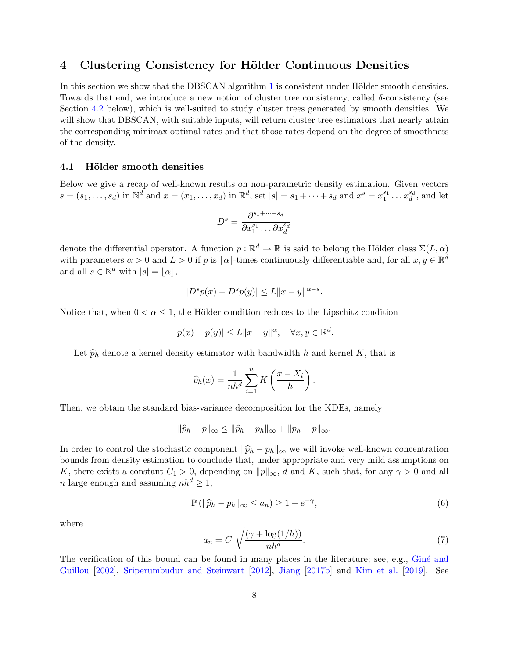## <span id="page-7-0"></span>4 Clustering Consistency for Hölder Continuous Densities

In this section we show that the DBSCAN algorithm [1](#page-5-1) is consistent under Hölder smooth densities. Towards that end, we introduce a new notion of cluster tree consistency, called δ-consistency (see Section [4.2](#page-8-1) below), which is well-suited to study cluster trees generated by smooth densities. We will show that DBSCAN, with suitable inputs, will return cluster tree estimators that nearly attain the corresponding minimax optimal rates and that those rates depend on the degree of smoothness of the density.

### <span id="page-7-2"></span>4.1 Hölder smooth densities

Below we give a recap of well-known results on non-parametric density estimation. Given vectors  $s = (s_1, \ldots, s_d)$  in  $\mathbb{N}^d$  and  $x = (x_1, \ldots, x_d)$  in  $\mathbb{R}^d$ , set  $|s| = s_1 + \cdots + s_d$  and  $x^s = x_1^{s_1} \ldots x_d^{s_d}$ , and let

$$
D^s = \frac{\partial^{s_1 + \dots + s_d}}{\partial x_1^{s_1} \dots \partial x_d^{s_d}}
$$

denote the differential operator. A function  $p : \mathbb{R}^d \to \mathbb{R}$  is said to belong the Hölder class  $\Sigma(L, \alpha)$ with parameters  $\alpha > 0$  and  $L > 0$  if p is  $|\alpha|$ -times continuously differentiable and, for all  $x, y \in \mathbb{R}^d$ and all  $s \in \mathbb{N}^d$  with  $|s| = |\alpha|$ ,

$$
|D^s p(x) - D^s p(y)| \le L ||x - y||^{\alpha - s}.
$$

Notice that, when  $0 < \alpha \leq 1$ , the Hölder condition reduces to the Lipschitz condition

$$
|p(x) - p(y)| \le L \|x - y\|^{\alpha}, \quad \forall x, y \in \mathbb{R}^d.
$$

Let  $\hat{p}_h$  denote a kernel density estimator with bandwidth h and kernel K, that is

$$
\widehat{p}_h(x) = \frac{1}{nh^d} \sum_{i=1}^n K\left(\frac{x - X_i}{h}\right).
$$

Then, we obtain the standard bias-variance decomposition for the KDEs, namely

$$
\|\widehat{p}_h-p\|_{\infty}\leq \|\widehat{p}_h-p_h\|_{\infty}+\|p_h-p\|_{\infty}.
$$

In order to control the stochastic component  $\|\widehat{p}_h - p_h\|_{\infty}$  we will invoke well-known concentration bounds from density estimation to conclude that, under appropriate and very mild assumptions on K, there exists a constant  $C_1 > 0$ , depending on  $||p||_{\infty}$ , d and K, such that, for any  $\gamma > 0$  and all n large enough and assuming  $nh^d \geq 1$ ,

<span id="page-7-1"></span>
$$
\mathbb{P}\left(\|\widehat{p}_h - p_h\|_{\infty} \le a_n\right) \ge 1 - e^{-\gamma},\tag{6}
$$

where

<span id="page-7-3"></span>
$$
a_n = C_1 \sqrt{\frac{(\gamma + \log(1/h))}{nh^d}}.\tag{7}
$$

The verification of this bound can be found in many places in the literature; see, e.g., Giné and [Guillou](#page-25-10) [\[2002\]](#page-25-10), [Sriperumbudur and Steinwart](#page-26-0) [\[2012\]](#page-26-0), [Jiang](#page-25-11) [\[2017b\]](#page-25-11) and [Kim et al.](#page-25-12) [\[2019\]](#page-25-12). See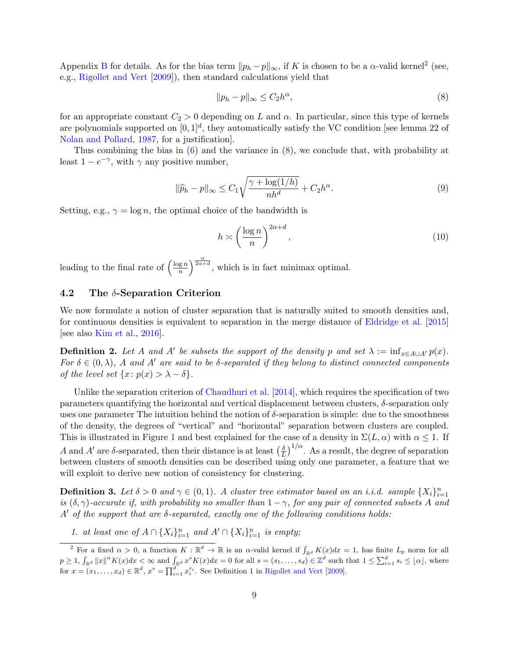Appendix [B](#page-27-4) for details. As for the bias term  $||p_h - p||_{\infty}$ , if K is chosen to be a  $\alpha$ -valid kernel<sup>[2](#page-8-2)</sup> (see, e.g., [Rigollet and Vert](#page-26-5) [\[2009\]](#page-26-5)), then standard calculations yield that

<span id="page-8-3"></span>
$$
||p_h - p||_{\infty} \le C_2 h^{\alpha},\tag{8}
$$

for an appropriate constant  $C_2 > 0$  depending on L and  $\alpha$ . In particular, since this type of kernels are polynomials supported on  $[0,1]^d$ , they automatically satisfy the VC condition [see lemma 22 of [Nolan and Pollard,](#page-26-14) [1987,](#page-26-14) for a justification].

Thus combining the bias in  $(6)$  and the variance in  $(8)$ , we conclude that, with probability at least  $1 - e^{-\gamma}$ , with  $\gamma$  any positive number,

<span id="page-8-5"></span>
$$
\|\widehat{p}_h - p\|_{\infty} \le C_1 \sqrt{\frac{\gamma + \log(1/h)}{nh^d}} + C_2 h^{\alpha}.
$$
\n(9)

Setting, e.g.,  $\gamma = \log n$ , the optimal choice of the bandwidth is

$$
h \asymp \left(\frac{\log n}{n}\right)^{2\alpha + d},\tag{10}
$$

leading to the final rate of  $\left(\frac{\log n}{n}\right)$  $\left(\frac{\mathbf{g} n}{n}\right)^{\frac{\alpha}{2\alpha+d}},$  which is in fact minimax optimal.

## <span id="page-8-1"></span>4.2 The  $\delta$ -Separation Criterion

We now formulate a notion of cluster separation that is naturally suited to smooth densities and, for continuous densities is equivalent to separation in the merge distance of [Eldridge et al.](#page-25-5) [\[2015\]](#page-25-5) [see also [Kim et al.,](#page-25-6) [2016\]](#page-25-6).

<span id="page-8-0"></span>**Definition 2.** Let A and A' be subsets the support of the density p and set  $\lambda := \inf_{x \in A \cup A'} p(x)$ . For  $\delta \in (0, \lambda)$ , A and A' are said to be  $\delta$ -separated if they belong to distinct connected components of the level set  $\{x: p(x) > \lambda - \delta\}.$ 

Unlike the separation criterion of [Chaudhuri et al.](#page-24-0) [\[2014\]](#page-24-0), which requires the specification of two parameters quantifying the horizontal and vertical displacement between clusters,  $\delta$ -separation only uses one parameter The intuition behind the notion of  $\delta$ -separation is simple: due to the smoothness of the density, the degrees of "vertical" and "horizontal" separation between clusters are coupled. This is illustrated in Figure [1](#page-10-0) and best explained for the case of a density in  $\Sigma(L, \alpha)$  with  $\alpha \leq 1$ . If A and A' are  $\delta$ -separated, then their distance is at least  $\left(\frac{\delta}{I}\right)$  $\frac{\delta}{L}$ )<sup>1/ $\alpha$ </sup>. As a result, the degree of separation between clusters of smooth densities can be described using only one parameter, a feature that we will exploit to derive new notion of consistency for clustering.

<span id="page-8-4"></span>**Definition 3.** Let  $\delta > 0$  and  $\gamma \in (0,1)$ . A cluster tree estimator based on an i.i.d. sample  $\{X_i\}_{i=1}^n$ is  $(\delta, \gamma)$ -accurate if, with probability no smaller than  $1 - \gamma$ , for any pair of connected subsets A and A' of the support that are  $\delta$ -separated, exactly one of the following conditions holds:

1. at least one of  $A \cap {X_i}_{i=1}^n$  and  $A' \cap {X_i}_{i=1}^n$  is empty;

<span id="page-8-2"></span><sup>&</sup>lt;sup>2</sup> For a fixed  $\alpha > 0$ , a function  $K : \mathbb{R}^d \to \mathbb{R}$  is an  $\alpha$ -valid kernel if  $\int_{\mathbb{R}^d} K(x)dx = 1$ , has finite  $L_p$  norm for all  $p \geq 1$ ,  $\int_{\mathbb{R}^d} ||x||^{\alpha} K(x) dx < \infty$  and  $\int_{\mathbb{R}^d} x^s K(x) dx = 0$  for all  $s = (s_1, \ldots, s_d) \in \mathbb{Z}^d$  such that  $1 \leq \sum_{i=1}^d s_i \leq \lfloor \alpha \rfloor$ , where for  $x = (x_1, \ldots, x_d) \in \mathbb{R}^d$ ,  $x^s = \prod_{i=1}^d x_i^{s_i}$ . See Definition 1 in [Rigollet and Vert](#page-26-5) [\[2009\]](#page-26-5).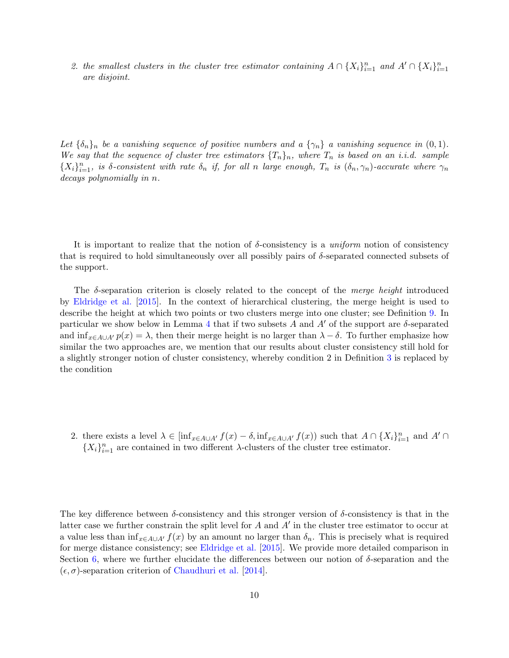2. the smallest clusters in the cluster tree estimator containing  $A \cap {X_i}_{i=1}^n$  and  $A' \cap {X_i}_{i=1}^n$ are disjoint.

Let  $\{\delta_n\}_n$  be a vanishing sequence of positive numbers and a  $\{\gamma_n\}$  a vanishing sequence in  $(0, 1)$ . We say that the sequence of cluster tree estimators  $\{T_n\}_n$ , where  $T_n$  is based on an i.i.d. sample  ${X_i}_{i=1}^n$ , is δ-consistent with rate  $\delta_n$  if, for all n large enough,  $T_n$  is  $(\delta_n, \gamma_n)$ -accurate where  $\gamma_n$ decays polynomially in n.

It is important to realize that the notion of  $\delta$ -consistency is a uniform notion of consistency that is required to hold simultaneously over all possibly pairs of  $\delta$ -separated connected subsets of the support.

The  $\delta$ -separation criterion is closely related to the concept of the *merge height* introduced by [Eldridge et al.](#page-25-5) [\[2015\]](#page-25-5). In the context of hierarchical clustering, the merge height is used to describe the height at which two points or two clusters merge into one cluster; see Definition [9.](#page-22-0) In particular we show below in Lemma [4](#page-28-0) that if two subsets A and A' of the support are  $\delta$ -separated and  $\inf_{x \in A \cup A'} p(x) = \lambda$ , then their merge height is no larger than  $\lambda - \delta$ . To further emphasize how similar the two approaches are, we mention that our results about cluster consistency still hold for a slightly stronger notion of cluster consistency, whereby condition 2 in Definition [3](#page-8-4) is replaced by the condition

2. there exists a level  $\lambda \in \left[\inf_{x \in A \cup A'} f(x) - \delta, \inf_{x \in A \cup A'} f(x)\right]$  such that  $A \cap \{X_i\}_{i=1}^n$  and  $A' \cap$  $\{X_i\}_{i=1}^n$  are contained in two different  $\lambda$ -clusters of the cluster tree estimator.

The key difference between  $\delta$ -consistency and this stronger version of  $\delta$ -consistency is that in the latter case we further constrain the split level for  $A$  and  $A'$  in the cluster tree estimator to occur at a value less than  $\inf_{x \in A \cup A'} f(x)$  by an amount no larger than  $\delta_n$ . This is precisely what is required for merge distance consistency; see [Eldridge et al.](#page-25-5) [\[2015\]](#page-25-5). We provide more detailed comparison in Section [6,](#page-21-0) where we further elucidate the differences between our notion of  $\delta$ -separation and the  $(\epsilon, \sigma)$ -separation criterion of [Chaudhuri et al.](#page-24-0) [\[2014\]](#page-24-0).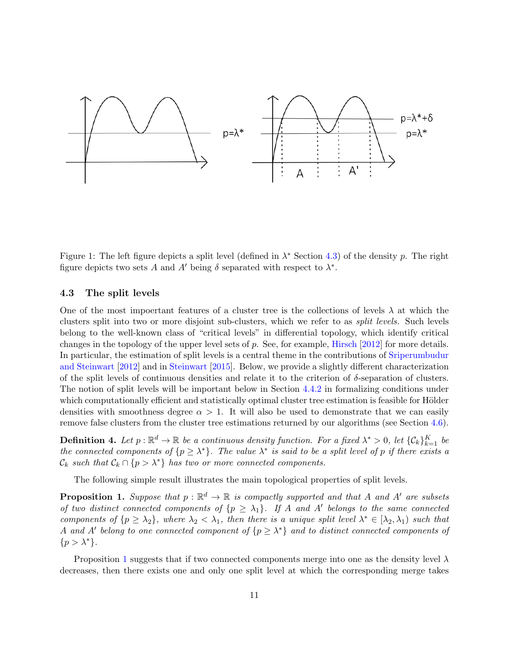

<span id="page-10-0"></span>Figure 1: The left figure depicts a split level (defined in  $\lambda^*$  Section [4.3\)](#page-10-1) of the density p. The right figure depicts two sets A and A' being  $\delta$  separated with respect to  $\lambda^*$ .

## <span id="page-10-1"></span>4.3 The split levels

One of the most impoertant features of a cluster tree is the collections of levels  $\lambda$  at which the clusters split into two or more disjoint sub-clusters, which we refer to as split levels. Such levels belong to the well-known class of "critical levels" in differential topology, which identify critical changes in the topology of the upper level sets of p. See, for example, [Hirsch](#page-25-13) [\[2012\]](#page-25-13) for more details. In particular, the estimation of split levels is a central theme in the contributions of [Sriperumbudur](#page-26-0) [and Steinwart](#page-26-0) [\[2012\]](#page-26-0) and in [Steinwart](#page-26-13) [\[2015\]](#page-26-13). Below, we provide a slightly different characterization of the split levels of continuous densities and relate it to the criterion of  $\delta$ -separation of clusters. The notion of split levels will be important below in Section [4.4.2](#page-12-0) in formalizing conditions under which computationally efficient and statistically optimal cluster tree estimation is feasible for Hölder densities with smoothness degree  $\alpha > 1$ . It will also be used to demonstrate that we can easily remove false clusters from the cluster tree estimations returned by our algorithms (see Section [4.6\)](#page-16-0).

**Definition 4.** Let  $p : \mathbb{R}^d \to \mathbb{R}$  be a continuous density function. For a fixed  $\lambda^* > 0$ , let  $\{\mathcal{C}_k\}_{k=1}^K$  be the connected components of  $\{p \geq \lambda^*\}$ . The value  $\lambda^*$  is said to be a split level of p if there exists a  $\mathcal{C}_k$  such that  $\mathcal{C}_k \cap \{p > \lambda^*\}$  has two or more connected components.

The following simple result illustrates the main topological properties of split levels.

<span id="page-10-2"></span>**Proposition 1.** Suppose that  $p : \mathbb{R}^d \to \mathbb{R}$  is compactly supported and that A and A' are subsets of two distinct connected components of  $\{p \geq \lambda_1\}$ . If A and A' belongs to the same connected components of  $\{p \geq \lambda_2\}$ , where  $\lambda_2 < \lambda_1$ , then there is a unique split level  $\lambda^* \in [\lambda_2, \lambda_1)$  such that A and A' belong to one connected component of  $\{p \geq \lambda^*\}$  and to distinct connected components of  $\{p>\lambda^*\}.$ 

Proposition [1](#page-10-2) suggests that if two connected components merge into one as the density level  $\lambda$ decreases, then there exists one and only one split level at which the corresponding merge takes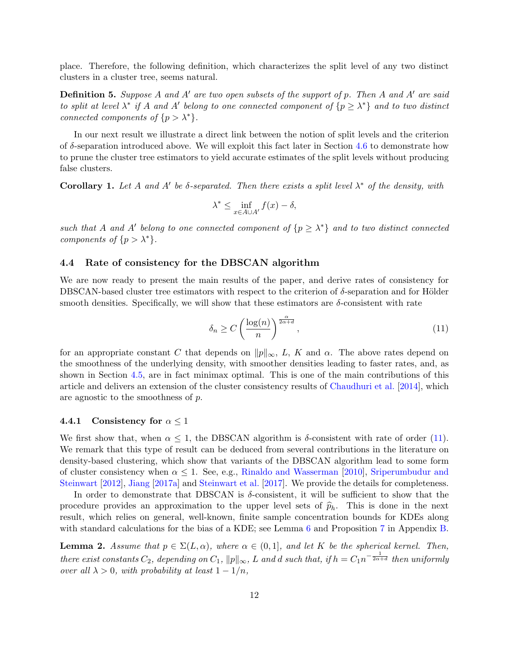place. Therefore, the following definition, which characterizes the split level of any two distinct clusters in a cluster tree, seems natural.

<span id="page-11-1"></span>**Definition 5.** Suppose A and A' are two open subsets of the support of p. Then A and A' are said to split at level  $\lambda^*$  if A and A' belong to one connected component of  $\{p \geq \lambda^*\}$  and to two distinct connected components of  $\{p > \lambda^*\}.$ 

In our next result we illustrate a direct link between the notion of split levels and the criterion of  $\delta$ -separation introduced above. We will exploit this fact later in Section [4.6](#page-16-0) to demonstrate how to prune the cluster tree estimators to yield accurate estimates of the split levels without producing false clusters.

<span id="page-11-2"></span>Corollary 1. Let A and A' be  $\delta$ -separated. Then there exists a split level  $\lambda^*$  of the density, with

$$
\lambda^* \le \inf_{x \in A \cup A'} f(x) - \delta,
$$

such that A and A' belong to one connected component of  $\{p \geq \lambda^*\}$  and to two distinct connected components of  $\{p > \lambda^*\}.$ 

### <span id="page-11-3"></span>4.4 Rate of consistency for the DBSCAN algorithm

We are now ready to present the main results of the paper, and derive rates of consistency for DBSCAN-based cluster tree estimators with respect to the criterion of  $\delta$ -separation and for Hölder smooth densities. Specifically, we will show that these estimators are  $\delta$ -consistent with rate

<span id="page-11-0"></span>
$$
\delta_n \ge C \left( \frac{\log(n)}{n} \right)^{\frac{\alpha}{2\alpha + d}},\tag{11}
$$

for an appropriate constant C that depends on  $||p||_{\infty}$ , L, K and  $\alpha$ . The above rates depend on the smoothness of the underlying density, with smoother densities leading to faster rates, and, as shown in Section [4.5,](#page-15-0) are in fact minimax optimal. This is one of the main contributions of this article and delivers an extension of the cluster consistency results of [Chaudhuri et al.](#page-24-0) [\[2014\]](#page-24-0), which are agnostic to the smoothness of p.

#### 4.4.1 Consistency for  $\alpha \leq 1$

We first show that, when  $\alpha \leq 1$ , the DBSCAN algorithm is  $\delta$ -consistent with rate of order [\(11\)](#page-11-0). We remark that this type of result can be deduced from several contributions in the literature on density-based clustering, which show that variants of the DBSCAN algorithm lead to some form of cluster consistency when  $\alpha \leq 1$ . See, e.g., [Rinaldo and Wasserman](#page-26-6) [\[2010\]](#page-26-6), [Sriperumbudur and](#page-26-0) [Steinwart](#page-26-0) [\[2012\]](#page-26-0), [Jiang](#page-25-2) [\[2017a\]](#page-25-2) and [Steinwart et al.](#page-26-1) [\[2017\]](#page-26-1). We provide the details for completeness.

In order to demonstrate that DBSCAN is  $\delta$ -consistent, it will be sufficient to show that the procedure provides an approximation to the upper level sets of  $\hat{p}_h$ . This is done in the next result, which relies on general, well-known, finite sample concentration bounds for KDEs along with standard calculations for the bias of a KDE; see Lemma [6](#page-39-0) and Proposition [7](#page-28-1) in Appendix [B.](#page-27-4)

<span id="page-11-4"></span>**Lemma 2.** Assume that  $p \in \Sigma(L, \alpha)$ , where  $\alpha \in (0, 1]$ , and let K be the spherical kernel. Then, there exist constants  $C_2$ , depending on  $C_1$ ,  $\|p\|_{\infty}$ , L and d such that, if  $h = C_1 n^{-\frac{1}{2\alpha+d}}$  then uniformly over all  $\lambda > 0$ , with probability at least  $1 - 1/n$ ,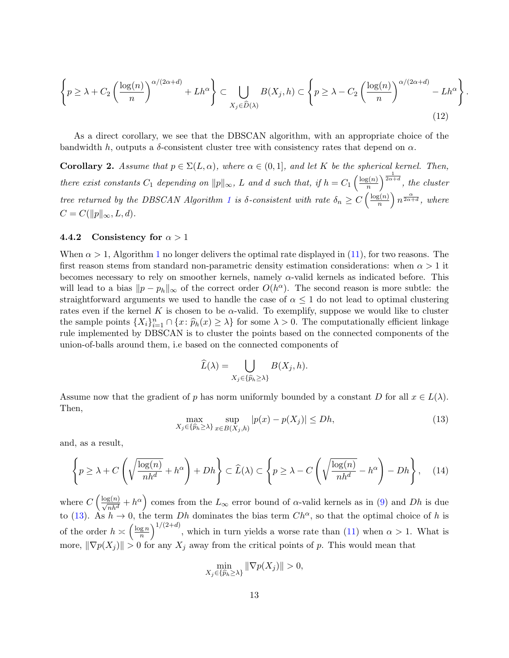$$
\left\{ p \ge \lambda + C_2 \left( \frac{\log(n)}{n} \right)^{\alpha/(2\alpha+d)} + Lh^{\alpha} \right\} \subset \bigcup_{X_j \in \widehat{D}(\lambda)} B(X_j, h) \subset \left\{ p \ge \lambda - C_2 \left( \frac{\log(n)}{n} \right)^{\alpha/(2\alpha+d)} - Lh^{\alpha} \right\}
$$
\n(12)

.

As a direct corollary, we see that the DBSCAN algorithm, with an appropriate choice of the bandwidth h, outputs a  $\delta$ -consistent cluster tree with consistency rates that depend on  $\alpha$ .

<span id="page-12-3"></span>**Corollary 2.** Assume that  $p \in \Sigma(L, \alpha)$ , where  $\alpha \in (0, 1]$ , and let K be the spherical kernel. Then, there exist constants  $C_1$  depending on  $||p||_{\infty}$ , L and d such that, if  $h = C_1 \left(\frac{\log(n)}{n}\right)$  $\left(\frac{g(n)}{n}\right)^{\frac{1}{2\alpha+d}},\;the\;cluster$ tree returned by the DBSCAN Algorithm [1](#page-5-1) is  $\delta$ -consistent with rate  $\delta_n \geq C \left(\frac{\log(n)}{n}\right)$  $\binom{n}{n}$   $n^{\frac{\alpha}{2\alpha+d}},$  where  $C = C(||p||_{\infty}, L, d).$ 

### <span id="page-12-0"></span>4.4.2 Consistency for  $\alpha > 1$

When  $\alpha > 1$  $\alpha > 1$ , Algorithm 1 no longer delivers the optimal rate displayed in [\(11\)](#page-11-0), for two reasons. The first reason stems from standard non-parametric density estimation considerations: when  $\alpha > 1$  it becomes necessary to rely on smoother kernels, namely  $\alpha$ -valid kernels as indicated before. This will lead to a bias  $||p - p_h||_{\infty}$  of the correct order  $O(h^{\alpha})$ . The second reason is more subtle: the straightforward arguments we used to handle the case of  $\alpha \leq 1$  do not lead to optimal clustering rates even if the kernel K is chosen to be  $\alpha$ -valid. To exemplify, suppose we would like to cluster the sample points  $\{X_i\}_{i=1}^n \cap \{x : \hat{p}_h(x) \geq \lambda\}$  for some  $\lambda > 0$ . The computationally efficient linkage rule implemented by DBSCAN is to cluster the points based on the connected components of the union-of-balls around them, i.e based on the connected components of

$$
\widehat{L}(\lambda) = \bigcup_{X_j \in \{\widehat{p}_h \ge \lambda\}} B(X_j, h).
$$

Assume now that the gradient of p has norm uniformly bounded by a constant D for all  $x \in L(\lambda)$ . Then,

<span id="page-12-1"></span>
$$
\max_{X_j \in \{\hat{p}_h \ge \lambda\}} \sup_{x \in B(X_j, h)} |p(x) - p(X_j)| \le Dh,\tag{13}
$$

and, as a result,

$$
\left\{ p \ge \lambda + C \left( \sqrt{\frac{\log(n)}{nh^d}} + h^{\alpha} \right) + Dh \right\} \subset \widehat{L}(\lambda) \subset \left\{ p \ge \lambda - C \left( \sqrt{\frac{\log(n)}{nh^d}} - h^{\alpha} \right) - Dh \right\}, \quad (14)
$$

where  $C\left(\frac{\log(n)}{\sqrt{nh^d}}+h^{\alpha}\right)$  comes from the  $L_{\infty}$  error bound of  $\alpha$ -valid kernels as in [\(9\)](#page-8-5) and Dh is due to [\(13\)](#page-12-1). As  $h \to 0$ , the term Dh dominates the bias term  $Ch^{\alpha}$ , so that the optimal choice of h is of the order  $h \asymp \left(\frac{\log n}{n}\right)$  $\left(\frac{\text{g }n}{n}\right)^{1/(2+d)}$ , which in turn yields a worse rate than [\(11\)](#page-11-0) when  $\alpha > 1$ . What is more,  $\|\nabla p(X_j)\| > 0$  for any  $X_j$  away from the critical points of p. This would mean that

<span id="page-12-2"></span>
$$
\min_{X_j \in \{\widehat{p}_h \ge \lambda\}} \|\nabla p(X_j)\| > 0,
$$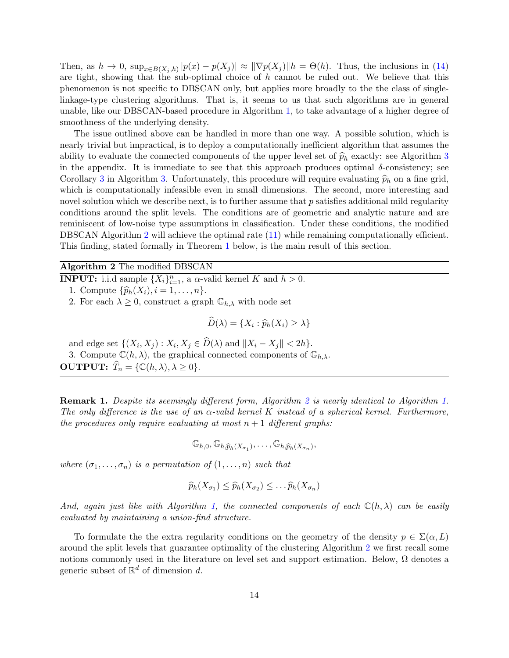Then, as  $h \to 0$ ,  $\sup_{x \in B(X_j,h)} |p(x) - p(X_j)| \approx ||\nabla p(X_j)||h = \Theta(h)$ . Thus, the inclusions in [\(14\)](#page-12-2) are tight, showing that the sub-optimal choice of h cannot be ruled out. We believe that this phenomenon is not specific to DBSCAN only, but applies more broadly to the the class of singlelinkage-type clustering algorithms. That is, it seems to us that such algorithms are in general unable, like our DBSCAN-based procedure in Algorithm [1,](#page-5-1) to take advantage of a higher degree of smoothness of the underlying density.

The issue outlined above can be handled in more than one way. A possible solution, which is nearly trivial but impractical, is to deploy a computationally inefficient algorithm that assumes the ability to evaluate the connected components of the upper level set of  $\hat{p}_h$  exactly: see Algorithm [3](#page-39-1) in the appendix. It is immediate to see that this approach produces optimal  $\delta$ -consistency; see Corollary [3](#page-39-2) in Algorithm [3.](#page-39-1) Unfortunately, this procedure will require evaluating  $\hat{p}_h$  on a fine grid, which is computationally infeasible even in small dimensions. The second, more interesting and novel solution which we describe next, is to further assume that  $p$  satisfies additional mild regularity conditions around the split levels. The conditions are of geometric and analytic nature and are reminiscent of low-noise type assumptions in classification. Under these conditions, the modified DBSCAN Algorithm [2](#page-13-0) will achieve the optimal rate [\(11\)](#page-11-0) while remaining computationally efficient. This finding, stated formally in Theorem [1](#page-15-1) below, is the main result of this section.

Algorithm 2 The modified DBSCAN

**INPUT:** i.i.d sample  $\{X_i\}_{i=1}^n$ , a  $\alpha$ -valid kernel K and  $h > 0$ .

1. Compute  $\{\widehat{p}_h(X_i), i = 1, \ldots, n\}.$ 

2. For each  $\lambda \geq 0$ , construct a graph  $\mathbb{G}_{h,\lambda}$  with node set

<span id="page-13-0"></span>
$$
\widehat{D}(\lambda) = \{X_i : \widehat{p}_h(X_i) \ge \lambda\}
$$

and edge set  $\{(X_i, X_j) : X_i, X_j \in D(\lambda) \text{ and } ||X_i - X_j|| < 2h\}.$ 3. Compute  $\mathbb{C}(h,\lambda)$ , the graphical connected components of  $\mathbb{G}_{h,\lambda}$ . **OUTPUT:**  $\widehat{T}_n = \{ \mathbb{C}(h, \lambda), \lambda \geq 0 \}.$ 

Remark 1. Despite its seemingly different form, Algorithm [2](#page-13-0) is nearly identical to Algorithm [1.](#page-5-1) The only difference is the use of an  $\alpha$ -valid kernel K instead of a spherical kernel. Furthermore, the procedures only require evaluating at most  $n+1$  different graphs:

$$
\mathbb{G}_{h,0}, \mathbb{G}_{h,\widehat{p}_h(X_{\sigma_1})}, \ldots, \mathbb{G}_{h,\widehat{p}_h(X_{\sigma_n})},
$$

where  $(\sigma_1, \ldots, \sigma_n)$  is a permutation of  $(1, \ldots, n)$  such that

$$
\widehat{p}_h(X_{\sigma_1}) \leq \widehat{p}_h(X_{\sigma_2}) \leq \ldots \widehat{p}_h(X_{\sigma_n})
$$

And, again just like with Algorithm [1,](#page-5-1) the connected components of each  $\mathbb{C}(h,\lambda)$  can be easily evaluated by maintaining a union-find structure.

To formulate the the extra regularity conditions on the geometry of the density  $p \in \Sigma(\alpha, L)$ around the split levels that guarantee optimality of the clustering Algorithm [2](#page-13-0) we first recall some notions commonly used in the literature on level set and support estimation. Below,  $\Omega$  denotes a generic subset of  $\mathbb{R}^d$  of dimension d.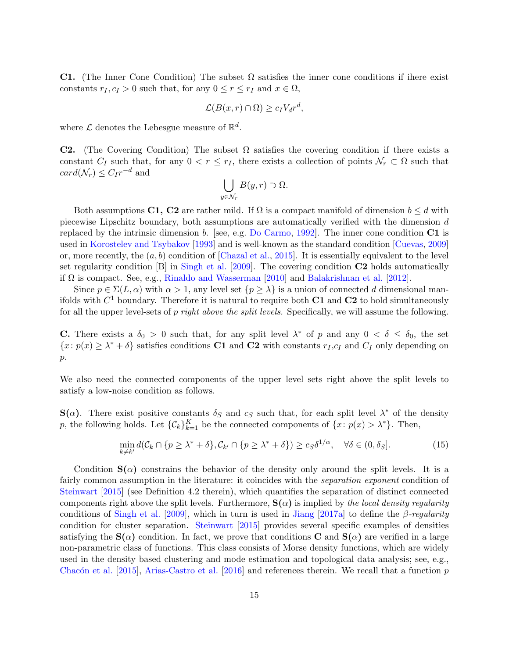**C1.** (The Inner Cone Condition) The subset  $\Omega$  satisfies the inner cone conditions if ihere exist constants  $r_I, c_I > 0$  such that, for any  $0 \le r \le r_I$  and  $x \in \Omega$ ,

$$
\mathcal{L}(B(x,r)\cap\Omega)\geq c_I V_d r^d,
$$

where  $\mathcal L$  denotes the Lebesgue measure of  $\mathbb R^d$ .

**C2.** (The Covering Condition) The subset  $\Omega$  satisfies the covering condition if there exists a constant  $C_I$  such that, for any  $0 < r \leq r_I$ , there exists a collection of points  $\mathcal{N}_r \subset \Omega$  such that  $card(\mathcal{N}_r) \leq C_I r^{-d}$  and

$$
\bigcup_{y \in \mathcal{N}_r} B(y,r) \supset \Omega.
$$

Both assumptions C1, C2 are rather mild. If  $\Omega$  is a compact manifold of dimension  $b \leq d$  with piecewise Lipschitz boundary, both assumptions are automatically verified with the dimension d replaced by the intrinsic dimension b. [see, e.g. [Do Carmo,](#page-25-14) [1992\]](#page-25-14). The inner cone condition  $C1$  is used in [Korostelev and Tsybakov](#page-26-15) [\[1993\]](#page-26-15) and is well-known as the standard condition [\[Cuevas,](#page-24-6) [2009\]](#page-24-6) or, more recently, the  $(a, b)$  condition of [\[Chazal et al.,](#page-24-7) [2015\]](#page-24-7). It is essentially equivalent to the level set regularity condition [B] in [Singh et al.](#page-26-4) [\[2009\]](#page-26-4). The covering condition C2 holds automatically if  $\Omega$  is compact. See, e.g., [Rinaldo and Wasserman](#page-26-6) [\[2010\]](#page-26-6) and [Balakrishnan et al.](#page-24-3) [\[2012\]](#page-24-3).

Since  $p \in \Sigma(L, \alpha)$  with  $\alpha > 1$ , any level set  $\{p \geq \lambda\}$  is a union of connected d dimensional manifolds with  $C^1$  boundary. Therefore it is natural to require both  $C1$  and  $C2$  to hold simultaneously for all the upper level-sets of p right above the split levels. Specifically, we will assume the following.

**C.** There exists a  $\delta_0 > 0$  such that, for any split level  $\lambda^*$  of p and any  $0 < \delta \leq \delta_0$ , the set  ${x: p(x) \geq \lambda^* + \delta}$  satisfies conditions C1 and C2 with constants  $r_I, c_I$  and  $C_I$  only depending on  $p$ .

We also need the connected components of the upper level sets right above the split levels to satisfy a low-noise condition as follows.

 $\mathbf{S}(\alpha)$ . There exist positive constants  $\delta_S$  and  $c_S$  such that, for each split level  $\lambda^*$  of the density p, the following holds. Let  $\{\mathcal{C}_k\}_{k=1}^K$  be the connected components of  $\{x: p(x) > \lambda^*\}$ . Then,

$$
\min_{k \neq k'} d(\mathcal{C}_k \cap \{p \ge \lambda^* + \delta\}, \mathcal{C}_{k'} \cap \{p \ge \lambda^* + \delta\}) \ge c_S \delta^{1/\alpha}, \quad \forall \delta \in (0, \delta_S].
$$
\n(15)

Condition  $S(\alpha)$  constrains the behavior of the density only around the split levels. It is a fairly common assumption in the literature: it coincides with the *separation exponent* condition of [Steinwart](#page-26-13) [\[2015\]](#page-26-13) (see Definition 4.2 therein), which quantifies the separation of distinct connected components right above the split levels. Furthermore,  $S(\alpha)$  is implied by the local density regularity conditions of [Singh et al.](#page-26-4) [\[2009\]](#page-26-4), which in turn is used in [Jiang](#page-25-2) [\[2017a\]](#page-25-2) to define the β-regularity condition for cluster separation. [Steinwart](#page-26-13) [\[2015\]](#page-26-13) provides several specific examples of densities satisfying the  $S(\alpha)$  condition. In fact, we prove that conditions **C** and  $S(\alpha)$  are verified in a large non-parametric class of functions. This class consists of Morse density functions, which are widely used in the density based clustering and mode estimation and topological data analysis; see, e.g., Chacón et al. [\[2015\]](#page-24-8), [Arias-Castro et al.](#page-24-9) [\[2016\]](#page-24-9) and references therein. We recall that a function  $p$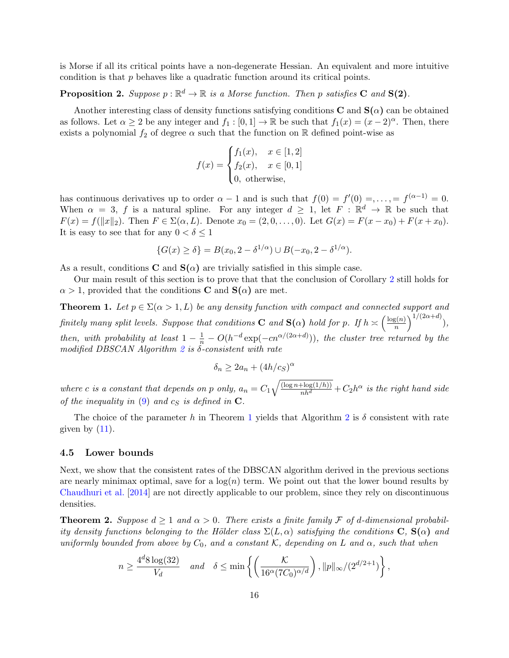is Morse if all its critical points have a non-degenerate Hessian. An equivalent and more intuitive condition is that p behaves like a quadratic function around its critical points.

## <span id="page-15-2"></span>**Proposition 2.** Suppose  $p : \mathbb{R}^d \to \mathbb{R}$  is a Morse function. Then p satisfies C and  $S(2)$ .

Another interesting class of density functions satisfying conditions  $C$  and  $S(\alpha)$  can be obtained as follows. Let  $\alpha \geq 2$  be any integer and  $f_1 : [0,1] \to \mathbb{R}$  be such that  $f_1(x) = (x-2)^{\alpha}$ . Then, there exists a polynomial  $f_2$  of degree  $\alpha$  such that the function on R defined point-wise as

$$
f(x) = \begin{cases} f_1(x), & x \in [1,2] \\ f_2(x), & x \in [0,1] \\ 0, \text{ otherwise,} \end{cases}
$$

has continuous derivatives up to order  $\alpha - 1$  and is such that  $f(0) = f'(0) = \ldots = f^{(\alpha-1)} = 0$ . When  $\alpha = 3$ , f is a natural spline. For any integer  $d \geq 1$ , let  $F : \mathbb{R}^d \to \mathbb{R}$  be such that  $F(x) = f(||x||_2)$ . Then  $F \in \Sigma(\alpha, L)$ . Denote  $x_0 = (2, 0, \ldots, 0)$ . Let  $G(x) = F(x - x_0) + F(x + x_0)$ . It is easy to see that for any  $0 < \delta \leq 1$ 

$$
\{G(x) \ge \delta\} = B(x_0, 2 - \delta^{1/\alpha}) \cup B(-x_0, 2 - \delta^{1/\alpha}).
$$

As a result, conditions **C** and  $S(\alpha)$  are trivially satisfied in this simple case.

Our main result of this section is to prove that that the conclusion of Corollary [2](#page-12-3) still holds for  $\alpha > 1$ , provided that the conditions **C** and **S**( $\alpha$ ) are met.

<span id="page-15-1"></span>**Theorem 1.** Let  $p \in \Sigma(\alpha > 1, L)$  be any density function with compact and connected support and finitely many split levels. Suppose that conditions **C** and  $S(\alpha)$  hold for p. If  $h \geq \left(\frac{\log(n)}{n}\right)$  $\binom{n}{n}$ <sup>1/(2 $\alpha+d$ )</sup>), then, with probability at least  $1 - \frac{1}{n} - O(h^{-d} \exp(-cn^{\alpha/(2\alpha+d)}))$ , the cluster tree returned by the modified DBSCAN Algorithm  $2$  is  $\delta$ -consistent with rate

$$
\delta_n \ge 2a_n + (4h/c_S)^{\alpha}
$$

where c is a constant that depends on p only,  $a_n = C_1 \sqrt{\frac{(\log n + \log(1/h))}{nh^d}} + C_2 h^{\alpha}$  is the right hand side of the inequality in  $(9)$  and  $c<sub>S</sub>$  is defined in C.

The choice of the parameter h in Theorem [1](#page-15-1) yields that Algorithm [2](#page-13-0) is  $\delta$  consistent with rate given by  $(11)$ .

#### <span id="page-15-0"></span>4.5 Lower bounds

Next, we show that the consistent rates of the DBSCAN algorithm derived in the previous sections are nearly minimax optimal, save for a  $log(n)$  term. We point out that the lower bound results by [Chaudhuri et al.](#page-24-0) [\[2014\]](#page-24-0) are not directly applicable to our problem, since they rely on discontinuous densities.

<span id="page-15-3"></span>**Theorem 2.** Suppose  $d \ge 1$  and  $\alpha > 0$ . There exists a finite family F of d-dimensional probability density functions belonging to the Hölder class  $\Sigma(L, \alpha)$  satisfying the conditions  $\mathbf{C}, \mathbf{S}(\alpha)$  and uniformly bounded from above by  $C_0$ , and a constant K, depending on L and  $\alpha$ , such that when

$$
n \ge \frac{4^d 8 \log(32)}{V_d} \quad \text{and} \quad \delta \le \min\left\{ \left( \frac{\mathcal{K}}{16^{\alpha} (7C_0)^{\alpha/d}} \right), ||p||_{\infty} / (2^{d/2+1}) \right\},\,
$$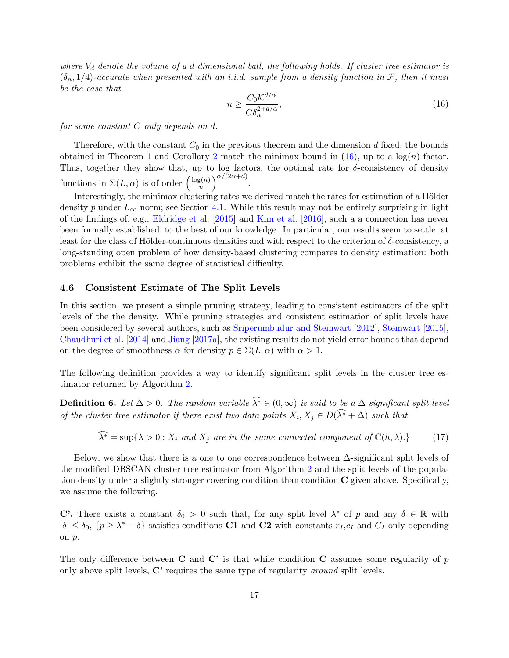where  $V_d$  denote the volume of a d dimensional ball, the following holds. If cluster tree estimator is  $(\delta_n, 1/4)$ -accurate when presented with an i.i.d. sample from a density function in F, then it must be the case that

<span id="page-16-1"></span>
$$
n \ge \frac{C_0 \mathcal{K}^{d/\alpha}}{C \delta_n^{2 + d/\alpha}},\tag{16}
$$

for some constant C only depends on d.

Therefore, with the constant  $C_0$  in the previous theorem and the dimension d fixed, the bounds obtained in Theorem [1](#page-15-1) and Corollary [2](#page-12-3) match the minimax bound in  $(16)$ , up to a  $log(n)$  factor. Thus, together they show that, up to log factors, the optimal rate for  $\delta$ -consistency of density functions in  $\Sigma(L, \alpha)$  is of order  $\left(\frac{\log(n)}{n}\right)$  $\binom{\log(n)}{n}$ <sup> $\alpha/(2\alpha+d)$ </sup>.

Interestingly, the minimax clustering rates we derived match the rates for estimation of a Hölder density p under  $L_{\infty}$  norm; see Section [4.1.](#page-7-2) While this result may not be entirely surprising in light of the findings of, e.g., [Eldridge et al.](#page-25-5) [\[2015\]](#page-25-5) and [Kim et al.](#page-25-6) [\[2016\]](#page-25-6), such a a connection has never been formally established, to the best of our knowledge. In particular, our results seem to settle, at least for the class of Hölder-continuous densities and with respect to the criterion of  $\delta$ -consistency, a long-standing open problem of how density-based clustering compares to density estimation: both problems exhibit the same degree of statistical difficulty.

### <span id="page-16-0"></span>4.6 Consistent Estimate of The Split Levels

In this section, we present a simple pruning strategy, leading to consistent estimators of the split levels of the the density. While pruning strategies and consistent estimation of split levels have been considered by several authors, such as [Sriperumbudur and Steinwart](#page-26-0) [\[2012\]](#page-26-0), [Steinwart](#page-26-13) [\[2015\]](#page-26-13), [Chaudhuri et al.](#page-24-0) [\[2014\]](#page-24-0) and [Jiang](#page-25-2) [\[2017a\]](#page-25-2), the existing results do not yield error bounds that depend on the degree of smoothness  $\alpha$  for density  $p \in \Sigma(L, \alpha)$  with  $\alpha > 1$ .

The following definition provides a way to identify significant split levels in the cluster tree estimator returned by Algorithm [2.](#page-13-0)

**Definition 6.** Let  $\Delta > 0$ . The random variable  $\widehat{\lambda^*} \in (0, \infty)$  is said to be a  $\Delta$ -significant split level of the cluster tree estimator if there exist two data points  $X_i, X_j \in D(\lambda^* + \Delta)$  such that

<span id="page-16-3"></span>
$$
\widehat{\lambda^*} = \sup \{ \lambda > 0 : X_i \text{ and } X_j \text{ are in the same connected component of } \mathbb{C}(h, \lambda) . \}
$$
 (17)

Below, we show that there is a one to one correspondence between  $\Delta$ -significant split levels of the modified DBSCAN cluster tree estimator from Algorithm [2](#page-13-0) and the split levels of the population density under a slightly stronger covering condition than condition C given above. Specifically, we assume the following.

C'. There exists a constant  $\delta_0 > 0$  such that, for any split level  $\lambda^*$  of p and any  $\delta \in \mathbb{R}$  with  $|\delta| \leq \delta_0$ ,  $\{p \geq \lambda^* + \delta\}$  satisfies conditions C1 and C2 with constants  $r_I, c_I$  and  $C_I$  only depending on p.

<span id="page-16-2"></span>The only difference between  $C$  and  $C'$  is that while condition  $C$  assumes some regularity of p only above split levels, C' requires the same type of regularity around split levels.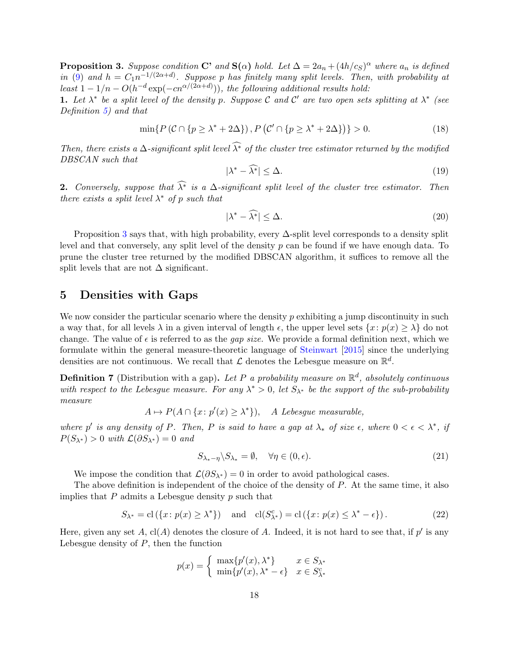**Proposition 3.** Suppose condition C' and  $S(\alpha)$  hold. Let  $\Delta = 2a_n + (4h/c_S)^{\alpha}$  where  $a_n$  is defined in [\(9\)](#page-8-5) and  $h = C_1 n^{-1/(2\alpha+d)}$ . Suppose p has finitely many split levels. Then, with probability at least  $1-1/n-O(h^{-d}\exp(-cn^{\alpha/(2\alpha+d)}))$ , the following additional results hold:

1. Let  $\lambda^*$  be a split level of the density p. Suppose C and C' are two open sets splitting at  $\lambda^*$  (see Definition [5\)](#page-11-1) and that

<span id="page-17-2"></span>
$$
\min\{P(\mathcal{C}\cap\{p\ge\lambda^*+2\Delta\}), P(\mathcal{C}'\cap\{p\ge\lambda^*+2\Delta\})\}>0. \tag{18}
$$

Then, there exists a  $\Delta$ -significant split level  $\widehat{\lambda^*}$  of the cluster tree estimator returned by the modified DBSCAN such that

$$
|\lambda^* - \widehat{\lambda^*}| \le \Delta. \tag{19}
$$

2. Conversely, suppose that  $\widehat{\lambda^*}$  is a  $\Delta$ -significant split level of the cluster tree estimator. Then there exists a split level  $\lambda^*$  of p such that

$$
|\lambda^* - \widehat{\lambda^*}| \le \Delta. \tag{20}
$$

Proposition [3](#page-16-2) says that, with high probability, every  $\Delta$ -split level corresponds to a density split level and that conversely, any split level of the density p can be found if we have enough data. To prune the cluster tree returned by the modified DBSCAN algorithm, it suffices to remove all the split levels that are not  $\Delta$  significant.

## <span id="page-17-0"></span>5 Densities with Gaps

We now consider the particular scenario where the density  $p$  exhibiting a jump discontinuity in such a way that, for all levels  $\lambda$  in a given interval of length  $\epsilon$ , the upper level sets  $\{x: p(x) \geq \lambda\}$  do not change. The value of  $\epsilon$  is referred to as the *gap size*. We provide a formal definition next, which we formulate within the general measure-theoretic language of [Steinwart](#page-26-13) [\[2015\]](#page-26-13) since the underlying densities are not continuous. We recall that  $\mathcal L$  denotes the Lebesgue measure on  $\mathbb R^d$ .

**Definition 7** (Distribution with a gap). Let P a probability measure on  $\mathbb{R}^d$ , absolutely continuous with respect to the Lebesgue measure. For any  $\lambda^* > 0$ , let  $S_{\lambda^*}$  be the support of the sub-probability measure

$$
A \mapsto P(A \cap \{x : p'(x) \ge \lambda^*\}), \quad A \text{ Lebesgue measurable},
$$

where p' is any density of P. Then, P is said to have a gap at  $\lambda_*$  of size  $\epsilon$ , where  $0 < \epsilon < \lambda^*$ , if  $P(S_{\lambda^*}) > 0$  with  $\mathcal{L}(\partial S_{\lambda^*}) = 0$  and

$$
S_{\lambda_* - \eta} \backslash S_{\lambda_*} = \emptyset, \quad \forall \eta \in (0, \epsilon). \tag{21}
$$

We impose the condition that  $\mathcal{L}(\partial S_{\lambda^*}) = 0$  in order to avoid pathological cases.

The above definition is independent of the choice of the density of  $P$ . At the same time, it also implies that  $P$  admits a Lebesgue density  $p$  such that

<span id="page-17-1"></span>
$$
S_{\lambda^*} = \text{cl}(\{x \colon p(x) \ge \lambda^*\}) \quad \text{and} \quad \text{cl}(S_{\lambda^*}^c) = \text{cl}(\{x \colon p(x) \le \lambda^* - \epsilon\}).\tag{22}
$$

Here, given any set A,  $\text{cl}(A)$  denotes the closure of A. Indeed, it is not hard to see that, if  $p'$  is any Lebesgue density of  $P$ , then the function

$$
p(x) = \begin{cases} \max\{p'(x), \lambda^*\} & x \in S_{\lambda^*} \\ \min\{p'(x), \lambda^* - \epsilon\} & x \in S_{\lambda^*}^c \end{cases}
$$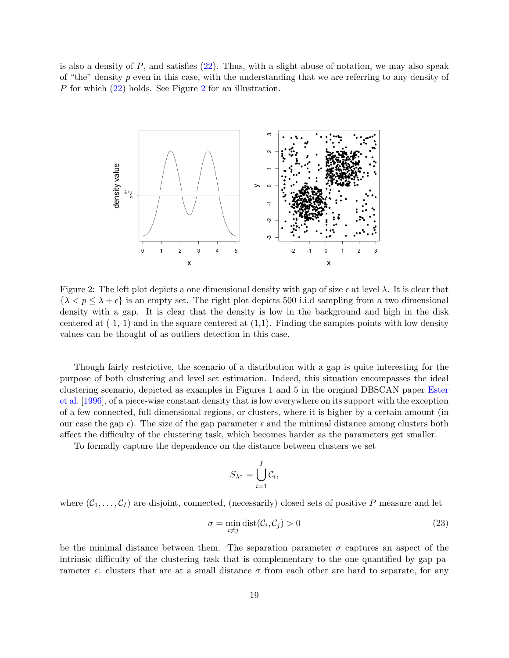is also a density of  $P$ , and satisfies [\(22\)](#page-17-1). Thus, with a slight abuse of notation, we may also speak of "the" density  $p$  even in this case, with the understanding that we are referring to any density of P for which [\(22\)](#page-17-1) holds. See Figure [2](#page-18-0) for an illustration.



Figure 2: The left plot depicts a one dimensional density with gap of size  $\epsilon$  at level  $\lambda$ . It is clear that  $\{\lambda < p \leq \lambda + \epsilon\}$  is an empty set. The right plot depicts 500 i.i.d sampling from a two dimensional density with a gap. It is clear that the density is low in the background and high in the disk centered at  $(-1,-1)$  and in the square centered at  $(1,1)$ . Finding the samples points with low density values can be thought of as outliers detection in this case.

Though fairly restrictive, the scenario of a distribution with a gap is quite interesting for the purpose of both clustering and level set estimation. Indeed, this situation encompasses the ideal clustering scenario, depicted as examples in Figures 1 and 5 in the original DBSCAN paper [Ester](#page-25-0) [et al.](#page-25-0) [\[1996\]](#page-25-0), of a piece-wise constant density that is low everywhere on its support with the exception of a few connected, full-dimensional regions, or clusters, where it is higher by a certain amount (in our case the gap  $\epsilon$ ). The size of the gap parameter  $\epsilon$  and the minimal distance among clusters both affect the difficulty of the clustering task, which becomes harder as the parameters get smaller.

To formally capture the dependence on the distance between clusters we set

<span id="page-18-0"></span>
$$
S_{\lambda^*} = \bigcup_{i=1}^I \mathcal{C}_i,
$$

where  $(C_1, \ldots, C_l)$  are disjoint, connected, (necessarily) closed sets of positive P measure and let

$$
\sigma = \min_{i \neq j} \text{dist}(\mathcal{C}_i, \mathcal{C}_j) > 0 \tag{23}
$$

be the minimal distance between them. The separation parameter  $\sigma$  captures an aspect of the intrinsic difficulty of the clustering task that is complementary to the one quantified by gap parameter  $\epsilon$ : clusters that are at a small distance  $\sigma$  from each other are hard to separate, for any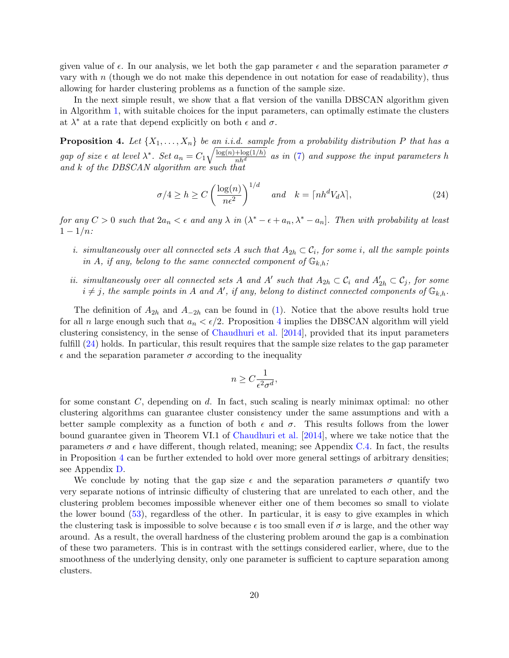given value of  $\epsilon$ . In our analysis, we let both the gap parameter  $\epsilon$  and the separation parameter  $\sigma$ vary with n (though we do not make this dependence in out notation for ease of readability), thus allowing for harder clustering problems as a function of the sample size.

In the next simple result, we show that a flat version of the vanilla DBSCAN algorithm given in Algorithm [1,](#page-5-1) with suitable choices for the input parameters, can optimally estimate the clusters at  $\lambda^*$  at a rate that depend explicitly on both  $\epsilon$  and  $\sigma$ .

<span id="page-19-0"></span>**Proposition 4.** Let  $\{X_1, \ldots, X_n\}$  be an i.i.d. sample from a probability distribution P that has a gap of size  $\epsilon$  at level  $\lambda^*$ . Set  $a_n = C_1 \sqrt{\frac{\log(n) + \log(1/h)}{nh^d}}$  as in [\(7\)](#page-7-3) and suppose the input parameters h and k of the DBSCAN algorithm are such that

<span id="page-19-1"></span>
$$
\sigma/4 \ge h \ge C \left(\frac{\log(n)}{n\epsilon^2}\right)^{1/d} \quad \text{and} \quad k = \lceil nh^d V_d \lambda \rceil, \tag{24}
$$

for any  $C > 0$  such that  $2a_n < \epsilon$  and any  $\lambda$  in  $(\lambda^* - \epsilon + a_n, \lambda^* - a_n]$ . Then with probability at least  $1 - 1/n$ :

- i. simultaneously over all connected sets A such that  $A_{2h} \subset \mathcal{C}_i$ , for some i, all the sample points in A, if any, belong to the same connected component of  $\mathbb{G}_{k,h}$ ;
- ii. simultaneously over all connected sets A and A' such that  $A_{2h} \subset C_i$  and  $A'_{2h} \subset C_j$ , for some  $i \neq j$ , the sample points in A and A', if any, belong to distinct connected components of  $\mathbb{G}_{k,h}$ .

The definition of  $A_{2h}$  and  $A_{-2h}$  can be found in [\(1\)](#page-3-1). Notice that the above results hold true for all n large enough such that  $a_n < \epsilon/2$ . Proposition [4](#page-19-0) implies the DBSCAN algorithm will yield clustering consistency, in the sense of [Chaudhuri et al.](#page-24-0) [\[2014\]](#page-24-0), provided that its input parameters fulfill [\(24\)](#page-19-1) holds. In particular, this result requires that the sample size relates to the gap parameter  $\epsilon$  and the separation parameter  $\sigma$  according to the inequality

$$
n \ge C \frac{1}{\epsilon^2 \sigma^d},
$$

for some constant  $C$ , depending on  $d$ . In fact, such scaling is nearly minimax optimal: no other clustering algorithms can guarantee cluster consistency under the same assumptions and with a better sample complexity as a function of both  $\epsilon$  and  $\sigma$ . This results follows from the lower bound guarantee given in Theorem VI.1 of [Chaudhuri et al.](#page-24-0) [\[2014\]](#page-24-0), where we take notice that the parameters  $\sigma$  and  $\epsilon$  have different, though related, meaning; see Appendix [C.4.](#page-45-0) In fact, the results in Proposition [4](#page-19-0) can be further extended to hold over more general settings of arbitrary densities; see Appendix [D.](#page-46-0)

We conclude by noting that the gap size  $\epsilon$  and the separation parameters  $\sigma$  quantify two very separate notions of intrinsic difficulty of clustering that are unrelated to each other, and the clustering problem becomes impossible whenever either one of them becomes so small to violate the lower bound [\(53\)](#page-46-1), regardless of the other. In particular, it is easy to give examples in which the clustering task is impossible to solve because  $\epsilon$  is too small even if  $\sigma$  is large, and the other way around. As a result, the overall hardness of the clustering problem around the gap is a combination of these two parameters. This is in contrast with the settings considered earlier, where, due to the smoothness of the underlying density, only one parameter is sufficient to capture separation among clusters.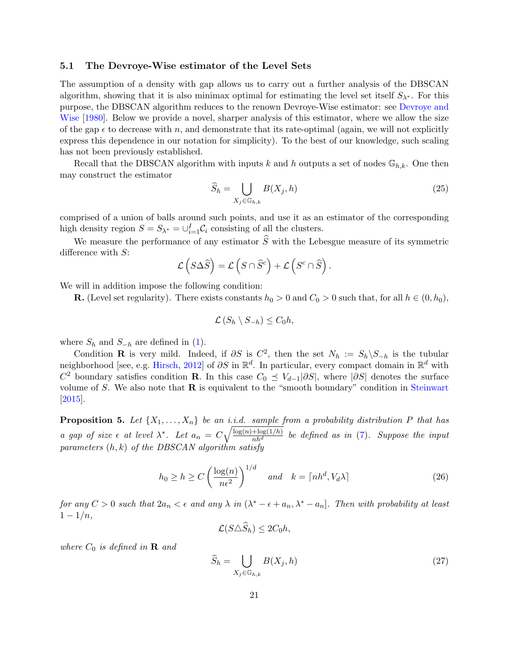## 5.1 The Devroye-Wise estimator of the Level Sets

The assumption of a density with gap allows us to carry out a further analysis of the DBSCAN algorithm, showing that it is also minimax optimal for estimating the level set itself  $S_{\lambda^*}$ . For this purpose, the DBSCAN algorithm reduces to the renown Devroye-Wise estimator: see [Devroye and](#page-25-9) [Wise](#page-25-9) [\[1980\]](#page-25-9). Below we provide a novel, sharper analysis of this estimator, where we allow the size of the gap  $\epsilon$  to decrease with n, and demonstrate that its rate-optimal (again, we will not explicitly express this dependence in our notation for simplicity). To the best of our knowledge, such scaling has not been previously established.

Recall that the DBSCAN algorithm with inputs k and h outputs a set of nodes  $\mathbb{G}_{h,k}$ . One then may construct the estimator

$$
\widehat{S}_h = \bigcup_{X_j \in \mathbb{G}_{h,k}} B(X_j, h) \tag{25}
$$

comprised of a union of balls around such points, and use it as an estimator of the corresponding high density region  $S = S_{\lambda^*} = \bigcup_{i=1}^I C_i$  consisting of all the clusters.

We measure the performance of any estimator  $\widehat{S}$  with the Lebesgue measure of its symmetric difference with S:

$$
\mathcal{L}\left(S\Delta\widehat{S}\right) = \mathcal{L}\left(S\cap\widehat{S}^c\right) + \mathcal{L}\left(S^c\cap\widehat{S}\right).
$$

We will in addition impose the following condition:

**R.** (Level set regularity). There exists constants  $h_0 > 0$  and  $C_0 > 0$  such that, for all  $h \in (0, h_0)$ ,

$$
\mathcal{L}(S_h \setminus S_{-h}) \leq C_0 h,
$$

where  $S_h$  and  $S_{-h}$  are defined in [\(1\)](#page-3-1).

Condition **R** is very mild. Indeed, if  $\partial S$  is  $C^2$ , then the set  $N_h := S_h \backslash S_{-h}$  is the tubular neighborhood [see, e.g. [Hirsch,](#page-25-13) [2012\]](#page-25-13) of  $\partial S$  in  $\mathbb{R}^d$ . In particular, every compact domain in  $\mathbb{R}^d$  with C<sup>2</sup> boundary satisfies condition **R**. In this case  $C_0 \preceq V_{d-1}|\partial S|$ , where  $|\partial S|$  denotes the surface volume of  $S$ . We also note that  $R$  is equivalent to the "smooth boundary" condition in [Steinwart](#page-26-13) [\[2015\]](#page-26-13).

<span id="page-20-0"></span>**Proposition 5.** Let  $\{X_1, \ldots, X_n\}$  be an i.i.d. sample from a probability distribution P that has a gap of size  $\epsilon$  at level  $\lambda^*$ . Let  $a_n = C\sqrt{\frac{\log(n) + \log(1/h)}{nh^d}}$  be defined as in [\(7\)](#page-7-3). Suppose the input parameters  $(h, k)$  of the DBSCAN algorithm satisfy

<span id="page-20-1"></span>
$$
h_0 \ge h \ge C \left(\frac{\log(n)}{n\epsilon^2}\right)^{1/d} \quad \text{and} \quad k = \lceil nh^d, V_d \lambda \rceil \tag{26}
$$

for any  $C > 0$  such that  $2a_n < \epsilon$  and any  $\lambda$  in  $(\lambda^* - \epsilon + a_n, \lambda^* - a_n]$ . Then with probability at least  $1 - 1/n$ ,

$$
\mathcal{L}(S \triangle S_h) \leq 2C_0 h,
$$

where  $C_0$  is defined in **R** and

$$
\widehat{S}_h = \bigcup_{X_j \in \mathbb{G}_{h,k}} B(X_j, h) \tag{27}
$$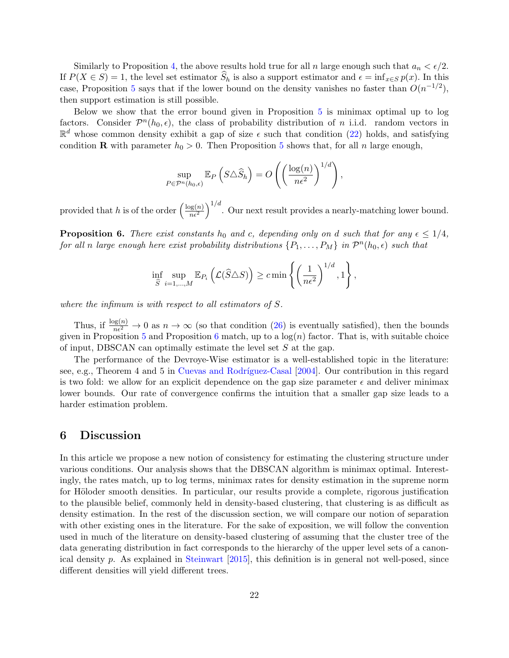Similarly to Proposition [4,](#page-19-0) the above results hold true for all n large enough such that  $a_n < \epsilon/2$ . If  $P(X \in S) = 1$ , the level set estimator  $S_h$  is also a support estimator and  $\epsilon = \inf_{x \in S} p(x)$ . In this case, Proposition [5](#page-20-0) says that if the lower bound on the density vanishes no faster than  $O(n^{-1/2})$ , then support estimation is still possible.

Below we show that the error bound given in Proposition [5](#page-20-0) is minimax optimal up to log factors. Consider  $\mathcal{P}^n(h_0, \epsilon)$ , the class of probability distribution of *n* i.i.d. random vectors in  $\mathbb{R}^d$  whose common density exhibit a gap of size  $\epsilon$  such that condition [\(22\)](#page-17-1) holds, and satisfying condition **R** with parameter  $h_0 > 0$ . Then Proposition [5](#page-20-0) shows that, for all *n* large enough,

$$
\sup_{P \in \mathcal{P}^n(h_0,\epsilon)} \mathbb{E}_P \left( S \triangle \widehat{S}_h \right) = O \left( \left( \frac{\log(n)}{n\epsilon^2} \right)^{1/d} \right),\,
$$

provided that h is of the order  $\left(\frac{\log(n)}{n\epsilon^2}\right)$  $\left(\frac{\log(n)}{n\epsilon^2}\right)^{1/d}$ . Our next result provides a nearly-matching lower bound.

<span id="page-21-1"></span>**Proposition 6.** There exist constants h<sub>0</sub> and c, depending only on d such that for any  $\epsilon \leq 1/4$ , for all n large enough here exist probability distributions  $\{P_1,\ldots,P_M\}$  in  $\mathcal{P}^n(h_0,\epsilon)$  such that

$$
\inf_{\widehat{S}} \sup_{i=1,\dots,M} \mathbb{E}_{P_i} \left( \mathcal{L}(\widehat{S} \triangle S) \right) \ge c \min \left\{ \left( \frac{1}{n\epsilon^2} \right)^{1/d}, 1 \right\},\
$$

where the infimum is with respect to all estimators of S.

Thus, if  $\frac{\log(n)}{n\epsilon^2} \to 0$  as  $n \to \infty$  (so that condition [\(26\)](#page-20-1) is eventually satisfied), then the bounds given in Proposition [5](#page-20-0) and Proposition [6](#page-21-1) match, up to a  $log(n)$  factor. That is, with suitable choice of input, DBSCAN can optimally estimate the level set  $S$  at the gap.

The performance of the Devroye-Wise estimator is a well-established topic in the literature: see, e.g., Theorem 4 and 5 in Cuevas and Rodríguez-Casal  $[2004]$ . Our contribution in this regard is two fold: we allow for an explicit dependence on the gap size parameter  $\epsilon$  and deliver minimax lower bounds. Our rate of convergence confirms the intuition that a smaller gap size leads to a harder estimation problem.

## <span id="page-21-0"></span>6 Discussion

In this article we propose a new notion of consistency for estimating the clustering structure under various conditions. Our analysis shows that the DBSCAN algorithm is minimax optimal. Interestingly, the rates match, up to log terms, minimax rates for density estimation in the supreme norm for Höloder smooth densities. In particular, our results provide a complete, rigorous justification to the plausible belief, commonly held in density-based clustering, that clustering is as difficult as density estimation. In the rest of the discussion section, we will compare our notion of separation with other existing ones in the literature. For the sake of exposition, we will follow the convention used in much of the literature on density-based clustering of assuming that the cluster tree of the data generating distribution in fact corresponds to the hierarchy of the upper level sets of a canonical density p. As explained in [Steinwart](#page-26-13) [\[2015\]](#page-26-13), this definition is in general not well-posed, since different densities will yield different trees.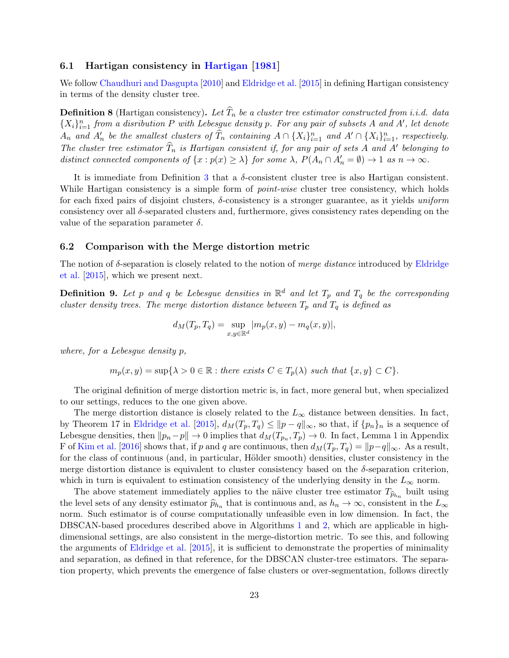## 6.1 Hartigan consistency in [Hartigan](#page-25-3) [\[1981\]](#page-25-3)

We follow [Chaudhuri and Dasgupta](#page-24-10) [\[2010\]](#page-24-10) and [Eldridge et al.](#page-25-5) [\[2015\]](#page-25-5) in defining Hartigan consistency in terms of the density cluster tree.

**Definition 8** (Hartigan consistency). Let  $T_n$  be a cluster tree estimator constructed from i.i.d. data  ${X_i}_{i=1}^n$  from a disribution P with Lebesgue density p. For any pair of subsets A and A', let denote  $A_n$  and  $A'_n$  be the smallest clusters of  $\widehat{T}_n$  containing  $A \cap \{X_i\}_{i=1}^n$  and  $A' \cap \{X_i\}_{i=1}^n$ , respectively. The cluster tree estimator  $\widehat{T}_n$  is Hartigan consistent if, for any pair of sets A and A' belonging to distinct connected components of  $\{x : p(x) \ge \lambda\}$  for some  $\lambda$ ,  $P(A_n \cap A'_n = \emptyset) \to 1$  as  $n \to \infty$ .

It is immediate from Definition [3](#page-8-4) that a δ-consistent cluster tree is also Hartigan consistent. While Hartigan consistency is a simple form of *point-wise* cluster tree consistency, which holds for each fixed pairs of disjoint clusters,  $\delta$ -consistency is a stronger guarantee, as it yields uniform consistency over all  $\delta$ -separated clusters and, furthermore, gives consistency rates depending on the value of the separation parameter  $\delta$ .

### 6.2 Comparison with the Merge distortion metric

The notion of  $\delta$ -separation is closely related to the notion of *merge distance* introduced by [Eldridge](#page-25-5) [et al.](#page-25-5) [\[2015\]](#page-25-5), which we present next.

<span id="page-22-0"></span>**Definition 9.** Let p and q be Lebesgue densities in  $\mathbb{R}^d$  and let  $T_p$  and  $T_q$  be the corresponding cluster density trees. The merge distortion distance between  $T_p$  and  $T_q$  is defined as

$$
d_M(T_p, T_q) = \sup_{x, y \in \mathbb{R}^d} |m_p(x, y) - m_q(x, y)|,
$$

where, for a Lebesgue density p,

$$
m_p(x, y) = \sup\{\lambda > 0 \in \mathbb{R} : \text{there exists } C \in T_p(\lambda) \text{ such that } \{x, y\} \subset C\}.
$$

The original definition of merge distortion metric is, in fact, more general but, when specialized to our settings, reduces to the one given above.

The merge distortion distance is closely related to the  $L_{\infty}$  distance between densities. In fact, by Theorem 17 in [Eldridge et al.](#page-25-5) [\[2015\]](#page-25-5),  $d_M(T_p, T_q) \leq ||p - q||_{\infty}$ , so that, if  $\{p_n\}_n$  is a sequence of Lebesgue densities, then  $||p_n - p|| \to 0$  implies that  $d_M(T_{p_n}, T_p) \to 0$ . In fact, Lemma 1 in Appendix F of [Kim et al.](#page-25-6) [\[2016\]](#page-25-6) shows that, if p and q are continuous, then  $d_M(T_p, T_q) = ||p-q||_{\infty}$ . As a result, for the class of continuous (and, in particular, Hölder smooth) densities, cluster consistency in the merge distortion distance is equivalent to cluster consistency based on the  $\delta$ -separation criterion, which in turn is equivalent to estimation consistency of the underlying density in the  $L_{\infty}$  norm.

The above statement immediately applies to the näive cluster tree estimator  $T_{\hat{p}_{h_n}}$  built using<br>built using land of any density activities  $\hat{p}_{h_n}$  is a subjective of any density of the L the level sets of any density estimator  $\hat{p}_{h_n}$  that is continuous and, as  $h_n \to \infty$ , consistent in the  $L_{\infty}$ norm. Such estimator is of course computationally unfeasible even in low dimension. In fact, the DBSCAN-based procedures described above in Algorithms [1](#page-5-1) and [2,](#page-13-0) which are applicable in highdimensional settings, are also consistent in the merge-distortion metric. To see this, and following the arguments of [Eldridge et al.](#page-25-5) [\[2015\]](#page-25-5), it is sufficient to demonstrate the properties of minimality and separation, as defined in that reference, for the DBSCAN cluster-tree estimators. The separation property, which prevents the emergence of false clusters or over-segmentation, follows directly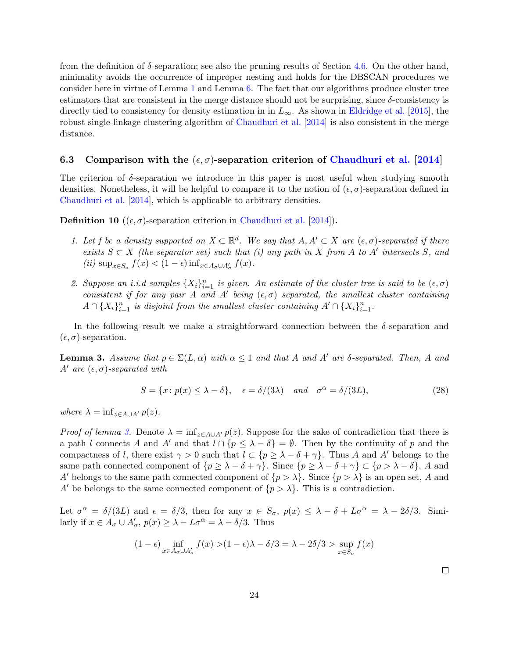from the definition of  $\delta$ -separation; see also the pruning results of Section [4.6.](#page-16-0) On the other hand, minimality avoids the occurrence of improper nesting and holds for the DBSCAN procedures we consider here in virtue of Lemma [1](#page-6-0) and Lemma [6.](#page-39-0) The fact that our algorithms produce cluster tree estimators that are consistent in the merge distance should not be surprising, since  $\delta$ -consistency is directly tied to consistency for density estimation in in  $L_{\infty}$ . As shown in [Eldridge et al.](#page-25-5) [\[2015\]](#page-25-5), the robust single-linkage clustering algorithm of [Chaudhuri et al.](#page-24-0) [\[2014\]](#page-24-0) is also consistent in the merge distance.

## 6.3 Comparison with the  $(\epsilon, \sigma)$ -separation criterion of [Chaudhuri et al.](#page-24-0) [\[2014\]](#page-24-0)

The criterion of  $\delta$ -separation we introduce in this paper is most useful when studying smooth densities. Nonetheless, it will be helpful to compare it to the notion of  $(\epsilon, \sigma)$ -separation defined in [Chaudhuri et al.](#page-24-0) [\[2014\]](#page-24-0), which is applicable to arbitrary densities.

<span id="page-23-0"></span>**Definition 10** (( $\epsilon$ ,  $\sigma$ )-separation criterion in [Chaudhuri et al.](#page-24-0) [\[2014\]](#page-24-0)).

- 1. Let f be a density supported on  $X \subset \mathbb{R}^d$ . We say that  $A, A' \subset X$  are  $(\epsilon, \sigma)$ -separated if there exists  $S \subset X$  (the separator set) such that (i) any path in X from A to A' intersects S, and (*ii*)  $\sup_{x \in S_{\sigma}} f(x) < (1 - \epsilon) \inf_{x \in A_{\sigma} \cup A'_{\sigma}} f(x)$ .
- 2. Suppose an i.i.d samples  $\{X_i\}_{i=1}^n$  is given. An estimate of the cluster tree is said to be  $(\epsilon, \sigma)$ consistent if for any pair A and A' being  $(\epsilon, \sigma)$  separated, the smallest cluster containing  $A \cap {X_i}_{i=1}^n$  is disjoint from the smallest cluster containing  $A' \cap {X_i}_{i=1}^n$ .

In the following result we make a straightforward connection between the  $\delta$ -separation and  $(\epsilon, \sigma)$ -separation.

<span id="page-23-1"></span>**Lemma 3.** Assume that  $p \in \Sigma(L, \alpha)$  with  $\alpha \leq 1$  and that A and A' are δ-separated. Then, A and A' are  $(\epsilon, \sigma)$ -separated with

$$
S = \{x : p(x) \le \lambda - \delta\}, \quad \epsilon = \delta/(3\lambda) \quad \text{and} \quad \sigma^{\alpha} = \delta/(3L), \tag{28}
$$

where  $\lambda = \inf_{z \in A \cup A'} p(z)$ .

*Proof of lemma [3.](#page-23-1)* Denote  $\lambda = \inf_{z \in A \cup A'} p(z)$ . Suppose for the sake of contradiction that there is a path l connects A and A' and that  $l \cap \{p \leq \lambda - \delta\} = \emptyset$ . Then by the continuity of p and the compactness of l, there exist  $\gamma > 0$  such that  $l \subset \{p \geq \lambda - \delta + \gamma\}$ . Thus A and A' belongs to the same path connected component of  $\{p \geq \lambda - \delta + \gamma\}$ . Since  $\{p \geq \lambda - \delta + \gamma\} \subset \{p > \lambda - \delta\}$ , A and A' belongs to the same path connected component of  $\{p > \lambda\}$ . Since  $\{p > \lambda\}$  is an open set, A and A' be belongs to the same connected component of  $\{p > \lambda\}$ . This is a contradiction.

Let  $\sigma^{\alpha} = \delta/(3L)$  and  $\epsilon = \delta/3$ , then for any  $x \in S_{\sigma}$ ,  $p(x) \leq \lambda - \delta + L\sigma^{\alpha} = \lambda - 2\delta/3$ . Similarly if  $x \in A_{\sigma} \cup A'_{\sigma}, p(x) \geq \lambda - L\sigma^{\alpha} = \lambda - \delta/3$ . Thus

$$
(1 - \epsilon) \inf_{x \in A_{\sigma} \cup A'_{\sigma}} f(x) > (1 - \epsilon)\lambda - \delta/3 = \lambda - 2\delta/3 > \sup_{x \in S_{\sigma}} f(x)
$$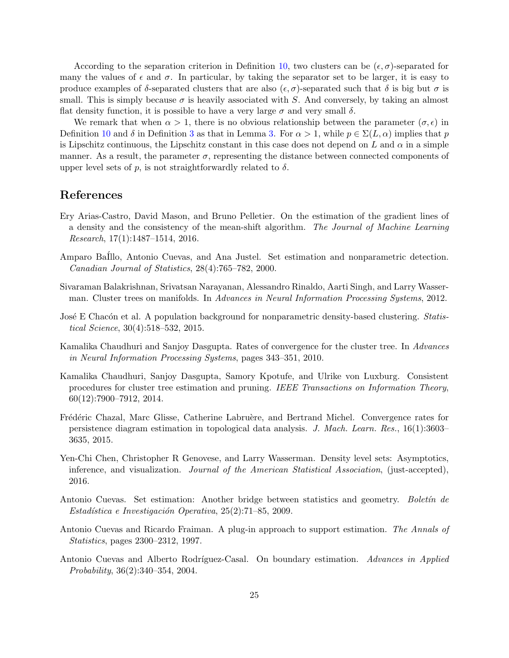According to the separation criterion in Definition [10,](#page-23-0) two clusters can be  $(\epsilon, \sigma)$ -separated for many the values of  $\epsilon$  and  $\sigma$ . In particular, by taking the separator set to be larger, it is easy to produce examples of  $\delta$ -separated clusters that are also  $(\epsilon, \sigma)$ -separated such that  $\delta$  is big but  $\sigma$  is small. This is simply because  $\sigma$  is heavily associated with S. And conversely, by taking an almost flat density function, it is possible to have a very large  $\sigma$  and very small  $\delta$ .

We remark that when  $\alpha > 1$ , there is no obvious relationship between the parameter  $(\sigma, \epsilon)$  in Definition [10](#page-23-0) and  $\delta$  in Definition [3](#page-8-4) as that in Lemma [3.](#page-23-1) For  $\alpha > 1$ , while  $p \in \Sigma(L, \alpha)$  implies that p is Lipschitz continuous, the Lipschitz constant in this case does not depend on L and  $\alpha$  in a simple manner. As a result, the parameter  $\sigma$ , representing the distance between connected components of upper level sets of p, is not straightforwardly related to  $\delta$ .

## References

- <span id="page-24-9"></span>Ery Arias-Castro, David Mason, and Bruno Pelletier. On the estimation of the gradient lines of a density and the consistency of the mean-shift algorithm. The Journal of Machine Learning  $Research, 17(1):1487-1514, 2016.$
- <span id="page-24-2"></span>Amparo BaIllo, Antonio Cuevas, and Ana Justel. Set estimation and nonparametric detection. Canadian Journal of Statistics, 28(4):765–782, 2000.
- <span id="page-24-3"></span>Sivaraman Balakrishnan, Srivatsan Narayanan, Alessandro Rinaldo, Aarti Singh, and Larry Wasserman. Cluster trees on manifolds. In Advances in Neural Information Processing Systems, 2012.
- <span id="page-24-8"></span>José E Chacón et al. A population background for nonparametric density-based clustering. Statistical Science, 30(4):518–532, 2015.
- <span id="page-24-10"></span>Kamalika Chaudhuri and Sanjoy Dasgupta. Rates of convergence for the cluster tree. In Advances in Neural Information Processing Systems, pages 343–351, 2010.
- <span id="page-24-0"></span>Kamalika Chaudhuri, Sanjoy Dasgupta, Samory Kpotufe, and Ulrike von Luxburg. Consistent procedures for cluster tree estimation and pruning. IEEE Transactions on Information Theory, 60(12):7900–7912, 2014.
- <span id="page-24-7"></span>Frédéric Chazal, Marc Glisse, Catherine Labruère, and Bertrand Michel. Convergence rates for persistence diagram estimation in topological data analysis. J. Mach. Learn. Res., 16(1):3603– 3635, 2015.
- <span id="page-24-4"></span>Yen-Chi Chen, Christopher R Genovese, and Larry Wasserman. Density level sets: Asymptotics, inference, and visualization. *Journal of the American Statistical Association*, (just-accepted), 2016.
- <span id="page-24-6"></span>Antonio Cuevas. Set estimation: Another bridge between statistics and geometry. Boletin de Estadística e Investigación Operativa,  $25(2)$ :71–85, 2009.
- <span id="page-24-1"></span>Antonio Cuevas and Ricardo Fraiman. A plug-in approach to support estimation. The Annals of Statistics, pages 2300–2312, 1997.
- <span id="page-24-5"></span>Antonio Cuevas and Alberto Rodríguez-Casal. On boundary estimation. Advances in Applied Probability, 36(2):340–354, 2004.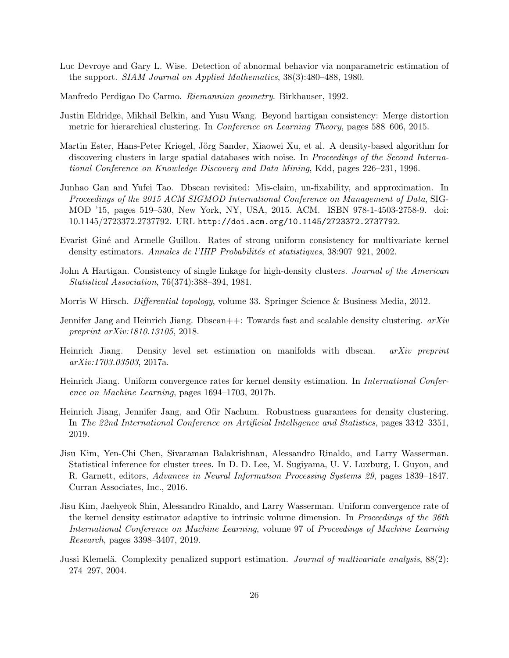- <span id="page-25-9"></span>Luc Devroye and Gary L. Wise. Detection of abnormal behavior via nonparametric estimation of the support. SIAM Journal on Applied Mathematics, 38(3):480–488, 1980.
- <span id="page-25-14"></span>Manfredo Perdigao Do Carmo. Riemannian geometry. Birkhauser, 1992.
- <span id="page-25-5"></span>Justin Eldridge, Mikhail Belkin, and Yusu Wang. Beyond hartigan consistency: Merge distortion metric for hierarchical clustering. In Conference on Learning Theory, pages 588–606, 2015.
- <span id="page-25-0"></span>Martin Ester, Hans-Peter Kriegel, Jörg Sander, Xiaowei Xu, et al. A density-based algorithm for discovering clusters in large spatial databases with noise. In Proceedings of the Second International Conference on Knowledge Discovery and Data Mining, Kdd, pages 226–231, 1996.
- <span id="page-25-1"></span>Junhao Gan and Yufei Tao. Dbscan revisited: Mis-claim, un-fixability, and approximation. In Proceedings of the 2015 ACM SIGMOD International Conference on Management of Data, SIG-MOD '15, pages 519–530, New York, NY, USA, 2015. ACM. ISBN 978-1-4503-2758-9. doi: 10.1145/2723372.2737792. URL <http://doi.acm.org/10.1145/2723372.2737792>.
- <span id="page-25-10"></span>Evarist Giné and Armelle Guillou. Rates of strong uniform consistency for multivariate kernel density estimators. Annales de l'IHP Probabilités et statistiques, 38:907–921, 2002.
- <span id="page-25-3"></span>John A Hartigan. Consistency of single linkage for high-density clusters. Journal of the American Statistical Association, 76(374):388–394, 1981.
- <span id="page-25-13"></span>Morris W Hirsch. Differential topology, volume 33. Springer Science & Business Media, 2012.
- <span id="page-25-7"></span>Jennifer Jang and Heinrich Jiang. Dbscan $++$ : Towards fast and scalable density clustering.  $arXiv$ preprint arXiv:1810.13105, 2018.
- <span id="page-25-2"></span>Heinrich Jiang. Density level set estimation on manifolds with dbscan. arXiv preprint arXiv:1703.03503, 2017a.
- <span id="page-25-11"></span>Heinrich Jiang. Uniform convergence rates for kernel density estimation. In International Conference on Machine Learning, pages 1694–1703, 2017b.
- <span id="page-25-8"></span>Heinrich Jiang, Jennifer Jang, and Ofir Nachum. Robustness guarantees for density clustering. In The 22nd International Conference on Artificial Intelligence and Statistics, pages 3342–3351, 2019.
- <span id="page-25-6"></span>Jisu Kim, Yen-Chi Chen, Sivaraman Balakrishnan, Alessandro Rinaldo, and Larry Wasserman. Statistical inference for cluster trees. In D. D. Lee, M. Sugiyama, U. V. Luxburg, I. Guyon, and R. Garnett, editors, Advances in Neural Information Processing Systems 29, pages 1839–1847. Curran Associates, Inc., 2016.
- <span id="page-25-12"></span>Jisu Kim, Jaehyeok Shin, Alessandro Rinaldo, and Larry Wasserman. Uniform convergence rate of the kernel density estimator adaptive to intrinsic volume dimension. In Proceedings of the 36th International Conference on Machine Learning, volume 97 of Proceedings of Machine Learning Research, pages 3398–3407, 2019.
- <span id="page-25-4"></span>Jussi Klemelä. Complexity penalized support estimation. *Journal of multivariate analysis*,  $88(2)$ : 274–297, 2004.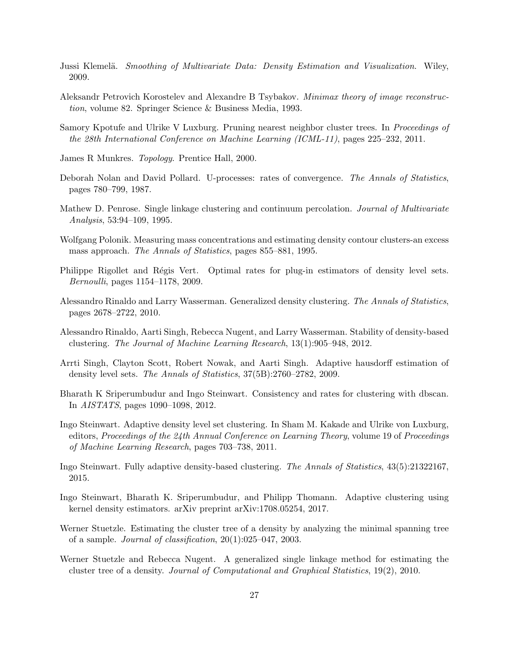- <span id="page-26-9"></span>Jussi Klemelä. Smoothing of Multivariate Data: Density Estimation and Visualization. Wiley, 2009.
- <span id="page-26-15"></span>Aleksandr Petrovich Korostelev and Alexandre B Tsybakov. Minimax theory of image reconstruction, volume 82. Springer Science & Business Media, 1993.
- <span id="page-26-11"></span>Samory Kpotufe and Ulrike V Luxburg. Pruning nearest neighbor cluster trees. In *Proceedings of* the 28th International Conference on Machine Learning (ICML-11), pages 225–232, 2011.
- <span id="page-26-16"></span>James R Munkres. Topology. Prentice Hall, 2000.
- <span id="page-26-14"></span>Deborah Nolan and David Pollard. U-processes: rates of convergence. The Annals of Statistics, pages 780–799, 1987.
- <span id="page-26-2"></span>Mathew D. Penrose. Single linkage clustering and continuum percolation. Journal of Multivariate Analysis, 53:94–109, 1995.
- <span id="page-26-3"></span>Wolfgang Polonik. Measuring mass concentrations and estimating density contour clusters-an excess mass approach. The Annals of Statistics, pages 855–881, 1995.
- <span id="page-26-5"></span>Philippe Rigollet and Régis Vert. Optimal rates for plug-in estimators of density level sets. Bernoulli, pages 1154–1178, 2009.
- <span id="page-26-6"></span>Alessandro Rinaldo and Larry Wasserman. Generalized density clustering. The Annals of Statistics, pages 2678–2722, 2010.
- <span id="page-26-10"></span>Alessandro Rinaldo, Aarti Singh, Rebecca Nugent, and Larry Wasserman. Stability of density-based clustering. The Journal of Machine Learning Research, 13(1):905–948, 2012.
- <span id="page-26-4"></span>Arrti Singh, Clayton Scott, Robert Nowak, and Aarti Singh. Adaptive hausdorff estimation of density level sets. The Annals of Statistics, 37(5B):2760–2782, 2009.
- <span id="page-26-0"></span>Bharath K Sriperumbudur and Ingo Steinwart. Consistency and rates for clustering with dbscan. In AISTATS, pages 1090–1098, 2012.
- <span id="page-26-12"></span>Ingo Steinwart. Adaptive density level set clustering. In Sham M. Kakade and Ulrike von Luxburg, editors, Proceedings of the  $24th$  Annual Conference on Learning Theory, volume 19 of Proceedings of Machine Learning Research, pages 703–738, 2011.
- <span id="page-26-13"></span>Ingo Steinwart. Fully adaptive density-based clustering. The Annals of Statistics, 43(5):21322167, 2015.
- <span id="page-26-1"></span>Ingo Steinwart, Bharath K. Sriperumbudur, and Philipp Thomann. Adaptive clustering using kernel density estimators. arXiv preprint arXiv:1708.05254, 2017.
- <span id="page-26-7"></span>Werner Stuetzle. Estimating the cluster tree of a density by analyzing the minimal spanning tree of a sample. Journal of classification, 20(1):025–047, 2003.
- <span id="page-26-8"></span>Werner Stuetzle and Rebecca Nugent. A generalized single linkage method for estimating the cluster tree of a density. Journal of Computational and Graphical Statistics, 19(2), 2010.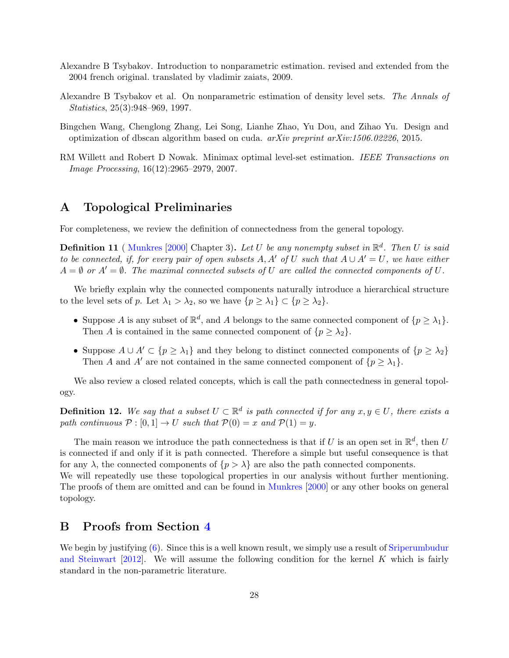- <span id="page-27-5"></span>Alexandre B Tsybakov. Introduction to nonparametric estimation. revised and extended from the 2004 french original. translated by vladimir zaiats, 2009.
- <span id="page-27-1"></span>Alexandre B Tsybakov et al. On nonparametric estimation of density level sets. The Annals of Statistics, 25(3):948–969, 1997.
- <span id="page-27-0"></span>Bingchen Wang, Chenglong Zhang, Lei Song, Lianhe Zhao, Yu Dou, and Zihao Yu. Design and optimization of dbscan algorithm based on cuda.  $arXiv$  preprint  $arXiv:1506.02226$ , 2015.
- <span id="page-27-2"></span>RM Willett and Robert D Nowak. Minimax optimal level-set estimation. IEEE Transactions on Image Processing, 16(12):2965–2979, 2007.

## <span id="page-27-3"></span>A Topological Preliminaries

For completeness, we review the definition of connectedness from the general topology.

**Definition 11** ([Munkres](#page-26-16) [\[2000\]](#page-26-16) Chapter 3). Let U be any nonempty subset in  $\mathbb{R}^d$ . Then U is said to be connected, if, for every pair of open subsets A, A' of U such that  $A \cup A' = U$ , we have either  $A = \emptyset$  or  $A' = \emptyset$ . The maximal connected subsets of U are called the connected components of U.

We briefly explain why the connected components naturally introduce a hierarchical structure to the level sets of p. Let  $\lambda_1 > \lambda_2$ , so we have  $\{p \geq \lambda_1\} \subset \{p \geq \lambda_2\}.$ 

- Suppose A is any subset of  $\mathbb{R}^d$ , and A belongs to the same connected component of  $\{p \geq \lambda_1\}$ . Then A is contained in the same connected component of  $\{p \geq \lambda_2\}.$
- Suppose  $A \cup A' \subset \{p \geq \lambda_1\}$  and they belong to distinct connected components of  $\{p \geq \lambda_2\}$ Then A and A' are not contained in the same connected component of  $\{p \geq \lambda_1\}.$

We also review a closed related concepts, which is call the path connectedness in general topology.

**Definition 12.** We say that a subset  $U \subset \mathbb{R}^d$  is path connected if for any  $x, y \in U$ , there exists a path continuous  $\mathcal{P}: [0, 1] \to U$  such that  $\mathcal{P}(0) = x$  and  $\mathcal{P}(1) = y$ .

The main reason we introduce the path connectedness is that if U is an open set in  $\mathbb{R}^d$ , then U is connected if and only if it is path connected. Therefore a simple but useful consequence is that for any  $\lambda$ , the connected components of  $\{p > \lambda\}$  are also the path connected components. We will repeatedly use these topological properties in our analysis without further mentioning.

The proofs of them are omitted and can be found in [Munkres](#page-26-16) [\[2000\]](#page-26-16) or any other books on general topology.

## <span id="page-27-4"></span>B Proofs from Section [4](#page-7-0)

We begin by justifying  $(6)$ . Since this is a well known result, we simply use a result of [Sriperumbudur](#page-26-0) [and Steinwart](#page-26-0)  $[2012]$ . We will assume the following condition for the kernel K which is fairly standard in the non-parametric literature.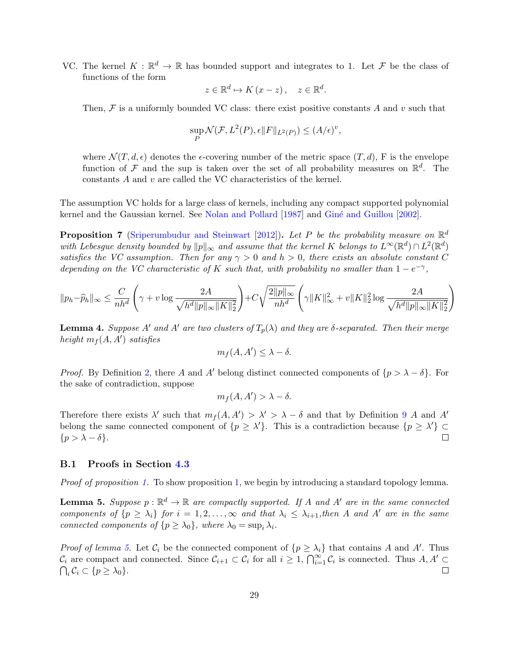VC. The kernel  $K : \mathbb{R}^d \to \mathbb{R}$  has bounded support and integrates to 1. Let F be the class of functions of the form

$$
z \in \mathbb{R}^d \mapsto K(x - z), \quad z \in \mathbb{R}^d.
$$

Then,  $\mathcal F$  is a uniformly bounded VC class: there exist positive constants A and v such that

$$
\sup_{P} \mathcal{N}(\mathcal{F}, L^2(P), \epsilon \|F\|_{L^2(P)}) \le (A/\epsilon)^v,
$$

where  $\mathcal{N}(T, d, \epsilon)$  denotes the  $\epsilon$ -covering number of the metric space  $(T, d)$ , F is the envelope function of F and the sup is taken over the set of all probability measures on  $\mathbb{R}^d$ . The constants A and v are called the VC characteristics of the kernel.

The assumption VC holds for a large class of kernels, including any compact supported polynomial kernel and the Gaussian kernel. See [Nolan and Pollard](#page-26-14) [\[1987\]](#page-26-14) and Giné and Guillou [\[2002\]](#page-25-10).

<span id="page-28-1"></span>**Proposition 7** [\(Sriperumbudur and Steinwart](#page-26-0) [\[2012\]](#page-26-0)). Let P be the probability measure on  $\mathbb{R}^d$ with Lebesgue density bounded by  $||p||_{\infty}$  and assume that the kernel K belongs to  $L^{\infty}(\mathbb{R}^d) \cap L^2(\mathbb{R}^d)$ satisfies the VC assumption. Then for any  $\gamma > 0$  and  $h > 0$ , there exists an absolute constant C depending on the VC characteristic of K such that, with probability no smaller than  $1-e^{-\gamma}$ ,

$$
\|p_h - \widehat{p}_h\|_\infty \le \frac{C}{nh^d} \left( \gamma + v \log \frac{2A}{\sqrt{h^d \|p\|_\infty \|K\|_2^2}} \right) + C \sqrt{\frac{2\|p\|_\infty}{nh^d}} \left( \gamma \|K\|_\infty^2 + v \|K\|_2^2 \log \frac{2A}{\sqrt{h^d \|p\|_\infty \|K\|_2^2}} \right)
$$

<span id="page-28-0"></span>**Lemma 4.** Suppose A' and A' are two clusters of  $T_p(\lambda)$  and they are  $\delta$ -separated. Then their merge height  $m_f(A, A')$  satisfies

$$
m_f(A, A') \leq \lambda - \delta.
$$

*Proof.* By Definition [2,](#page-8-0) there A and A' belong distinct connected components of  $\{p > \lambda - \delta\}$ . For the sake of contradiction, suppose

$$
m_f(A, A') > \lambda - \delta.
$$

Therefore there exists  $\lambda'$  such that  $m_f(A, A') > \lambda' > \lambda - \delta$  and that by Definition [9](#page-22-0) A and A' belong the same connected component of  $\{p \geq \lambda'\}$ . This is a contradiction because  $\{p \geq \lambda'\} \subset$  $\{p > \lambda - \delta\}.$  $\Box$ 

### B.1 Proofs in Section [4.3](#page-10-1)

<span id="page-28-2"></span>Proof of proposition [1.](#page-10-2) To show proposition [1,](#page-10-2) we begin by introducing a standard topology lemma.

**Lemma 5.** Suppose  $p : \mathbb{R}^d \to \mathbb{R}$  are compactly supported. If A and A' are in the same connected components of  $\{p \geq \lambda_i\}$  for  $i = 1, 2, \ldots, \infty$  and that  $\lambda_i \leq \lambda_{i+1}$ , then A and A' are in the same connected components of  $\{p \geq \lambda_0\}$ , where  $\lambda_0 = \sup_i \lambda_i$ .

*Proof of lemma [5.](#page-28-2)* Let  $C_i$  be the connected component of  $\{p \geq \lambda_i\}$  that contains A and A'. Thus  $\mathcal{C}_i$  are compact and connected. Since  $\mathcal{C}_{i+1} \subset \mathcal{C}_i$  for all  $i \geq 1$ ,  $\bigcap_{i=1}^{\infty} \mathcal{C}_i$  is connected. Thus  $A, A' \subset$  $\bigcap_i \mathcal{C}_i \subset \{p \geq \lambda_0\}.$  $\Box$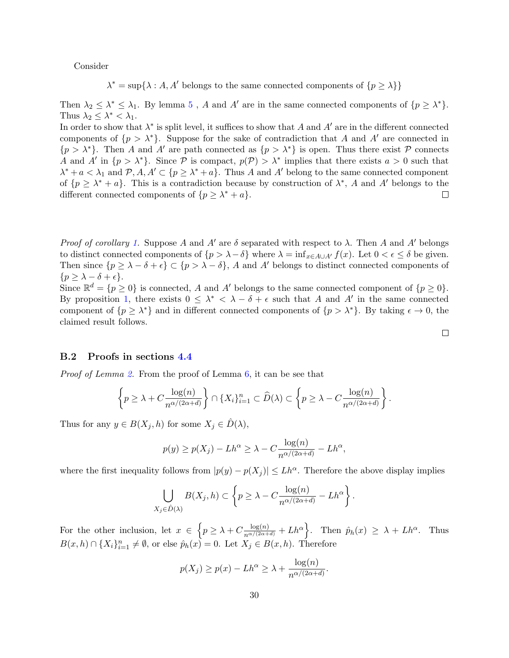Consider

 $\lambda^* = \sup{\lambda : A, A' \text{ belongs to the same connected components of } \{p \geq \lambda\}}$ 

Then  $\lambda_2 \leq \lambda^* \leq \lambda_1$ . By lemma [5](#page-28-2), A and A' are in the same connected components of  $\{p \geq \lambda^*\}.$ Thus  $\lambda_2 \leq \lambda^* < \lambda_1$ .

In order to show that  $\lambda^*$  is split level, it suffices to show that A and A' are in the different connected components of  $\{p > \lambda^*\}$ . Suppose for the sake of contradiction that A and A' are connected in  $\{p > \lambda^*\}.$  Then A and A' are path connected as  $\{p > \lambda^*\}\)$  is open. Thus there exist P connects A and A' in  $\{p > \lambda^*\}$ . Since P is compact,  $p(\mathcal{P}) > \lambda^*$  implies that there exists  $a > 0$  such that  $\lambda^* + a < \lambda_1$  and  $P, A, A' \subset \{p \geq \lambda^* + a\}$ . Thus A and A' belong to the same connected component of  $\{p \geq \lambda^* + a\}$ . This is a contradiction because by construction of  $\lambda^*$ , A and A' belongs to the different connected components of  $\{p \geq \lambda^* + a\}.$  $\Box$ 

*Proof of corollary [1.](#page-11-2)* Suppose A and A' are  $\delta$  separated with respect to  $\lambda$ . Then A and A' belongs to distinct connected components of  $\{p > \lambda - \delta\}$  where  $\lambda = \inf_{x \in A \cup A'} f(x)$ . Let  $0 < \epsilon \leq \delta$  be given. Then since  $\{p \geq \lambda - \delta + \epsilon\} \subset \{p > \lambda - \delta\}$ , A and A' belongs to distinct connected components of  $\{p \geq \lambda - \delta + \epsilon\}.$ 

Since  $\mathbb{R}^d = \{p \geq 0\}$  is connected, A and A' belongs to the same connected component of  $\{p \geq 0\}$ . By proposition [1,](#page-10-2) there exists  $0 \leq \lambda^* < \lambda - \delta + \epsilon$  such that A and A' in the same connected component of  $\{p \geq \lambda^*\}$  and in different connected components of  $\{p > \lambda^*\}$ . By taking  $\epsilon \to 0$ , the claimed result follows.

#### B.2 Proofs in sections [4.4](#page-11-3)

Proof of Lemma [2.](#page-11-4) From the proof of Lemma [6,](#page-39-0) it can be see that

$$
\left\{p\geq \lambda + C \frac{\log(n)}{n^{\alpha/(2\alpha+d)}}\right\} \cap \left\{X_i\right\}_{i=1}^n \subset \widehat{D}(\lambda) \subset \left\{p\geq \lambda - C \frac{\log(n)}{n^{\alpha/(2\alpha+d)}}\right\}.
$$

Thus for any  $y \in B(X_j, h)$  for some  $X_j \in D(\lambda)$ ,

$$
p(y) \ge p(X_j) - L h^{\alpha} \ge \lambda - C \frac{\log(n)}{n^{\alpha/(2\alpha+d)}} - L h^{\alpha},
$$

where the first inequality follows from  $|p(y) - p(X_i)| \leq L h^{\alpha}$ . Therefore the above display implies

$$
\bigcup_{X_j \in \hat{D}(\lambda)} B(X_j, h) \subset \left\{ p \ge \lambda - C \frac{\log(n)}{n^{\alpha/(2\alpha+d)}} - Lh^{\alpha} \right\}.
$$

For the other inclusion, let  $x \in \left\{ p \geq \lambda + C \frac{\log(n)}{n^{\alpha/(2\alpha+d)}} + L h^{\alpha} \right\}$ . Then  $\hat{p}_h(x) \geq \lambda + L h^{\alpha}$ . Thus  $B(x,h) \cap \{X_i\}_{i=1}^n \neq \emptyset$ , or else  $\hat{p}_h(x) = 0$ . Let  $X_j \in B(x,h)$ . Therefore

$$
p(X_j) \ge p(x) - Lh^{\alpha} \ge \lambda + \frac{\log(n)}{n^{\alpha/(2\alpha+d)}}
$$

.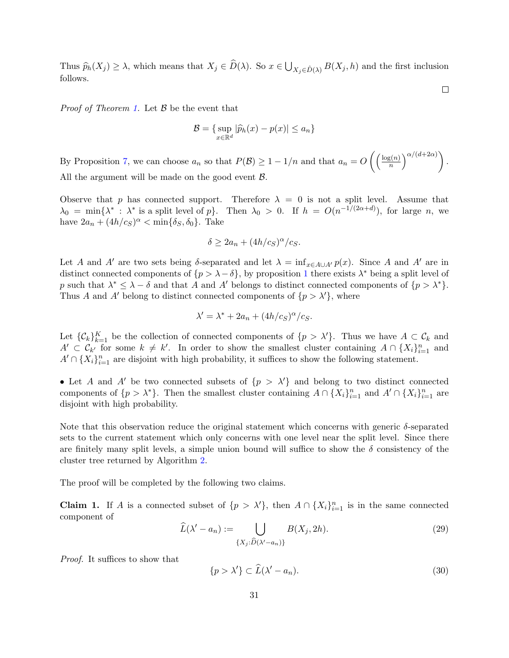Thus  $\widehat{p}_h(X_j) \geq \lambda$ , which means that  $X_j \in D(\lambda)$ . So  $x \in \bigcup_{X_j \in \widehat{D}(\lambda)} B(X_j, h)$  and the first inclusion follows.

 $\Box$ 

*Proof of Theorem [1.](#page-15-1)* Let  $\beta$  be the event that

$$
\mathcal{B} = \{ \sup_{x \in \mathbb{R}^d} |\widehat{p}_h(x) - p(x)| \le a_n \}
$$

By Proposition [7,](#page-28-1) we can choose  $a_n$  so that  $P(\mathcal{B}) \geq 1 - 1/n$  and that  $a_n = O\left(\frac{\log(n)}{n}\right)$  $\binom{m}{n}$ <sup> $\alpha/(d+2\alpha)$ </sup>). All the argument will be made on the good event  $\mathcal{B}$ .

Observe that p has connected support. Therefore  $\lambda = 0$  is not a split level. Assume that  $\lambda_0 = \min\{\lambda^* : \lambda^*$  is a split level of  $p\}$ . Then  $\lambda_0 > 0$ . If  $h = O(n^{-1/(2\alpha+d)})$ , for large n, we have  $2a_n + (4h/c<sub>S</sub>)<sup>\alpha</sup> < \min{\delta<sub>S</sub>, \delta<sub>0</sub>}$ . Take

$$
\delta \ge 2a_n + (4h/c_S)^{\alpha}/c_S.
$$

Let A and A' are two sets being δ-separated and let  $\lambda = \inf_{x \in A \cup A'} p(x)$ . Since A and A' are in distinct connected components of  $\{p > \lambda - \delta\}$ , by proposition [1](#page-10-2) there exists  $\lambda^*$  being a split level of p such that  $\lambda^* \leq \lambda - \delta$  and that A and A' belongs to distinct connected components of  $\{p > \lambda^*\}.$ Thus A and A' belong to distinct connected components of  $\{p > \lambda'\}$ , where

$$
\lambda' = \lambda^* + 2a_n + (4h/c_s)^{\alpha}/c_s.
$$

Let  $\{\mathcal{C}_k\}_{k=1}^K$  be the collection of connected components of  $\{p > \lambda'\}$ . Thus we have  $A \subset \mathcal{C}_k$  and  $A' \subset \mathcal{C}_{k'}$  for some  $k \neq k'$ . In order to show the smallest cluster containing  $A \cap \{X_i\}_{i=1}^n$  and  $A' \cap \{X_i\}_{i=1}^n$  are disjoint with high probability, it suffices to show the following statement.

• Let A and A' be two connected subsets of  $\{p > \lambda'\}$  and belong to two distinct connected components of  $\{p > \lambda^*\}$ . Then the smallest cluster containing  $A \cap \{X_i\}_{i=1}^n$  and  $A' \cap \{X_i\}_{i=1}^n$  are disjoint with high probability.

Note that this observation reduce the original statement which concerns with generic  $\delta$ -separated sets to the current statement which only concerns with one level near the split level. Since there are finitely many split levels, a simple union bound will suffice to show the  $\delta$  consistency of the cluster tree returned by Algorithm [2.](#page-13-0)

The proof will be completed by the following two claims.

**Claim 1.** If A is a connected subset of  $\{p > \lambda'\}$ , then  $A \cap \{X_i\}_{i=1}^n$  is in the same connected component of

$$
\widehat{L}(\lambda' - a_n) := \bigcup_{\{X_j : \widehat{D}(\lambda' - a_n)\}} B(X_j, 2h). \tag{29}
$$

Proof. It suffices to show that

<span id="page-30-0"></span>
$$
\{p > \lambda'\} \subset \widehat{L}(\lambda' - a_n). \tag{30}
$$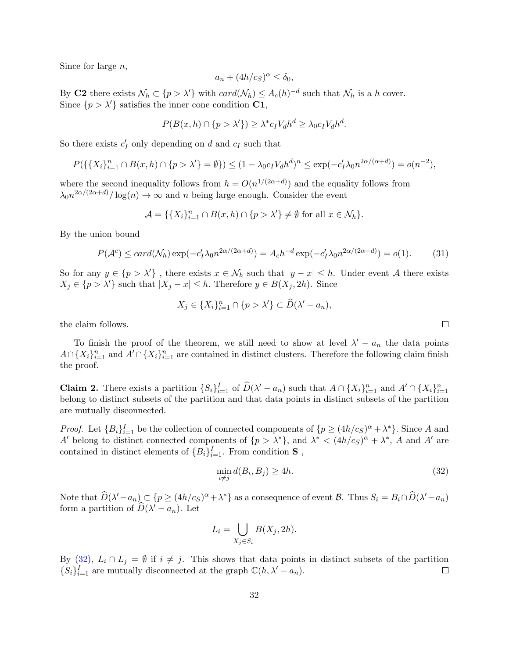Since for large  $n$ ,

$$
a_n + (4h/c_S)^{\alpha} \le \delta_0,
$$

By C2 there exists  $\mathcal{N}_h \subset \{p > \lambda'\}$  with  $card(\mathcal{N}_h) \leq A_c(h)^{-d}$  such that  $\mathcal{N}_h$  is a h cover. Since  $\{p > \lambda'\}$  satisfies the inner cone condition C1,

$$
P(B(x, h) \cap \{p > \lambda'\}) \ge \lambda^* c_I V_d h^d \ge \lambda_0 c_I V_d h^d.
$$

So there exists  $c'_I$  only depending on d and  $c_I$  such that

$$
P(\{\{X_i\}_{i=1}^n \cap B(x,h) \cap \{p > \lambda'\} = \emptyset\}) \le (1 - \lambda_0 c_I V_d h^d)^n \le \exp(-c_I' \lambda_0 n^{2\alpha/(\alpha + d)}) = o(n^{-2}),
$$

where the second inequality follows from  $h = O(n^{1/(2\alpha+d)})$  and the equality follows from  $\lambda_0 n^{2\alpha/(2\alpha+d)}/\log(n) \to \infty$  and n being large enough. Consider the event

$$
\mathcal{A} = \{ \{ X_i \}_{i=1}^n \cap B(x, h) \cap \{ p > \lambda' \} \neq \emptyset \text{ for all } x \in \mathcal{N}_h \}.
$$

By the union bound

$$
P(\mathcal{A}^c) \leq card(\mathcal{N}_h) \exp(-c_I' \lambda_0 n^{2\alpha/(2\alpha+d)}) = A_c h^{-d} \exp(-c_I' \lambda_0 n^{2\alpha/(2\alpha+d)}) = o(1). \tag{31}
$$

So for any  $y \in \{p > \lambda'\}$ , there exists  $x \in \mathcal{N}_h$  such that  $|y - x| \leq h$ . Under event A there exists  $X_j \in \{p > \lambda'\}$  such that  $|X_j - x| \leq h$ . Therefore  $y \in B(X_j, 2h)$ . Since

$$
X_j \in \{X_i\}_{i=1}^n \cap \{p > \lambda'\} \subset \widehat{D}(\lambda' - a_n),
$$

the claim follows.

To finish the proof of the theorem, we still need to show at level  $\lambda' - a_n$  the data points  $A \cap \{X_i\}_{i=1}^n$  and  $A' \cap \{X_i\}_{i=1}^n$  are contained in distinct clusters. Therefore the following claim finish the proof.

**Claim 2.** There exists a partition  $\{S_i\}_{i=1}^I$  of  $\widehat{D}(\lambda'-a_n)$  such that  $A \cap \{X_i\}_{i=1}^n$  and  $A' \cap \{X_i\}_{i=1}^n$ belong to distinct subsets of the partition and that data points in distinct subsets of the partition are mutually disconnected.

*Proof.* Let  ${B_i}_{i=1}^I$  be the collection of connected components of  ${p \ge (4h/c_S)^{\alpha} + \lambda^*}.$  Since A and A' belong to distinct connected components of  $\{p > \lambda^*\}$ , and  $\lambda^* < (4h/c_S)^{\alpha} + \lambda^*$ , A and A' are contained in distinct elements of  $\{B_i\}_{i=1}^I$ . From condition **S**,

<span id="page-31-0"></span>
$$
\min_{i \neq j} d(B_i, B_j) \ge 4h. \tag{32}
$$

Note that  $\widehat{D}(\lambda'-a_n) \subset \{p \geq (4h/c_S)^{\alpha} + \lambda^*\}$  as a consequence of event B. Thus  $S_i = B_i \cap \widehat{D}(\lambda'-a_n)$ form a partition of  $\widehat{D}(\lambda' - a_n)$ . Let

$$
L_i = \bigcup_{X_j \in S_i} B(X_j, 2h).
$$

By [\(32\)](#page-31-0),  $L_i \cap L_j = \emptyset$  if  $i \neq j$ . This shows that data points in distinct subsets of the partition  $\{S_i\}_{i=1}^I$  are mutually disconnected at the graph  $\mathbb{C}(h, \lambda' - a_n)$ .  $\Box$ 

 $\Box$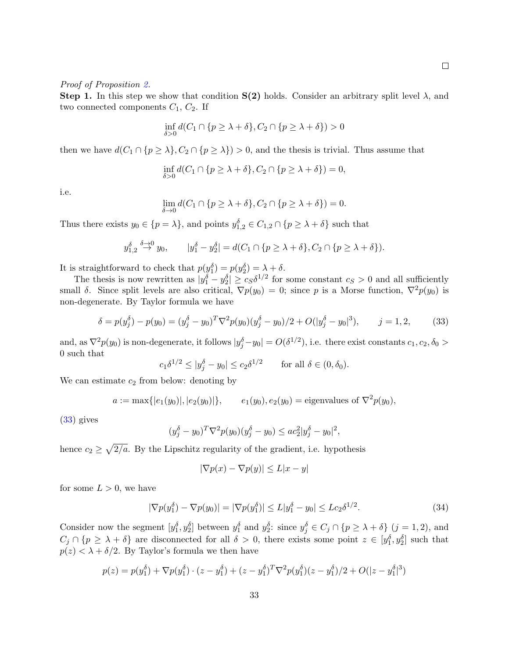#### Proof of Proposition [2.](#page-15-2)

Step 1. In this step we show that condition  $S(2)$  holds. Consider an arbitrary split level  $\lambda$ , and two connected components  $C_1$ ,  $C_2$ . If

$$
\inf_{\delta>0} d(C_1 \cap \{p \ge \lambda + \delta\}, C_2 \cap \{p \ge \lambda + \delta\}) > 0
$$

then we have  $d(C_1 \cap \{p \geq \lambda\}, C_2 \cap \{p \geq \lambda\}) > 0$ , and the thesis is trivial. Thus assume that

$$
\inf_{\delta>0} d(C_1 \cap \{p \ge \lambda + \delta\}, C_2 \cap \{p \ge \lambda + \delta\}) = 0,
$$

i.e.

$$
\lim_{\delta \to 0} d(C_1 \cap \{p \ge \lambda + \delta\}, C_2 \cap \{p \ge \lambda + \delta\}) = 0.
$$

Thus there exists  $y_0 \in \{p = \lambda\}$ , and points  $y_{1,2}^{\delta} \in C_{1,2} \cap \{p \geq \lambda + \delta\}$  such that

$$
y_{1,2}^{\delta} \stackrel{\delta \to 0}{\to} y_0
$$
,  $|y_1^{\delta} - y_2^{\delta}| = d(C_1 \cap \{p \ge \lambda + \delta\}, C_2 \cap \{p \ge \lambda + \delta\}).$ 

It is straightforward to check that  $p(y_1^{\delta}) = p(y_2^{\delta}) = \lambda + \delta$ .

The thesis is now rewritten as  $|y_1^{\delta} - y_2^{\delta}| \geq c_S \delta^{1/2}$  for some constant  $c_S > 0$  and all sufficiently small δ. Since split levels are also critical,  $\nabla p(y_0) = 0$ ; since p is a Morse function,  $\nabla^2 p(y_0)$  is non-degenerate. By Taylor formula we have

<span id="page-32-0"></span>
$$
\delta = p(y_j^{\delta}) - p(y_0) = (y_j^{\delta} - y_0)^T \nabla^2 p(y_0) (y_j^{\delta} - y_0)/2 + O(|y_j^{\delta} - y_0|^3), \qquad j = 1, 2,
$$
 (33)

and, as  $\nabla^2 p(y_0)$  is non-degenerate, it follows  $|y_j^{\delta}-y_0|=O(\delta^{1/2})$ , i.e. there exist constants  $c_1, c_2, \delta_0>$ 0 such that

$$
c_1\delta^{1/2} \le |y_j^{\delta} - y_0| \le c_2\delta^{1/2}
$$
 for all  $\delta \in (0, \delta_0)$ .

We can estimate  $c_2$  from below: denoting by

$$
a := \max\{|e_1(y_0)|, |e_2(y_0)|\},
$$
  $e_1(y_0), e_2(y_0) =$  eigenvalues of  $\nabla^2 p(y_0)$ ,

[\(33\)](#page-32-0) gives

$$
(y_j^{\delta} - y_0)^T \nabla^2 p(y_0) (y_j^{\delta} - y_0) \leq a c_2^2 |y_j^{\delta} - y_0|^2,
$$

hence  $c_2 \geq \sqrt{2/a}$ . By the Lipschitz regularity of the gradient, i.e. hypothesis

$$
|\nabla p(x) - \nabla p(y)| \le L|x - y|
$$

for some  $L > 0$ , we have

<span id="page-32-1"></span>
$$
|\nabla p(y_1^{\delta}) - \nabla p(y_0)| = |\nabla p(y_1^{\delta})| \le L|y_1^{\delta} - y_0| \le Lc_2 \delta^{1/2}.
$$
 (34)

Consider now the segment  $[y_1^{\delta}, y_2^{\delta}]$  between  $y_1^{\delta}$  and  $y_2^{\delta}$ : since  $y_j^{\delta} \in C_j \cap \{p \geq \lambda + \delta\}$   $(j = 1, 2)$ , and  $C_j \cap \{p \geq \lambda + \delta\}$  are disconnected for all  $\delta > 0$ , there exists some point  $z \in [y_1^{\delta}, y_2^{\delta}]$  such that  $p(z) < \lambda + \delta/2$ . By Taylor's formula we then have

$$
p(z) = p(y_1^{\delta}) + \nabla p(y_1^{\delta}) \cdot (z - y_1^{\delta}) + (z - y_1^{\delta})^T \nabla^2 p(y_1^{\delta}) (z - y_1^{\delta}) / 2 + O(|z - y_1^{\delta}|^3)
$$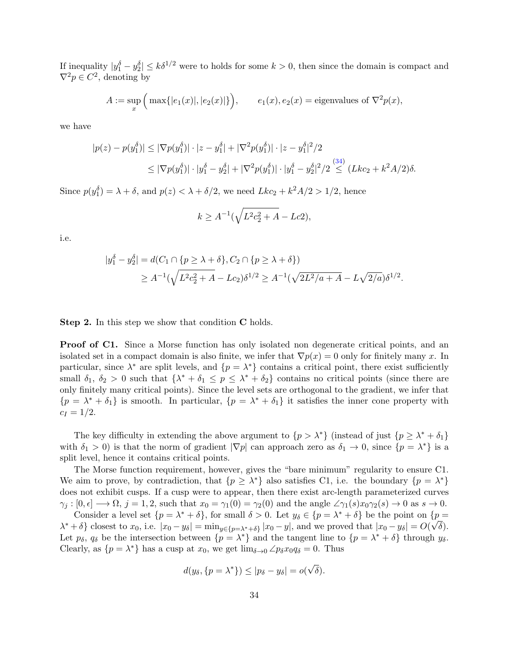If inequality  $|y_1^{\delta} - y_2^{\delta}| \leq k\delta^{1/2}$  were to holds for some  $k > 0$ , then since the domain is compact and  $\nabla^2 p \in C^2$ , denoting by

$$
A := \sup_x \Big( \max\{|e_1(x)|, |e_2(x)|\} \Big), \qquad e_1(x), e_2(x) = \text{eigenvalues of } \nabla^2 p(x),
$$

we have

$$
|p(z) - p(y_1^{\delta})| \le |\nabla p(y_1^{\delta})| \cdot |z - y_1^{\delta}| + |\nabla^2 p(y_1^{\delta})| \cdot |z - y_1^{\delta}|^2 / 2
$$
  

$$
\le |\nabla p(y_1^{\delta})| \cdot |y_1^{\delta} - y_2^{\delta}| + |\nabla^2 p(y_1^{\delta})| \cdot |y_1^{\delta} - y_2^{\delta}|^2 / 2 \le (Lkc_2 + k^2 A/2)\delta.
$$

Since  $p(y_1^{\delta}) = \lambda + \delta$ , and  $p(z) < \lambda + \delta/2$ , we need  $Lkc_2 + k^2A/2 > 1/2$ , hence

$$
k \ge A^{-1}(\sqrt{L^2c_2^2 + A} - Lc2),
$$

i.e.

$$
|y_1^{\delta} - y_2^{\delta}| = d(C_1 \cap \{p \ge \lambda + \delta\}, C_2 \cap \{p \ge \lambda + \delta\})
$$
  
 
$$
\ge A^{-1}(\sqrt{L^2 c_2^2 + A - Lc_2})\delta^{1/2} \ge A^{-1}(\sqrt{2L^2/a + A} - L\sqrt{2/a})\delta^{1/2}.
$$

**Step 2.** In this step we show that condition **C** holds.

**Proof of C1.** Since a Morse function has only isolated non degenerate critical points, and an isolated set in a compact domain is also finite, we infer that  $\nabla p(x) = 0$  only for finitely many x. In particular, since  $\lambda^*$  are split levels, and  $\{p = \lambda^*\}$  contains a critical point, there exist sufficiently small  $\delta_1$ ,  $\delta_2 > 0$  such that  $\{\lambda^* + \delta_1 \leq p \leq \lambda^* + \delta_2\}$  contains no critical points (since there are only finitely many critical points). Since the level sets are orthogonal to the gradient, we infer that  ${p = \lambda^* + \delta_1}$  is smooth. In particular,  ${p = \lambda^* + \delta_1}$  it satisfies the inner cone property with  $c_I = 1/2.$ 

The key difficulty in extending the above argument to  $\{p > \lambda^*\}\$  (instead of just  $\{p \geq \lambda^* + \delta_1\}$ with  $\delta_1 > 0$ ) is that the norm of gradient  $|\nabla p|$  can approach zero as  $\delta_1 \to 0$ , since  $\{p = \lambda^*\}$  is a split level, hence it contains critical points.

The Morse function requirement, however, gives the "bare minimum" regularity to ensure C1. We aim to prove, by contradiction, that  $\{p \geq \lambda^*\}$  also satisfies C1, i.e. the boundary  $\{p = \lambda^*\}$ does not exhibit cusps. If a cusp were to appear, then there exist arc-length parameterized curves  $\gamma_i : [0, \epsilon] \longrightarrow \Omega, j = 1, 2$ , such that  $x_0 = \gamma_1(0) = \gamma_2(0)$  and the angle  $\angle \gamma_1(s)x_0 \gamma_2(s) \rightarrow 0$  as  $s \rightarrow 0$ .

Consider a level set  $\{p = \lambda^* + \delta\}$ , for small  $\delta > 0$ . Let  $y_\delta \in \{p = \lambda^* + \delta\}$  be the point on  $\{p = \delta, \delta\}$  $\lambda^* + \delta$  closest to  $x_0$ , i.e.  $|x_0 - y_\delta| = \min_{y \in \{p = \lambda^* + \delta\}} |x_0 - y|$ , and we proved that  $|x_0 - y_\delta| = O(\sqrt{\delta}).$ Let  $p_{\delta}$ ,  $q_{\delta}$  be the intersection between  $\{p = \lambda^*\}$  and the tangent line to  $\{p = \lambda^* + \delta\}$  through  $y_{\delta}$ . Clearly, as  $\{p = \lambda^*\}$  has a cusp at  $x_0$ , we get  $\lim_{\delta \to 0} \angle p_\delta x_0 q_\delta = 0$ . Thus

$$
d(y_\delta, \{p = \lambda^*\}) \le |p_\delta - y_\delta| = o(\sqrt{\delta}).
$$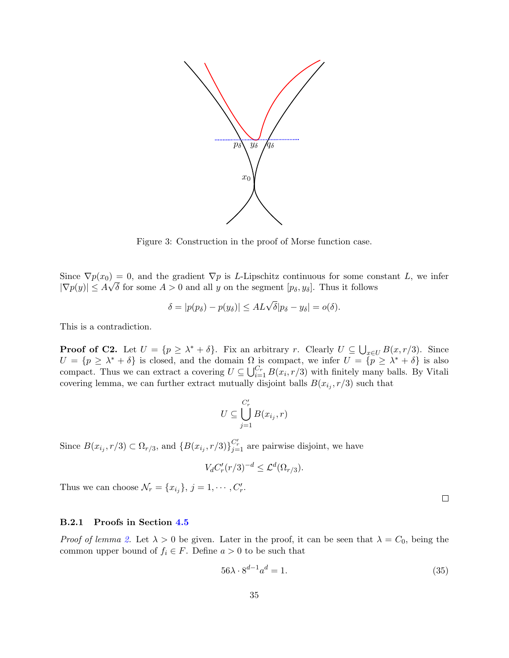

Figure 3: Construction in the proof of Morse function case.

Since  $\nabla p(x_0) = 0$ , and the gradient  $\nabla p$  is L-Lipschitz continuous for some constant L, we infer  $|\nabla p(y)| \leq A\sqrt{\delta}$  for some  $A > 0$  and all y on the segment  $[p_\delta, y_\delta]$ . Thus it follows

$$
\delta = |p(p_\delta) - p(y_\delta)| \leq A L \sqrt{\delta} |p_\delta - y_\delta| = o(\delta).
$$

This is a contradiction.

**Proof of C2.** Let  $U = \{p \geq \lambda^* + \delta\}$ . Fix an arbitrary r. Clearly  $U \subseteq \bigcup_{x \in U} B(x, r/3)$ . Since  $U = \{p \geq \lambda^* + \delta\}$  is closed, and the domain  $\Omega$  is compact, we infer  $U = \{p \geq \lambda^* + \delta\}$  is also compact. Thus we can extract a covering  $U \subseteq \bigcup_{i=1}^{C_r} B(x_i, r/3)$  with finitely many balls. By Vitali covering lemma, we can further extract mutually disjoint balls  $B(x_{i_j}, r/3)$  such that

$$
U\subseteq \bigcup_{j=1}^{C'_r} B(x_{i_j},r)
$$

Since  $B(x_{i_j}, r/3) \subset \Omega_{r/3}$ , and  $\{B(x_{i_j}, r/3)\}_{j=1}^{C'_r}$  are pairwise disjoint, we have

$$
V_d C'_r (r/3)^{-d} \leq \mathcal{L}^d(\Omega_{r/3}).
$$

Thus we can choose  $\mathcal{N}_r = \{x_{i_j}\}, j = 1, \cdots, C'_r$ .

### B.2.1 Proofs in Section [4.5](#page-15-0)

*Proof of lemma [2.](#page-15-3)* Let  $\lambda > 0$  be given. Later in the proof, it can be seen that  $\lambda = C_0$ , being the common upper bound of  $f_i \in F$ . Define  $a > 0$  to be such that

$$
56\lambda \cdot 8^{d-1}a^d = 1. \tag{35}
$$

 $\Box$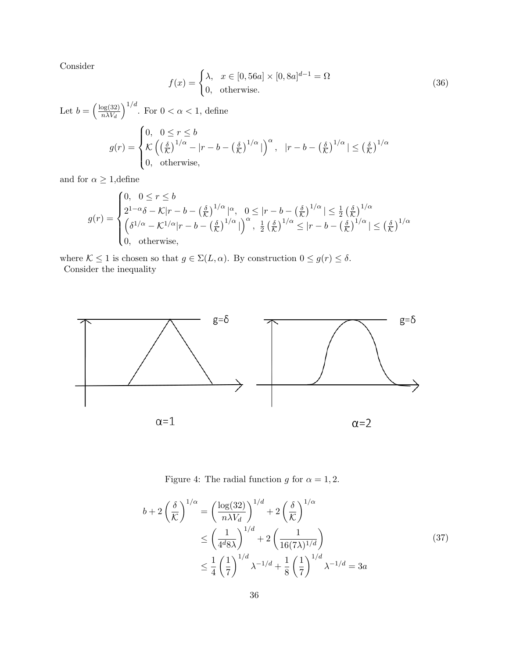Consider

$$
f(x) = \begin{cases} \lambda, & x \in [0, 56a] \times [0, 8a]^{d-1} = \Omega \\ 0, & \text{otherwise.} \end{cases}
$$
 (36)

Let  $b = \left(\frac{\log(32)}{n\lambda V}\right)$  $n\lambda V_d$  $\int_{0}^{1/d}$ . For  $0 < \alpha < 1$ , define  $\begin{cases} 0, & 0 \leq r \leq b \end{cases}$ 

$$
g(r) = \begin{cases} 0, & 0 \le r \le 0 \\ \mathcal{K}\left(\left(\frac{\delta}{\mathcal{K}}\right)^{1/\alpha} - |r - b - \left(\frac{\delta}{\mathcal{K}}\right)^{1/\alpha}| \right)^{\alpha}, & |r - b - \left(\frac{\delta}{\mathcal{K}}\right)^{1/\alpha} | \le \left(\frac{\delta}{\mathcal{K}}\right)^{1/\alpha} \\ 0, & \text{otherwise,} \end{cases}
$$

and for  $\alpha \geq 1,$  define

$$
g(r) = \begin{cases} 0, & 0 \leq r \leq b \\ 2^{1-\alpha}\delta - \mathcal{K}|r - b - \left(\frac{\delta}{\mathcal{K}}\right)^{1/\alpha} |^{\alpha}, & 0 \leq |r - b - \left(\frac{\delta}{\mathcal{K}}\right)^{1/\alpha} | \leq \frac{1}{2} \left(\frac{\delta}{\mathcal{K}}\right)^{1/\alpha} \\ \left(\delta^{1/\alpha} - \mathcal{K}^{1/\alpha}|r - b - \left(\frac{\delta}{\mathcal{K}}\right)^{1/\alpha}| \right)^{\alpha}, & \frac{1}{2} \left(\frac{\delta}{\mathcal{K}}\right)^{1/\alpha} \leq |r - b - \left(\frac{\delta}{\mathcal{K}}\right)^{1/\alpha} | \leq \left(\frac{\delta}{\mathcal{K}}\right)^{1/\alpha} \\ 0, & \text{otherwise}, \end{cases}
$$

where  $\mathcal{K} \leq 1$  is chosen so that  $g \in \Sigma(L, \alpha)$ . By construction  $0 \leq g(r) \leq \delta$ . Consider the inequality



Figure 4: The radial function g for  $\alpha = 1, 2$ .

$$
b + 2\left(\frac{\delta}{\mathcal{K}}\right)^{1/\alpha} = \left(\frac{\log(32)}{n\lambda V_d}\right)^{1/d} + 2\left(\frac{\delta}{\mathcal{K}}\right)^{1/\alpha}
$$
  
\n
$$
\leq \left(\frac{1}{4^d 8\lambda}\right)^{1/d} + 2\left(\frac{1}{16(7\lambda)^{1/d}}\right)
$$
  
\n
$$
\leq \frac{1}{4}\left(\frac{1}{7}\right)^{1/d}\lambda^{-1/d} + \frac{1}{8}\left(\frac{1}{7}\right)^{1/d}\lambda^{-1/d} = 3a
$$
\n(37)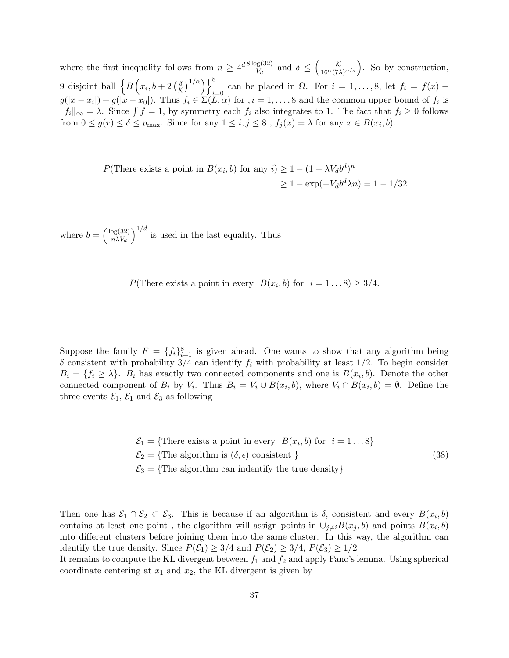where the first inequality follows from  $n \geq 4^d \frac{8 \log(32)}{V}$  $\frac{\log(32)}{V_d}$  and  $\delta \leq \left(\frac{\mathcal{K}}{16^{\alpha}(7\lambda)^{\alpha/d}}\right)$ . So by construction, 9 disjoint ball  $\left\{B\left(x_i, b+2\left(\frac{\delta}{\mathcal{K}}\right)^{1/\alpha}\right)\right\}_{i=0}^8$  can be placed in  $\Omega$ . For  $i=1,\ldots,8$ , let  $f_i = f(x)$  –  $g(|x-x_i|)+g(|x-x_0|)$ . Thus  $f_i \in \Sigma(L,\alpha)$  for  $i=1,\ldots,8$  and the common upper bound of  $f_i$  is  $||f_i||_{\infty} = \lambda$ . Since  $\int f = 1$ , by symmetry each  $f_i$  also integrates to 1. The fact that  $f_i \geq 0$  follows from  $0 \le g(r) \le \delta \le p_{\text{max}}$ . Since for any  $1 \le i, j \le 8$ ,  $f_j(x) = \lambda$  for any  $x \in B(x_i, b)$ .

$$
P(\text{There exists a point in } B(x_i, b) \text{ for any } i) \ge 1 - (1 - \lambda V_d b^d)^n
$$

$$
\ge 1 - \exp(-V_d b^d \lambda n) = 1 - 1/32
$$

where  $b = \left(\frac{\log(32)}{nW}\right)$  $n\lambda V_d$  $\int_0^{1/d}$  is used in the last equality. Thus

 $P(\text{There exists a point in every } B(x_i, b) \text{ for } i = 1...8) \geq 3/4.$ 

Suppose the family  $F = \{f_i\}_{i=1}^8$  is given ahead. One wants to show that any algorithm being  $\delta$  consistent with probability 3/4 can identify  $f_i$  with probability at least 1/2. To begin consider  $B_i = \{f_i \geq \lambda\}$ .  $B_i$  has exactly two connected components and one is  $B(x_i, b)$ . Denote the other connected component of  $B_i$  by  $V_i$ . Thus  $B_i = V_i \cup B(x_i, b)$ , where  $V_i \cap B(x_i, b) = \emptyset$ . Define the three events  $\mathcal{E}_1$ ,  $\mathcal{E}_1$  and  $\mathcal{E}_3$  as following

$$
\mathcal{E}_1 = \{\text{There exists a point in every } B(x_i, b) \text{ for } i = 1...8\}
$$
  

$$
\mathcal{E}_2 = \{\text{The algorithm is } (\delta, \epsilon) \text{ consistent }\}
$$
  

$$
\mathcal{E}_3 = \{\text{The algorithm can indentify the true density}\}\
$$
 (38)

Then one has  $\mathcal{E}_1 \cap \mathcal{E}_2 \subset \mathcal{E}_3$ . This is because if an algorithm is  $\delta$ , consistent and every  $B(x_i, b)$ contains at least one point, the algorithm will assign points in  $\cup_{j\neq i} B(x_j, b)$  and points  $B(x_i, b)$ into different clusters before joining them into the same cluster. In this way, the algorithm can identify the true density. Since  $P(\mathcal{E}_1) \geq 3/4$  and  $P(\mathcal{E}_2) \geq 3/4$ ,  $P(\mathcal{E}_3) \geq 1/2$ 

It remains to compute the KL divergent between  $f_1$  and  $f_2$  and apply Fano's lemma. Using spherical coordinate centering at  $x_1$  and  $x_2$ , the KL divergent is given by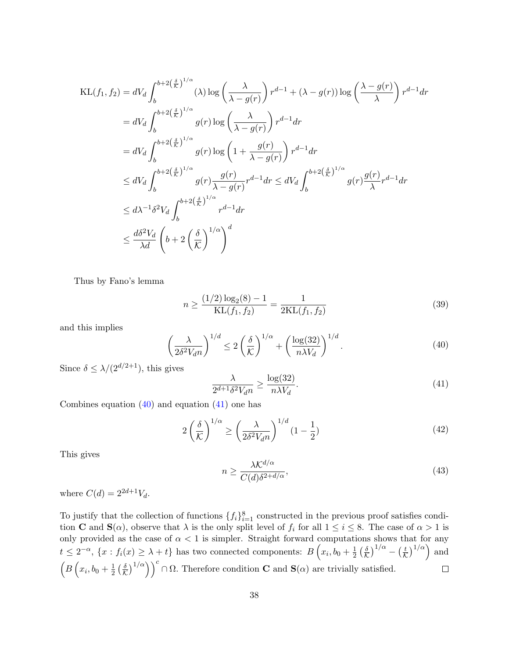$$
\begin{split} \text{KL}(f_1, f_2) &= dV_d \int_b^{b+2\left(\frac{\delta}{K}\right)^{1/\alpha}} (\lambda) \log\left(\frac{\lambda}{\lambda - g(r)}\right) r^{d-1} + (\lambda - g(r)) \log\left(\frac{\lambda - g(r)}{\lambda}\right) r^{d-1} dr \\ &= dV_d \int_b^{b+2\left(\frac{\delta}{K}\right)^{1/\alpha}} g(r) \log\left(\frac{\lambda}{\lambda - g(r)}\right) r^{d-1} dr \\ &= dV_d \int_b^{b+2\left(\frac{\delta}{K}\right)^{1/\alpha}} g(r) \log\left(1 + \frac{g(r)}{\lambda - g(r)}\right) r^{d-1} dr \\ &\le dV_d \int_b^{b+2\left(\frac{\delta}{K}\right)^{1/\alpha}} g(r) \frac{g(r)}{\lambda - g(r)} r^{d-1} dr \le dV_d \int_b^{b+2\left(\frac{\delta}{K}\right)^{1/\alpha}} g(r) \frac{g(r)}{\lambda} r^{d-1} dr \\ &\le d\lambda^{-1} \delta^2 V_d \int_b^{b+2\left(\frac{\delta}{K}\right)^{1/\alpha}} r^{d-1} dr \\ &\le \frac{d\delta^2 V_d}{\lambda d} \left(b+2\left(\frac{\delta}{K}\right)^{1/\alpha}\right)^d \end{split}
$$

Thus by Fano's lemma

$$
n \ge \frac{(1/2)\log_2(8) - 1}{\text{KL}(f_1, f_2)} = \frac{1}{2\text{KL}(f_1, f_2)}\tag{39}
$$

and this implies

<span id="page-37-0"></span>
$$
\left(\frac{\lambda}{2\delta^2 V_d n}\right)^{1/d} \le 2\left(\frac{\delta}{\mathcal{K}}\right)^{1/\alpha} + \left(\frac{\log(32)}{n\lambda V_d}\right)^{1/d}.\tag{40}
$$

Since  $\delta \leq \lambda/(2^{d/2+1})$ , this gives

<span id="page-37-1"></span>
$$
\frac{\lambda}{2^{d+1}\delta^2 V_d n} \ge \frac{\log(32)}{n\lambda V_d}.\tag{41}
$$

Combines equation  $(40)$  and equation  $(41)$  one has

$$
2\left(\frac{\delta}{\mathcal{K}}\right)^{1/\alpha} \ge \left(\frac{\lambda}{2\delta^2 V_{d} n}\right)^{1/d} (1 - \frac{1}{2})\tag{42}
$$

This gives

$$
n \ge \frac{\lambda \mathcal{K}^{d/\alpha}}{C(d)\delta^{2+d/\alpha}},\tag{43}
$$

where  $C(d) = 2^{2d+1}V_d$ .

To justify that the collection of functions  $\{f_i\}_{i=1}^8$  constructed in the previous proof satisfies condition **C** and  $S(\alpha)$ , observe that  $\lambda$  is the only split level of  $f_i$  for all  $1 \le i \le 8$ . The case of  $\alpha > 1$  is only provided as the case of  $\alpha < 1$  is simpler. Straight forward computations shows that for any  $t \leq 2^{-\alpha}, \{x : f_i(x) \geq \lambda + t\}$  has two connected components:  $B\left(x_i, b_0 + \frac{1}{2}\right)$  $\frac{1}{2} \left( \frac{\delta}{\mathcal{K}} \right)^{1/\alpha} - \left( \frac{t}{\mathcal{K}} \right)^{1/\alpha}$  and  $\frac{1}{2} \left(\frac{\delta}{\mathcal{K}}\right)^{1/\alpha}$   $\Big)$   $\Big)$   $\cap$   $\Omega$ . Therefore condition **C** and **S**( $\alpha$ ) are trivially satisfied.  $\left(B\left(x_i,b_0+\frac{1}{2}\right)\right)$  $\Box$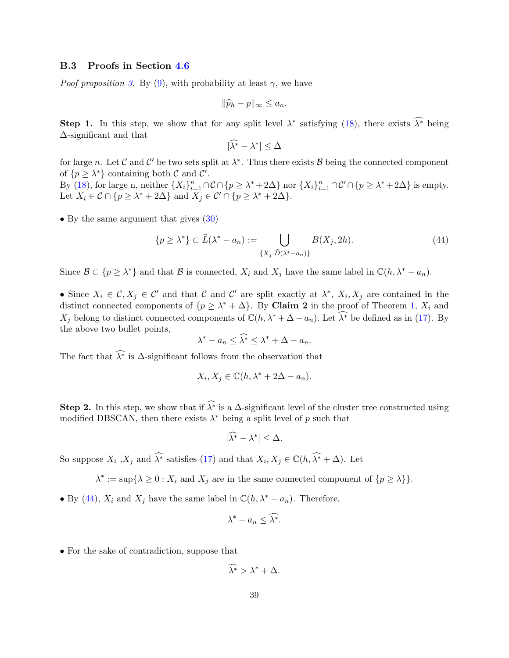### B.3 Proofs in Section [4.6](#page-16-0)

*Poof proposition [3.](#page-16-2)* By [\(9\)](#page-8-5), with probability at least  $\gamma$ , we have

$$
\|\widehat{p}_h-p\|_{\infty}\leq a_n.
$$

**Step 1.** In this step, we show that for any split level  $\lambda^*$  satisfying [\(18\)](#page-17-2), there exists  $\widehat{\lambda^*}$  being ∆-significant and that

$$
|\widehat{\lambda^*} - \lambda^*| \le \Delta
$$

for large n. Let C and C' be two sets split at  $\lambda^*$ . Thus there exists B being the connected component of  $\{p \geq \lambda^*\}$  containing both  $\mathcal C$  and  $\mathcal C'$ .

By [\(18\)](#page-17-2), for large n, neither  $\{X_i\}_{i=1}^n \cap \mathcal{C} \cap \{p \geq \lambda^* + 2\Delta\}$  nor  $\{X_i\}_{i=1}^n \cap \mathcal{C}' \cap \{p \geq \lambda^* + 2\Delta\}$  is empty. Let  $X_i \in \mathcal{C} \cap \{p \geq \lambda^* + 2\Delta\}$  and  $X_j \in \mathcal{C}' \cap \{p \geq \lambda^* + 2\Delta\}.$ 

• By the same argument that gives  $(30)$ 

<span id="page-38-0"></span>
$$
\{p \ge \lambda^*\} \subset \widehat{L}(\lambda^* - a_n) := \bigcup_{\{X_j : \widehat{D}(\lambda^* - a_n)\}} B(X_j, 2h). \tag{44}
$$

Since  $\mathcal{B} \subset \{p \geq \lambda^*\}$  and that  $\mathcal{B}$  is connected,  $X_i$  and  $X_j$  have the same label in  $\mathbb{C}(h, \lambda^* - a_n)$ .

• Since  $X_i \in \mathcal{C}, X_j \in \mathcal{C}'$  and that  $\mathcal{C}$  and  $\mathcal{C}'$  are split exactly at  $\lambda^*, X_i, X_j$  are contained in the distinct connected components of  $\{p \geq \lambda^* + \Delta\}$ . By Claim 2 in the proof of Theorem [1,](#page-15-1)  $X_i$  and  $X_j$  belong to distinct connected components of  $\mathbb{C}(h, \lambda^* + \Delta - a_n)$ . Let  $\widehat{\lambda^*}$  be defined as in [\(17\)](#page-16-3). By the above two bullet points,

$$
\lambda^* - a_n \leq \widehat{\lambda^*} \leq \lambda^* + \Delta - a_n.
$$

The fact that  $\widehat{\lambda^*}$  is  $\Delta$ -significant follows from the observation that

$$
X_i, X_j \in \mathbb{C}(h, \lambda^* + 2\Delta - a_n).
$$

**Step 2.** In this step, we show that if  $\widehat{\lambda^*}$  is a  $\Delta$ -significant level of the cluster tree constructed using modified DBSCAN, then there exists  $\lambda^*$  being a split level of p such that

$$
|\widehat{\lambda^*} - \lambda^*| \leq \Delta.
$$

So suppose  $X_i$ ,  $X_j$  and  $\widehat{\lambda^*}$  satisfies [\(17\)](#page-16-3) and that  $X_i, X_j \in \mathbb{C}(h, \widehat{\lambda^*} + \Delta)$ . Let

 $\lambda^* := \sup\{\lambda \geq 0 : X_i \text{ and } X_j \text{ are in the same connected component of } \{p \geq \lambda\}\}.$ 

• By [\(44\)](#page-38-0),  $X_i$  and  $X_j$  have the same label in  $\mathbb{C}(h, \lambda^* - a_n)$ . Therefore,

$$
\lambda^* - a_n \leq \widehat{\lambda^*}.
$$

• For the sake of contradiction, suppose that

$$
\widehat{\lambda^*} > \lambda^* + \Delta.
$$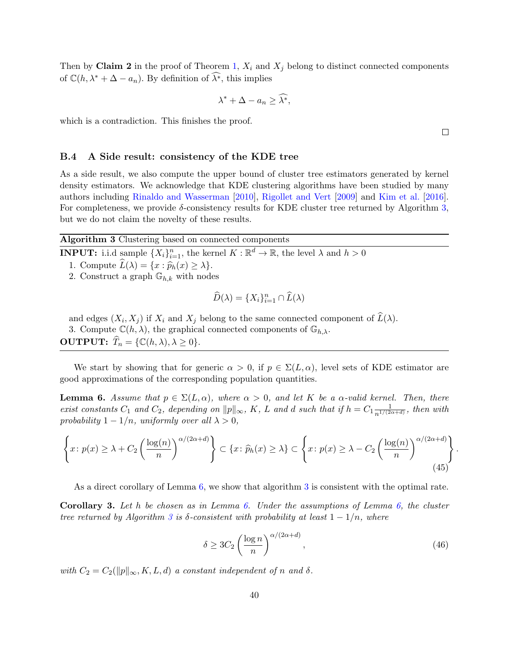Then by Claim 2 in the proof of Theorem [1,](#page-15-1)  $X_i$  and  $X_j$  belong to distinct connected components of  $\mathbb{C}(h, \lambda^* + \Delta - a_n)$ . By definition of  $\widehat{\lambda^*}$ , this implies

$$
\lambda^* + \Delta - a_n \ge \widehat{\lambda^*},
$$

which is a contradiction. This finishes the proof.

### <span id="page-39-3"></span>B.4 A Side result: consistency of the KDE tree

As a side result, we also compute the upper bound of cluster tree estimators generated by kernel density estimators. We acknowledge that KDE clustering algorithms have been studied by many authors including [Rinaldo and Wasserman](#page-26-6) [\[2010\]](#page-26-6), [Rigollet and Vert](#page-26-5) [\[2009\]](#page-26-5) and [Kim et al.](#page-25-6) [\[2016\]](#page-25-6). For completeness, we provide  $\delta$ -consistency results for KDE cluster tree returned by Algorithm [3,](#page-39-1) but we do not claim the novelty of these results.

Algorithm 3 Clustering based on connected components

**INPUT:** i.i.d sample  $\{X_i\}_{i=1}^n$ , the kernel  $K : \mathbb{R}^d \to \mathbb{R}$ , the level  $\lambda$  and  $h > 0$ 

- 1. Compute  $\widehat{L}(\lambda) = \{x : \widehat{p}_h(x) \geq \lambda\}.$
- 2. Construct a graph  $\mathbb{G}_{h,k}$  with nodes

<span id="page-39-1"></span>
$$
\widehat{D}(\lambda) = \{X_i\}_{i=1}^n \cap \widehat{L}(\lambda)
$$

and edges  $(X_i, X_j)$  if  $X_i$  and  $X_j$  belong to the same connected component of  $L(\lambda)$ . 3. Compute  $\mathbb{C}(h,\lambda)$ , the graphical connected components of  $\mathbb{G}_{h,\lambda}$ . **OUTPUT:**  $\widehat{T}_n = \{ \mathbb{C}(h, \lambda), \lambda \geq 0 \}.$ 

We start by showing that for generic  $\alpha > 0$ , if  $p \in \Sigma(L, \alpha)$ , level sets of KDE estimator are good approximations of the corresponding population quantities.

<span id="page-39-0"></span>**Lemma 6.** Assume that  $p \in \Sigma(L, \alpha)$ , where  $\alpha > 0$ , and let K be a  $\alpha$ -valid kernel. Then, there exist constants  $C_1$  and  $C_2$ , depending on  $||p||_{\infty}$ , K, L and d such that if  $h = C_1 \frac{1}{n^{1/(2\ell)}}$  $\frac{1}{n^{1/(2\alpha+d)}},$  then with probability  $1 - 1/n$ , uniformly over all  $\lambda > 0$ ,

$$
\left\{ x \colon p(x) \ge \lambda + C_2 \left( \frac{\log(n)}{n} \right)^{\alpha/(2\alpha+d)} \right\} \subset \left\{ x \colon \widehat{p}_h(x) \ge \lambda \right\} \subset \left\{ x \colon p(x) \ge \lambda - C_2 \left( \frac{\log(n)}{n} \right)^{\alpha/(2\alpha+d)} \right\}
$$
(45)

As a direct corollary of Lemma [6,](#page-39-0) we show that algorithm [3](#page-39-1) is consistent with the optimal rate.

<span id="page-39-2"></span>**Corollary 3.** Let h be chosen as in Lemma [6.](#page-39-0) Under the assumptions of Lemma [6,](#page-39-0) the cluster tree returned by Algorithm [3](#page-39-1) is  $\delta$ -consistent with probability at least  $1 - 1/n$ , where

$$
\delta \ge 3C_2 \left(\frac{\log n}{n}\right)^{\alpha/(2\alpha+d)},\tag{46}
$$

with  $C_2 = C_2(||p||_{\infty}, K, L, d)$  a constant independent of n and  $\delta$ .

 $\Box$ 

.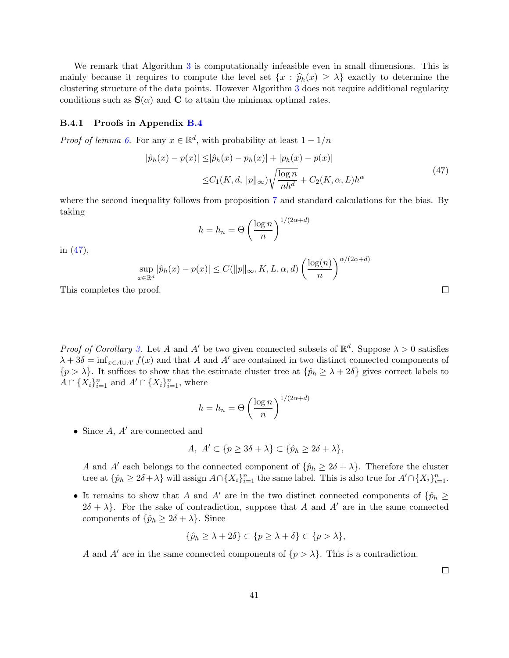We remark that Algorithm [3](#page-39-1) is computationally infeasible even in small dimensions. This is mainly because it requires to compute the level set  $\{x : \hat{p}_h(x) \geq \lambda\}$  exactly to determine the clustering structure of the data points. However Algorithm [3](#page-39-1) does not require additional regularity conditions such as  $S(\alpha)$  and C to attain the minimax optimal rates.

### B.4.1 Proofs in Appendix [B.4](#page-39-3)

*Proof of lemma 6*. For any  $x \in \mathbb{R}^d$ , with probability at least  $1 - 1/n$ 

<span id="page-40-0"></span>
$$
|\hat{p}_h(x) - p(x)| \le |\hat{p}_h(x) - p_h(x)| + |p_h(x) - p(x)|
$$
  

$$
\le C_1(K, d, \|p\|_{\infty}) \sqrt{\frac{\log n}{nh^d}} + C_2(K, \alpha, L) h^{\alpha}
$$
 (47)

where the second inequality follows from proposition [7](#page-28-1) and standard calculations for the bias. By taking

$$
h = h_n = \Theta\left(\frac{\log n}{n}\right)^{1/(2\alpha + d)}
$$

in [\(47\)](#page-40-0),

$$
\sup_{x \in \mathbb{R}^d} |\hat{p}_h(x) - p(x)| \le C(||p||_{\infty}, K, L, \alpha, d) \left(\frac{\log(n)}{n}\right)^{\alpha/(2\alpha + d)}
$$

This completes the proof.

*Proof of Corollary [3.](#page-39-2)* Let A and A' be two given connected subsets of  $\mathbb{R}^d$ . Suppose  $\lambda > 0$  satisfies  $\lambda + 3\delta = \inf_{x \in A \cup A'} f(x)$  and that A and A' are contained in two distinct connected components of  $\{p > \lambda\}$ . It suffices to show that the estimate cluster tree at  $\{\hat{p}_h \geq \lambda + 2\delta\}$  gives correct labels to  $A \cap \{X_i\}_{i=1}^n$  and  $A' \cap \{X_i\}_{i=1}^n$ , where

$$
h = h_n = \Theta\left(\frac{\log n}{n}\right)^{1/(2\alpha + d)}
$$

• Since  $A, A'$  are connected and

$$
A, A' \subset \{ p \ge 3\delta + \lambda \} \subset \{ \hat{p}_h \ge 2\delta + \lambda \},
$$

A and A' each belongs to the connected component of  $\{\hat{p}_h \geq 2\delta + \lambda\}$ . Therefore the cluster tree at  $\{\hat{p}_h \geq 2\delta + \lambda\}$  will assign  $A \cap \{X_i\}_{i=1}^n$  the same label. This is also true for  $A' \cap \{X_i\}_{i=1}^n$ .

• It remains to show that A and A' are in the two distinct connected components of  $\{\hat{p}_h\geq\}$  $2\delta + \lambda$ . For the sake of contradiction, suppose that A and A' are in the same connected components of  $\{\hat{p}_h \geq 2\delta + \lambda\}$ . Since

$$
\{\hat{p}_h \ge \lambda + 2\delta\} \subset \{p \ge \lambda + \delta\} \subset \{p > \lambda\},\
$$

A and A' are in the same connected components of  $\{p > \lambda\}$ . This is a contradiction.

 $\Box$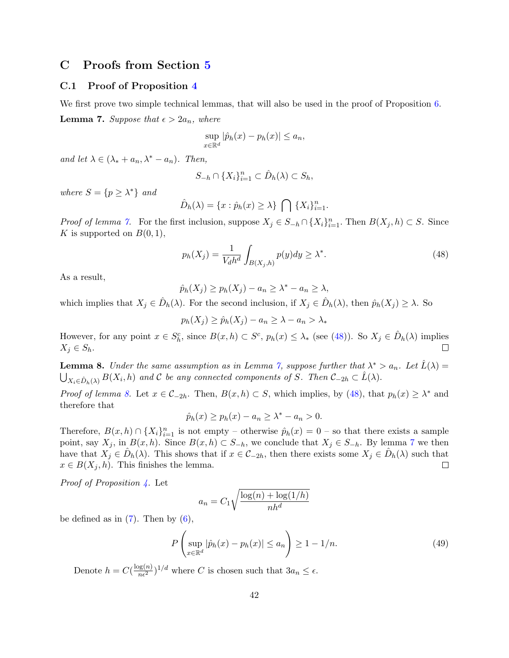## C Proofs from Section [5](#page-17-0)

## C.1 Proof of Proposition [4](#page-19-0)

<span id="page-41-0"></span>We first prove two simple technical lemmas, that will also be used in the proof of Proposition [6.](#page-21-1)

**Lemma 7.** Suppose that  $\epsilon > 2a_n$ , where

$$
\sup_{x \in \mathbb{R}^d} |\hat{p}_h(x) - p_h(x)| \le a_n,
$$

and let  $\lambda \in (\lambda_* + a_n, \lambda^* - a_n)$ . Then,

$$
S_{-h} \cap \{X_i\}_{i=1}^n \subset \hat{D}_h(\lambda) \subset S_h,
$$

where  $S = \{p \geq \lambda^*\}\$ and

$$
\hat{D}_h(\lambda) = \{x : \hat{p}_h(x) \ge \lambda\} \bigcap \{X_i\}_{i=1}^n.
$$

*Proof of lemma [7.](#page-41-0)* For the first inclusion, suppose  $X_j \in S_{-h} \cap \{X_i\}_{i=1}^n$ . Then  $B(X_j, h) \subset S$ . Since K is supported on  $B(0,1)$ ,

<span id="page-41-1"></span>
$$
p_h(X_j) = \frac{1}{V_d h^d} \int_{B(X_j, h)} p(y) dy \ge \lambda^*.
$$
\n(48)

As a result,

$$
\hat{p}_h(X_j) \ge p_h(X_j) - a_n \ge \lambda^* - a_n \ge \lambda,
$$

which implies that  $X_j \in \hat{D}_h(\lambda)$ . For the second inclusion, if  $X_j \in \hat{D}_h(\lambda)$ , then  $\hat{p}_h(X_j) \geq \lambda$ . So

$$
p_h(X_j) \ge \hat{p}_h(X_j) - a_n \ge \lambda - a_n > \lambda_*
$$

However, for any point  $x \in S_h^c$ , since  $B(x, h) \subset S^c$ ,  $p_h(x) \leq \lambda_*$  (see [\(48\)](#page-41-1)). So  $X_j \in \hat{D}_h(\lambda)$  implies  $\Box$  $X_j \in S_h$ .

<span id="page-41-2"></span>**Lemma 8.** Under the same assumption as in Lemma [7,](#page-41-0) suppose further that  $\lambda^* > a_n$ . Let  $\hat{L}(\lambda) =$  $\bigcup_{X_i \in \hat{D}_h(\lambda)} B(X_i, h)$  and C be any connected components of S. Then  $C_{-2h} \subset \hat{L}(\lambda)$ .

*Proof of lemma [8.](#page-41-2)* Let  $x \in C_{-2h}$ . Then,  $B(x, h) \subset S$ , which implies, by [\(48\)](#page-41-1), that  $p_h(x) \geq \lambda^*$  and therefore that

$$
\hat{p}_h(x) \ge p_h(x) - a_n \ge \lambda^* - a_n > 0.
$$

Therefore,  $B(x,h) \cap \{X_i\}_{i=1}^n$  is not empty – otherwise  $\hat{p}_h(x) = 0$  – so that there exists a sample point, say  $X_j$ , in  $B(x, h)$ . Since  $B(x, h) \subset S_{-h}$ , we conclude that  $X_j \in S_{-h}$ . By lemma [7](#page-41-0) we then have that  $X_j \in \hat{D}_h(\lambda)$ . This shows that if  $x \in \mathcal{C}_{-2h}$ , then there exists some  $X_j \in \hat{D}_h(\lambda)$  such that  $x \in B(X_j, h)$ . This finishes the lemma.  $\Box$ 

*Proof of Proposition [4.](#page-19-0)* Let

$$
a_n = C_1 \sqrt{\frac{\log(n) + \log(1/h)}{nh^d}}
$$

be defined as in  $(7)$ . Then by  $(6)$ ,

$$
P\left(\sup_{x\in\mathbb{R}^d}|\hat{p}_h(x)-p_h(x)|\leq a_n\right)\geq 1-1/n.\tag{49}
$$

Denote  $h = C\left(\frac{\log(n)}{n\epsilon^2}\right)^{1/d}$  where C is chosen such that  $3a_n \leq \epsilon$ .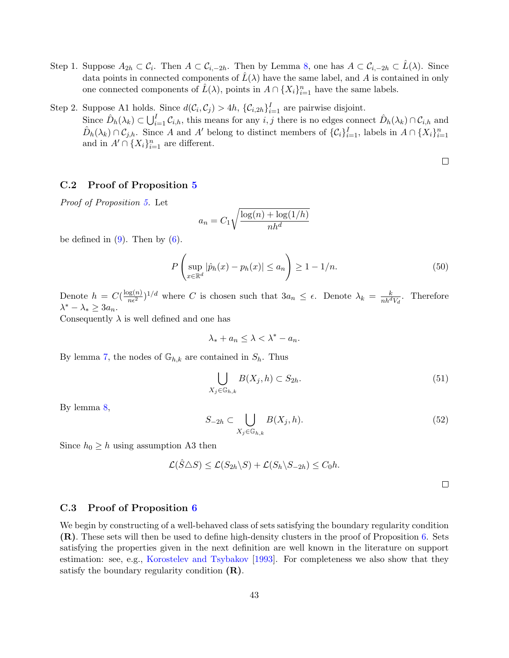- Step 1. Suppose  $A_{2h} \subset \mathcal{C}_i$ . Then  $A \subset \mathcal{C}_{i,-2h}$ . Then by Lemma [8,](#page-41-2) one has  $A \subset \mathcal{C}_{i,-2h} \subset \hat{L}(\lambda)$ . Since data points in connected components of  $\hat{L}(\lambda)$  have the same label, and A is contained in only one connected components of  $\hat{L}(\lambda)$ , points in  $A \cap \{X_i\}_{i=1}^n$  have the same labels.
- Step 2. Suppose A1 holds. Since  $d(C_i, C_j) > 4h$ ,  $\{C_{i,2h}\}_{i=1}^I$  are pairwise disjoint. Since  $\hat{D}_h(\lambda_k) \subset \bigcup_{i=1}^I C_{i,h}$ , this means for any  $i, j$  there is no edges connect  $\hat{D}_h(\lambda_k) \cap C_{i,h}$  and  $\hat{D}_h(\lambda_k) \cap C_{j,h}$ . Since A and A' belong to distinct members of  $\{\mathcal{C}_i\}_{i=1}^I$ , labels in  $A \cap \{X_i\}_{i=1}^n$ and in  $A' \cap \{X_i\}_{i=1}^n$  are different.

 $\Box$ 

## C.2 Proof of Proposition [5](#page-20-0)

Proof of Proposition [5.](#page-20-0) Let

$$
a_n = C_1 \sqrt{\frac{\log(n) + \log(1/h)}{nh^d}}
$$

be defined in  $(9)$ . Then by  $(6)$ .

$$
P\left(\sup_{x\in\mathbb{R}^d}|\hat{p}_h(x)-p_h(x)|\leq a_n\right)\geq 1-1/n.\tag{50}
$$

Denote  $h = C(\frac{\log(n)}{n\epsilon^2})^{1/d}$  where C is chosen such that  $3a_n \leq \epsilon$ . Denote  $\lambda_k = \frac{k}{nh^dV_d}$ . Therefore  $\lambda^* - \lambda_* \geq 3a_n.$ 

Consequently  $\lambda$  is well defined and one has

 $\lambda_* + a_n \leq \lambda \leq \lambda^* - a_n$ .

By lemma [7,](#page-41-0) the nodes of  $\mathbb{G}_{h,k}$  are contained in  $S_h$ . Thus

$$
\bigcup_{X_j \in \mathbb{G}_{h,k}} B(X_j, h) \subset S_{2h}.\tag{51}
$$

By lemma [8,](#page-41-2)

$$
S_{-2h} \subset \bigcup_{X_j \in \mathbb{G}_{h,k}} B(X_j, h). \tag{52}
$$

Since  $h_0 \geq h$  using assumption A3 then

$$
\mathcal{L}(\hat{S}\triangle S) \leq \mathcal{L}(S_{2h}\backslash S) + \mathcal{L}(S_h\backslash S_{-2h}) \leq C_0 h.
$$

### C.3 Proof of Proposition [6](#page-21-1)

<span id="page-42-0"></span>We begin by constructing of a well-behaved class of sets satisfying the boundary regularity condition (R). These sets will then be used to define high-density clusters in the proof of Proposition [6.](#page-21-1) Sets satisfying the properties given in the next definition are well known in the literature on support estimation: see, e.g., [Korostelev and Tsybakov](#page-26-15) [\[1993\]](#page-26-15). For completeness we also show that they satisfy the boundary regularity condition  $(R)$ .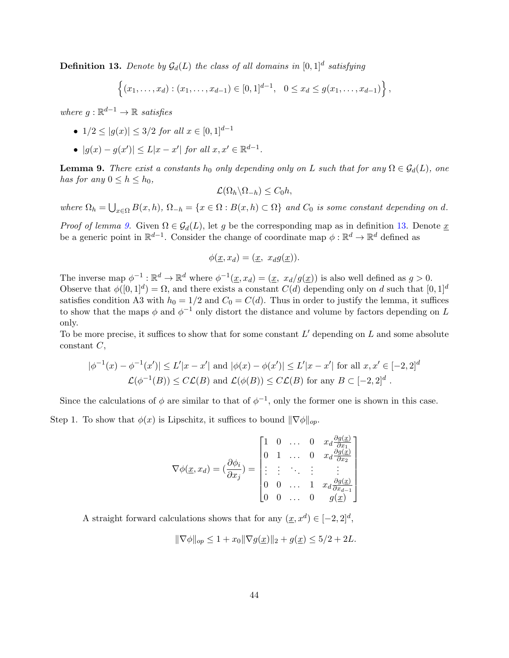**Definition 13.** Denote by  $\mathcal{G}_d(L)$  the class of all domains in  $[0,1]^d$  satisfying

$$
\{(x_1,\ldots,x_d): (x_1,\ldots,x_{d-1})\in [0,1]^{d-1}, \ 0\leq x_d\leq g(x_1,\ldots,x_{d-1})\},\
$$

where  $g: \mathbb{R}^{d-1} \to \mathbb{R}$  satisfies

• 
$$
1/2 \le |g(x)| \le 3/2
$$
 for all  $x \in [0, 1]^{d-1}$ 

•  $|g(x) - g(x')| \le L|x - x'|$  for all  $x, x' \in \mathbb{R}^{d-1}$ .

<span id="page-43-0"></span>**Lemma 9.** There exist a constants  $h_0$  only depending only on L such that for any  $\Omega \in \mathcal{G}_d(L)$ , one has for any  $0 \leq h \leq h_0$ ,

$$
\mathcal{L}(\Omega_h \backslash \Omega_{-h}) \leq C_0 h,
$$

where  $\Omega_h = \bigcup_{x \in \Omega} B(x, h), \Omega_{-h} = \{x \in \Omega : B(x, h) \subset \Omega\}$  and  $C_0$  is some constant depending on d.

*Proof of lemma [9.](#page-43-0)* Given  $\Omega \in \mathcal{G}_d(L)$ , let g be the corresponding map as in definition [13.](#page-42-0) Denote x be a generic point in  $\mathbb{R}^{d-1}$ . Consider the change of coordinate map  $\phi : \mathbb{R}^d \to \mathbb{R}^d$  defined as

$$
\phi(\underline{x}, x_d) = (\underline{x}, x_d g(\underline{x})).
$$

The inverse map  $\phi^{-1} : \mathbb{R}^d \to \mathbb{R}^d$  where  $\phi^{-1}(\underline{x}, x_d) = (\underline{x}, x_d/g(\underline{x}))$  is also well defined as  $g > 0$ . Observe that  $\phi([0,1]^d) = \Omega$ , and there exists a constant  $C(d)$  depending only on d such that  $[0,1]^d$ satisfies condition A3 with  $h_0 = 1/2$  and  $C_0 = C(d)$ . Thus in order to justify the lemma, it suffices to show that the maps  $\phi$  and  $\phi^{-1}$  only distort the distance and volume by factors depending on L only.

To be more precise, it suffices to show that for some constant  $L'$  depending on  $L$  and some absolute  $constant C$ ,

$$
|\phi^{-1}(x) - \phi^{-1}(x')| \le L'|x - x'| \text{ and } |\phi(x) - \phi(x')| \le L'|x - x'| \text{ for all } x, x' \in [-2, 2]^d
$$
  

$$
\mathcal{L}(\phi^{-1}(B)) \le C\mathcal{L}(B) \text{ and } \mathcal{L}(\phi(B)) \le C\mathcal{L}(B) \text{ for any } B \subset [-2, 2]^d.
$$

Since the calculations of  $\phi$  are similar to that of  $\phi^{-1}$ , only the former one is shown in this case.

Step 1. To show that  $\phi(x)$  is Lipschitz, it suffices to bound  $\|\nabla \phi\|_{op}$ .

$$
\nabla \phi(\underline{x}, x_d) = \begin{pmatrix} \frac{\partial \phi_i}{\partial x_j} \end{pmatrix} = \begin{bmatrix} 1 & 0 & \dots & 0 & x_d \frac{\partial g(\underline{x})}{\partial x_1} \\ 0 & 1 & \dots & 0 & x_d \frac{\partial g(\underline{x})}{\partial x_2} \\ \vdots & \vdots & \ddots & \vdots & \vdots \\ 0 & 0 & \dots & 1 & x_d \frac{\partial g(\underline{x})}{\partial x_{d-1}} \\ 0 & 0 & \dots & 0 & g(\underline{x}) \end{bmatrix}
$$

A straight forward calculations shows that for any  $(\underline{x}, x^d) \in [-2, 2]^d$ ,

$$
\|\nabla \phi\|_{op} \le 1 + x_0 \|\nabla g(\underline{x})\|_2 + g(\underline{x}) \le 5/2 + 2L.
$$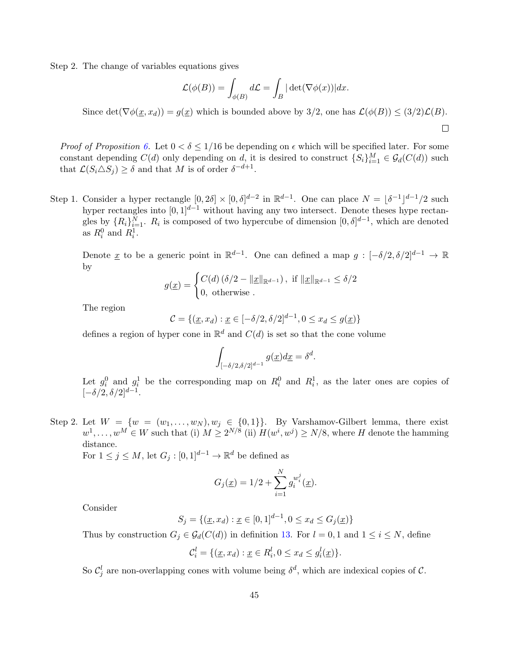Step 2. The change of variables equations gives

$$
\mathcal{L}(\phi(B)) = \int_{\phi(B)} d\mathcal{L} = \int_B |\det(\nabla \phi(x))| dx.
$$

Since det( $\nabla \phi(x, x_d)$ ) =  $g(x)$  which is bounded above by 3/2, one has  $\mathcal{L}(\phi(B)) \leq (3/2)\mathcal{L}(B)$ .

 $\Box$ 

*Proof of Proposition [6.](#page-21-1)* Let  $0 < \delta \leq 1/16$  be depending on  $\epsilon$  which will be specified later. For some constant depending  $C(d)$  only depending on d, it is desired to construct  $\{S_i\}_{i=1}^M \in \mathcal{G}_d(C(d))$  such that  $\mathcal{L}(S_i \triangle S_j) \ge \delta$  and that M is of order  $\delta^{-d+1}$ .

Step 1. Consider a hyper rectangle  $[0, 2\delta] \times [0, \delta]^{d-2}$  in  $\mathbb{R}^{d-1}$ . One can place  $N = |\delta^{-1}|^{d-1}/2$  such hyper rectangles into  $[0, 1]^{d-1}$  without having any two intersect. Denote theses hype rectangles by  $\{R_i\}_{i=1}^N$ .  $R_i$  is composed of two hypercube of dimension  $[0,\delta]^{d-1}$ , which are denoted as  $R_i^0$  and  $R_i^1$ .

Denote <u>x</u> to be a generic point in  $\mathbb{R}^{d-1}$ . One can defined a map  $g: [-\delta/2, \delta/2]^{d-1} \to \mathbb{R}$ by

$$
g(\underline{x}) = \begin{cases} C(d) \left(\delta/2 - ||\underline{x}||_{\mathbb{R}^{d-1}}\right), & \text{if } ||\underline{x}||_{\mathbb{R}^{d-1}} \le \delta/2 \\ 0, & \text{otherwise} \end{cases}
$$

The region

$$
C = \{ (\underline{x}, x_d) : \underline{x} \in [-\delta/2, \delta/2]^{d-1}, 0 \le x_d \le g(\underline{x}) \}
$$

defines a region of hyper cone in  $\mathbb{R}^d$  and  $C(d)$  is set so that the cone volume

$$
\int_{[-\delta/2,\delta/2]^{d-1}} g(\underline{x}) d\underline{x} = \delta^d.
$$

Let  $g_i^0$  and  $g_i^1$  be the corresponding map on  $R_i^0$  and  $R_i^1$ , as the later ones are copies of  $[-\delta/2, \delta/2]^{d-1}.$ 

Step 2. Let  $W = \{w = (w_1, \ldots, w_N), w_j \in \{0, 1\}\}\.$  By Varshamov-Gilbert lemma, there exist  $w^1, \ldots, w^M \in W$  such that (i)  $M \geq 2^{N/8}$  (ii)  $H(w^i, w^j) \geq N/8$ , where H denote the hamming distance.

For  $1 \leq j \leq M$ , let  $G_j : [0,1]^{d-1} \to \mathbb{R}^d$  be defined as

$$
G_j(\underline{x}) = 1/2 + \sum_{i=1}^{N} g_i^{w_i^j}(\underline{x}).
$$

Consider

$$
S_j = \{ (\underline{x}, x_d) : \underline{x} \in [0, 1]^{d-1}, 0 \le x_d \le G_j(\underline{x}) \}
$$

Thus by construction  $G_j \in \mathcal{G}_d(C(d))$  in definition [13.](#page-42-0) For  $l = 0, 1$  and  $1 \le i \le N$ , define

$$
\mathcal{C}_i^l = \{ (\underline{x}, x_d) : \underline{x} \in R_i^l, 0 \le x_d \le g_i^l(\underline{x}) \}.
$$

So  $\mathcal{C}_j^l$  are non-overlapping cones with volume being  $\delta^d$ , which are indexical copies of  $\mathcal{C}$ .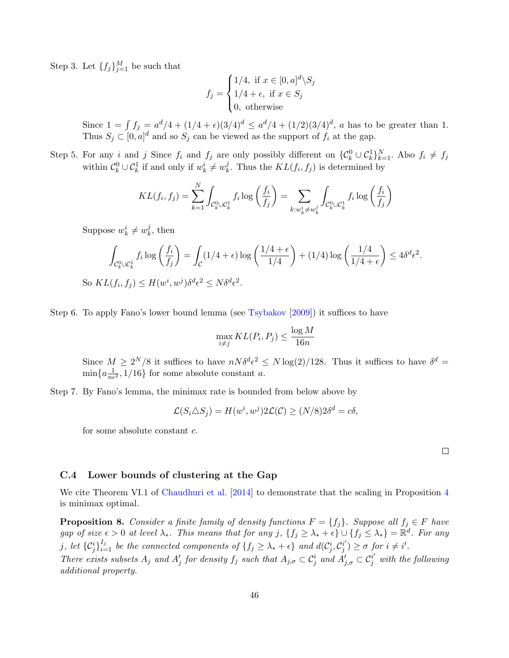Step 3. Let  $\{f_j\}_{j=1}^M$  be such that

$$
f_j = \begin{cases} 1/4, \text{ if } x \in [0, a]^d \backslash S_j \\ 1/4 + \epsilon, \text{ if } x \in S_j \\ 0, \text{ otherwise} \end{cases}
$$

Since  $1 = \int f_j = a^d/4 + (1/4 + \epsilon)(3/4)^d \le a^d/4 + (1/2)(3/4)^d$ , a has to be greater than 1. Thus  $S_j \subset [0, a]^d$  and so  $S_j$  can be viewed as the support of  $f_i$  at the gap.

Step 5. For any i and j Since  $f_i$  and  $f_j$  are only possibly different on  $\{\mathcal{C}_k^0 \cup \mathcal{C}_k^1\}_{k=1}^N$ . Also  $f_i \neq f_j$ within  $\mathcal{C}_k^0 \cup \mathcal{C}_k^1$  if and only if  $w_k^i \neq w_k^j$ <sup>*j*</sup>. Thus the  $KL(f_i, f_j)$  is determined by

$$
KL(f_i, f_j) = \sum_{k=1}^{N} \int_{\mathcal{C}_k^0 \cup \mathcal{C}_k^1} f_i \log \left( \frac{f_i}{f_j} \right) = \sum_{k: w_k^i \neq w_k^j} \int_{\mathcal{C}_k^0 \cup \mathcal{C}_k^1} f_i \log \left( \frac{f_i}{f_j} \right)
$$

Suppose  $w_k^i \neq w_k^j$  $\frac{j}{k}$ , then

$$
\int_{\mathcal{C}_k^0 \cup \mathcal{C}_k^1} f_i \log \left( \frac{f_i}{f_j} \right) = \int_{\mathcal{C}} (1/4 + \epsilon) \log \left( \frac{1/4 + \epsilon}{1/4} \right) + (1/4) \log \left( \frac{1/4}{1/4 + \epsilon} \right) \le 4\delta^d \epsilon^2.
$$
  
So  $KL(f_i, f_j) \le H(w^i, w^j) \delta^d \epsilon^2 \le N \delta^d \epsilon^2$ .

Step 6. To apply Fano's lower bound lemma (see [Tsybakov](#page-27-5) [\[2009\]](#page-27-5)) it suffices to have

$$
\max_{i \neq j} KL(P_i, P_j) \le \frac{\log M}{16n}
$$

Since  $M \ge 2^N/8$  it suffices to have  $nN\delta^d\epsilon^2 \le N\log(2)/128$ . Thus it suffices to have  $\delta^d =$  $\min\{a\frac{1}{n\epsilon^2}, 1/16\}$  for some absolute constant a.

Step 7. By Fano's lemma, the minimax rate is bounded from below above by

$$
\mathcal{L}(S_i \triangle S_j) = H(w^i, w^j) 2\mathcal{L}(\mathcal{C}) \ge (N/8) 2\delta^d = c\delta,
$$

for some absolute constant c.

 $\Box$ 

### <span id="page-45-0"></span>C.4 Lower bounds of clustering at the Gap

We cite Theorem VI.1 of [Chaudhuri et al.](#page-24-0) [\[2014\]](#page-24-0) to demonstrate that the scaling in Proposition [4](#page-19-0) is minimax optimal.

**Proposition 8.** Consider a finite family of density functions  $F = \{f_j\}$ . Suppose all  $f_j \in F$  have gap of size  $\epsilon > 0$  at level  $\lambda_*$ . This means that for any j,  $\{f_j \geq \lambda_* + \epsilon\} \cup \{f_j \leq \lambda_*\} = \mathbb{R}^d$ . For any j, let  $\{\mathcal{C}_j^i\}_{i=1}^{I_j}$  be the connected components of  $\{f_j \geq \lambda_* + \epsilon\}$  and  $d(\mathcal{C}_j^i, \mathcal{C}_j^{i'}$  $j^{i'}_j$ )  $\geq \sigma$  for  $i \neq i'$ .

There exists subsets  $A_j$  and  $A'_j$  for density  $f_j$  such that  $A_{j,\sigma} \subset C_j^i$  and  $A'_{j,\sigma} \subset C_j^{i'}$  with the following additional property.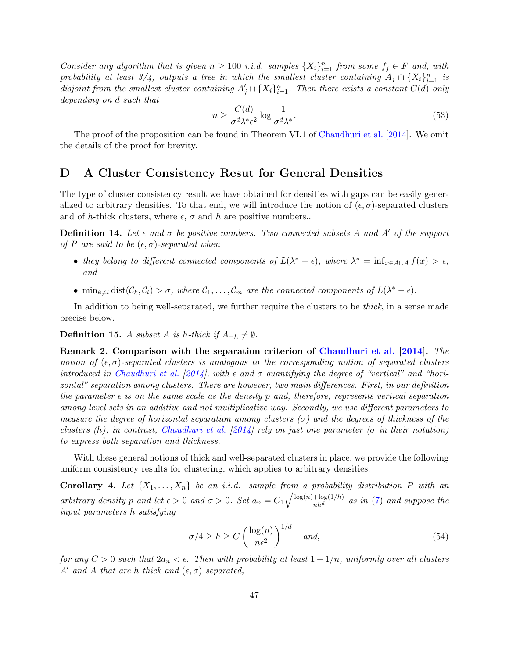Consider any algorithm that is given  $n \geq 100$  i.i.d. samples  $\{X_i\}_{i=1}^n$  from some  $f_j \in F$  and, with probability at least 3/4, outputs a tree in which the smallest cluster containing  $A_j \cap \{X_i\}_{i=1}^n$  is disjoint from the smallest cluster containing  $A'_j \cap \{X_i\}_{i=1}^n$ . Then there exists a constant  $C(d)$  only depending on d such that

<span id="page-46-1"></span>
$$
n \ge \frac{C(d)}{\sigma^d \lambda^* \epsilon^2} \log \frac{1}{\sigma^d \lambda^*}.\tag{53}
$$

The proof of the proposition can be found in Theorem VI.1 of [Chaudhuri et al.](#page-24-0) [\[2014\]](#page-24-0). We omit the details of the proof for brevity.

## <span id="page-46-0"></span>D A Cluster Consistency Resut for General Densities

The type of cluster consistency result we have obtained for densities with gaps can be easily generalized to arbitrary densities. To that end, we will introduce the notion of  $(\epsilon, \sigma)$ -separated clusters and of h-thick clusters, where  $\epsilon$ ,  $\sigma$  and h are positive numbers..

**Definition 14.** Let  $\epsilon$  and  $\sigma$  be positive numbers. Two connected subsets A and A' of the support of P are said to be  $(\epsilon, \sigma)$ -separated when

- they belong to different connected components of  $L(\lambda^* \epsilon)$ , where  $\lambda^* = \inf_{x \in A \cup A} f(x) > \epsilon$ , and
- $\min_{k \neq l} \text{dist}(\mathcal{C}_k, \mathcal{C}_l) > \sigma$ , where  $\mathcal{C}_1, \ldots, \mathcal{C}_m$  are the connected components of  $L(\lambda^* \epsilon)$ .

In addition to being well-separated, we further require the clusters to be thick, in a sense made precise below.

**Definition 15.** A subset A is h-thick if  $A_{-h} \neq \emptyset$ .

Remark 2. Comparison with the separation criterion of [Chaudhuri et al.](#page-24-0) [\[2014\]](#page-24-0). The notion of  $(\epsilon, \sigma)$ -separated clusters is analogous to the corresponding notion of separated clusters introduced in [Chaudhuri et al.](#page-24-0) [\[2014\]](#page-24-0), with  $\epsilon$  and  $\sigma$  quantifying the degree of "vertical" and "horizontal" separation among clusters. There are however, two main differences. First, in our definition the parameter  $\epsilon$  is on the same scale as the density p and, therefore, represents vertical separation among level sets in an additive and not multiplicative way. Secondly, we use different parameters to measure the degree of horizontal separation among clusters ( $\sigma$ ) and the degrees of thickness of the clusters (h); in contrast, [Chaudhuri et al.](#page-24-0) [\[2014\]](#page-24-0) rely on just one parameter ( $\sigma$  in their notation) to express both separation and thickness.

With these general notions of thick and well-separated clusters in place, we provide the following uniform consistency results for clustering, which applies to arbitrary densities.

**Corollary 4.** Let  $\{X_1, \ldots, X_n\}$  be an i.i.d. sample from a probability distribution P with an arbitrary density p and let  $\epsilon > 0$  and  $\sigma > 0$ . Set  $a_n = C_1 \sqrt{\frac{\log(n) + \log(1/h)}{nh^d}}$  as in [\(7\)](#page-7-3) and suppose the input parameters h satisfying

$$
\sigma/4 \ge h \ge C \left(\frac{\log(n)}{n\epsilon^2}\right)^{1/d} \quad \text{and,} \tag{54}
$$

for any  $C > 0$  such that  $2a_n < \epsilon$ . Then with probability at least  $1 - 1/n$ , uniformly over all clusters A' and A that are h thick and  $(\epsilon, \sigma)$  separated,